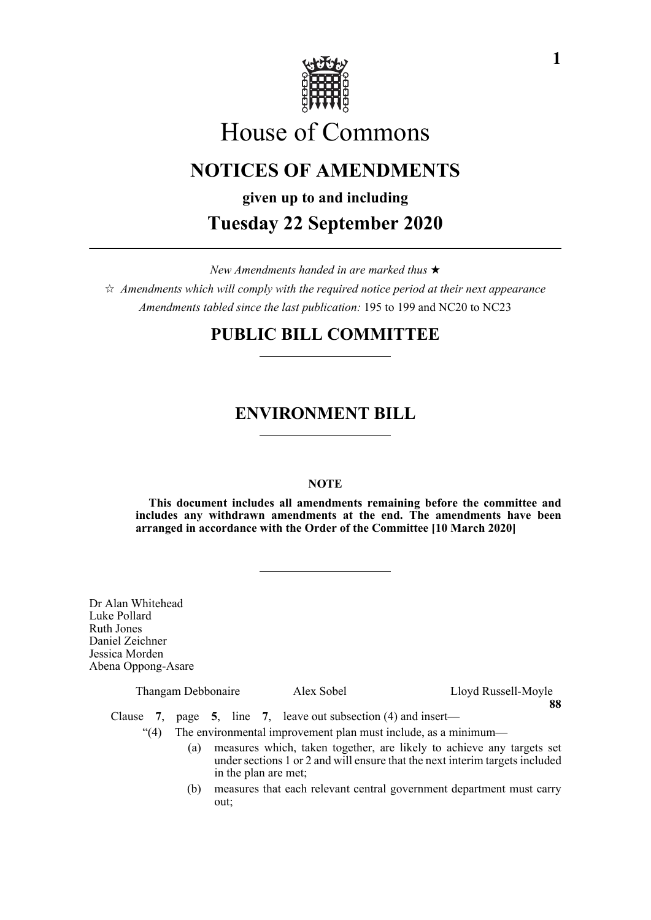

# House of Commons

## **NOTICES OF AMENDMENTS**

**given up to and including**

## **Tuesday 22 September 2020**

*New Amendments handed in are marked thus* 

 $\hat{\varphi}$  Amendments which will comply with the required notice period at their next appearance *Amendments tabled since the last publication:* 195 to 199 and NC20 to NC23

## **PUBLIC BILL COMMITTEE**

## **ENVIRONMENT BILL**

## **NOTE**

**This document includes all amendments remaining before the committee and includes any withdrawn amendments at the end. The amendments have been arranged in accordance with the Order of the Committee [10 March 2020]**

Dr Alan Whitehead Luke Pollard Ruth Jones Daniel Zeichner Jessica Morden Abena Oppong-Asare

Thangam Debbonaire Alex Sobel Lloyd Russell-Moyle **88**

Clause **7**, page **5**, line **7**, leave out subsection (4) and insert—

"(4) The environmental improvement plan must include, as a minimum—

- (a) measures which, taken together, are likely to achieve any targets set under sections 1 or 2 and will ensure that the next interim targets included in the plan are met;
- (b) measures that each relevant central government department must carry out;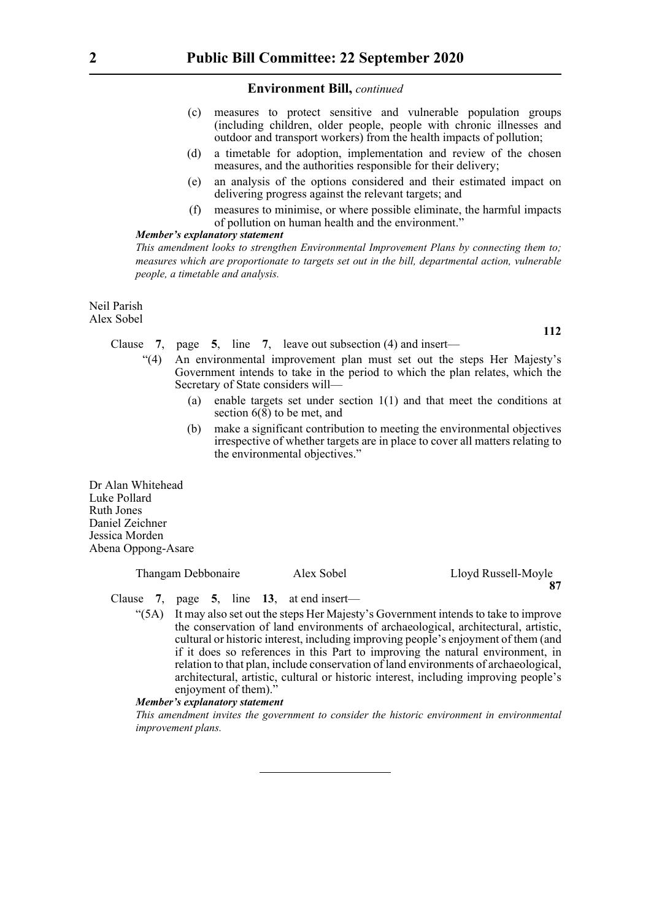- (c) measures to protect sensitive and vulnerable population groups (including children, older people, people with chronic illnesses and outdoor and transport workers) from the health impacts of pollution;
- (d) a timetable for adoption, implementation and review of the chosen measures, and the authorities responsible for their delivery;
- (e) an analysis of the options considered and their estimated impact on delivering progress against the relevant targets; and
- (f) measures to minimise, or where possible eliminate, the harmful impacts of pollution on human health and the environment."

## *Member's explanatory statement*

*This amendment looks to strengthen Environmental Improvement Plans by connecting them to; measures which are proportionate to targets set out in the bill, departmental action, vulnerable people, a timetable and analysis.*

Neil Parish Alex Sobel

**112**

## Clause **7**, page **5**, line **7**, leave out subsection (4) and insert—

- "(4) An environmental improvement plan must set out the steps Her Majesty's Government intends to take in the period to which the plan relates, which the Secretary of State considers will—
	- (a) enable targets set under section 1(1) and that meet the conditions at section 6(8) to be met, and
	- (b) make a significant contribution to meeting the environmental objectives irrespective of whether targets are in place to cover all matters relating to the environmental objectives."

Dr Alan Whitehead Luke Pollard Ruth Jones Daniel Zeichner Jessica Morden Abena Oppong-Asare

#### Thangam Debbonaire Alex Sobel Lloyd Russell-Moyle **87**

Clause **7**, page **5**, line **13**, at end insert—

"(5A) It may also set out the steps Her Majesty's Government intends to take to improve the conservation of land environments of archaeological, architectural, artistic, cultural or historic interest, including improving people's enjoyment of them (and if it does so references in this Part to improving the natural environment, in relation to that plan, include conservation of land environments of archaeological, architectural, artistic, cultural or historic interest, including improving people's enjoyment of them)."

## *Member's explanatory statement*

*This amendment invites the government to consider the historic environment in environmental improvement plans.*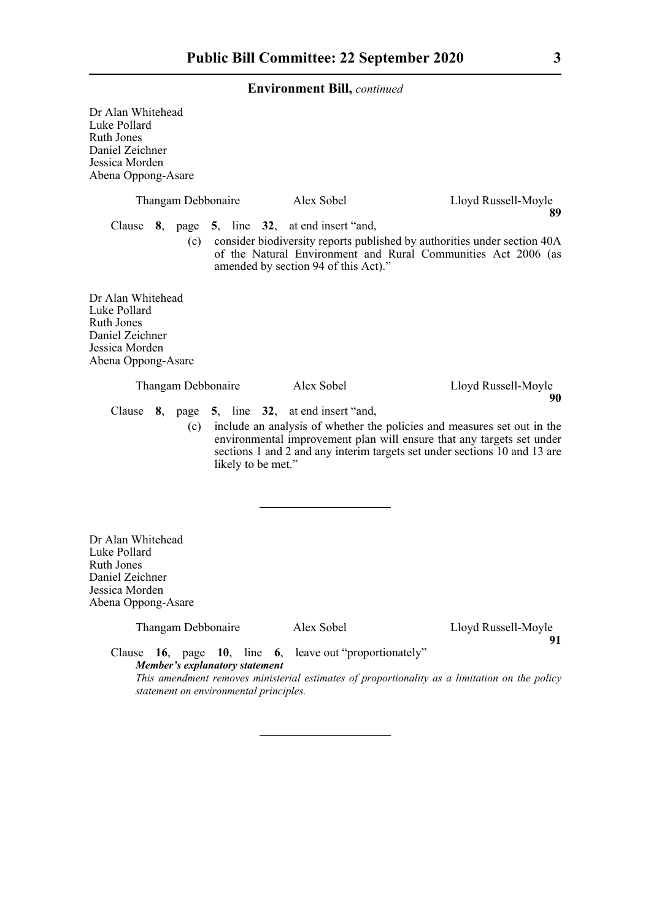Dr Alan Whitehead Luke Pollard Ruth Jones Daniel Zeichner Jessica Morden Abena Oppong-Asare

|                                                                                                            | Thangam Debbonaire                                                   | Alex Sobel                                                                                                                                                                                                                    | Lloyd Russell-Moyle<br>89 |
|------------------------------------------------------------------------------------------------------------|----------------------------------------------------------------------|-------------------------------------------------------------------------------------------------------------------------------------------------------------------------------------------------------------------------------|---------------------------|
|                                                                                                            | Clause 8, page 5, line 32, at end insert "and,                       | (c) consider biodiversity reports published by authorities under section 40A<br>of the Natural Environment and Rural Communities Act 2006 (as<br>amended by section 94 of this Act)."                                         |                           |
| Dr Alan Whitehead<br>Luke Pollard<br>Ruth Jones<br>Daniel Zeichner<br>Jessica Morden<br>Abena Oppong-Asare |                                                                      |                                                                                                                                                                                                                               |                           |
|                                                                                                            | Thangam Debbonaire                                                   | Alex Sobel                                                                                                                                                                                                                    | Lloyd Russell-Moyle<br>90 |
| Clause                                                                                                     | 8, page 5, line 32, at end insert "and,<br>(c)<br>likely to be met." | include an analysis of whether the policies and measures set out in the<br>environmental improvement plan will ensure that any targets set under<br>sections 1 and 2 and any interim targets set under sections 10 and 13 are |                           |

Dr Alan Whitehead Luke Pollard Ruth Jones Daniel Zeichner Jessica Morden Abena Oppong-Asare

Thangam Debbonaire Alex Sobel Lloyd Russell-Moyle **91**

Clause **16**, page **10**, line **6**, leave out "proportionately" *Member's explanatory statement This amendment removes ministerial estimates of proportionality as a limitation on the policy statement on environmental principles.*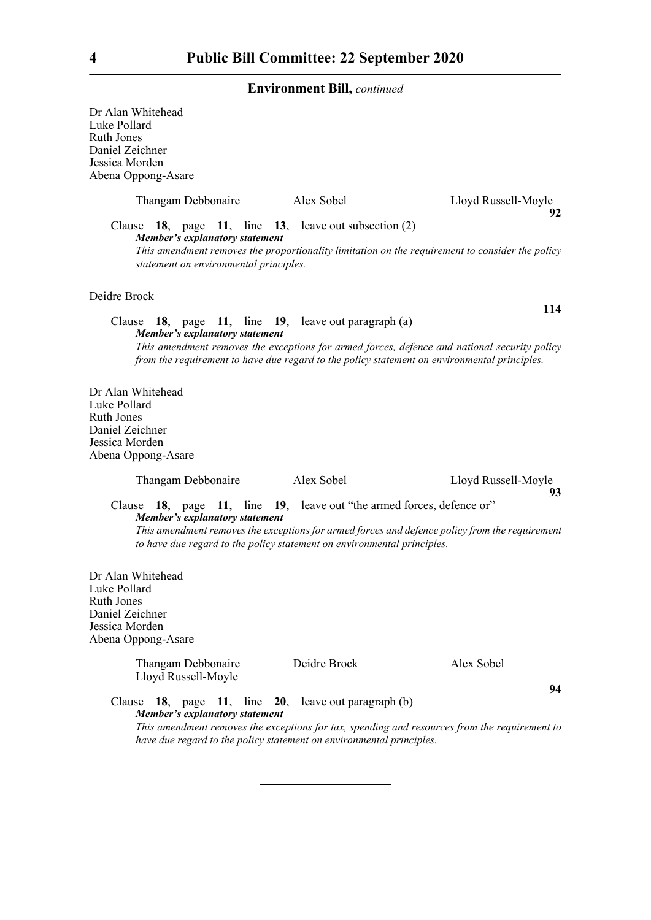Dr Alan Whitehead Luke Pollard Ruth Jones Daniel Zeichner Jessica Morden Abena Oppong-Asare Thangam Debbonaire Alex Sobel Lloyd Russell-Moyle **92** Clause **18**, page **11**, line **13**, leave out subsection (2) *Member's explanatory statement This amendment removes the proportionality limitation on the requirement to consider the policy statement on environmental principles.* Deidre Brock **114** Clause **18**, page **11**, line **19**, leave out paragraph (a) *Member's explanatory statement This amendment removes the exceptions for armed forces, defence and national security policy from the requirement to have due regard to the policy statement on environmental principles.* Dr Alan Whitehead Luke Pollard Ruth Jones Daniel Zeichner Jessica Morden Abena Oppong-Asare Thangam Debbonaire Alex Sobel Lloyd Russell-Moyle **93** Clause **18**, page **11**, line **19**, leave out "the armed forces, defence or" *Member's explanatory statement This amendment removes the exceptions for armed forces and defence policy from the requirement to have due regard to the policy statement on environmental principles.* Dr Alan Whitehead Luke Pollard Ruth Jones Daniel Zeichner Jessica Morden Abena Oppong-Asare Thangam Debbonaire Deidre Brock Alex Sobel Lloyd Russell-Moyle **94** Clause **18**, page **11**, line **20**, leave out paragraph (b) *Member's explanatory statement This amendment removes the exceptions for tax, spending and resources from the requirement to have due regard to the policy statement on environmental principles.*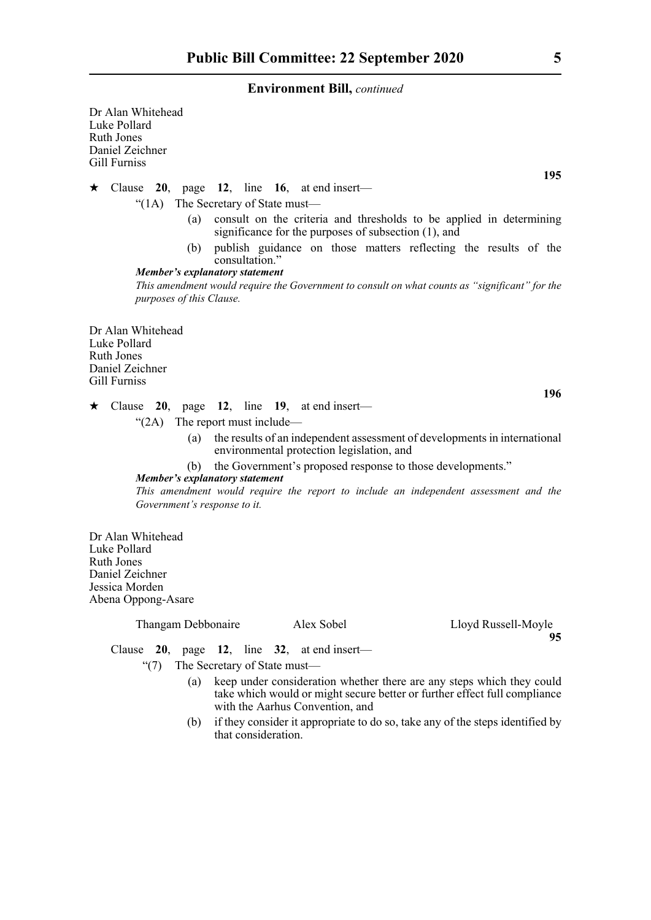Dr Alan Whitehead Luke Pollard Ruth Jones Daniel Zeichner Gill Furniss

Clause **20**, page **12**, line **16**, at end insert—

"(1A) The Secretary of State must—

- (a) consult on the criteria and thresholds to be applied in determining significance for the purposes of subsection (1), and
- (b) publish guidance on those matters reflecting the results of the consultation."

*Member's explanatory statement This amendment would require the Government to consult on what counts as "significant" for the purposes of this Clause.*

Dr Alan Whitehead Luke Pollard Ruth Jones Daniel Zeichner Gill Furniss

**196**

- $\star$  Clause 20, page 12, line 19, at end insert—
	- "(2A) The report must include—
		- (a) the results of an independent assessment of developments in international environmental protection legislation, and
		- (b) the Government's proposed response to those developments."

## *Member's explanatory statement*

*This amendment would require the report to include an independent assessment and the Government's response to it.*

Dr Alan Whitehead Luke Pollard Ruth Jones Daniel Zeichner Jessica Morden Abena Oppong-Asare

| Thangam Debbonaire | Alex Sobel |
|--------------------|------------|
|--------------------|------------|

Lloyd Russell-Moyle **95**

Clause **20**, page **12**, line **32**, at end insert—

"(7) The Secretary of State must—

- (a) keep under consideration whether there are any steps which they could take which would or might secure better or further effect full compliance with the Aarhus Convention, and
- (b) if they consider it appropriate to do so, take any of the steps identified by that consideration.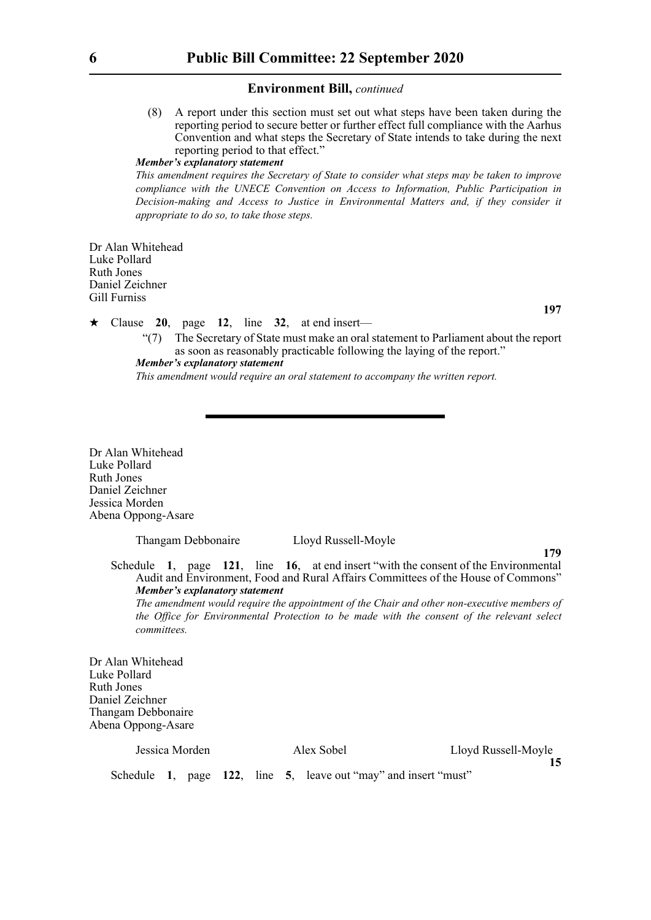(8) A report under this section must set out what steps have been taken during the reporting period to secure better or further effect full compliance with the Aarhus Convention and what steps the Secretary of State intends to take during the next reporting period to that effect."

## *Member's explanatory statement*

*This amendment requires the Secretary of State to consider what steps may be taken to improve compliance with the UNECE Convention on Access to Information, Public Participation in Decision-making and Access to Justice in Environmental Matters and, if they consider it appropriate to do so, to take those steps.* 

Dr Alan Whitehead Luke Pollard Ruth Jones Daniel Zeichner Gill Furniss

 $\star$  Clause 20, page 12, line 32, at end insert—

"(7) The Secretary of State must make an oral statement to Parliament about the report as soon as reasonably practicable following the laying of the report." *Member's explanatory statement* 

*This amendment would require an oral statement to accompany the written report.*

Dr Alan Whitehead Luke Pollard Ruth Jones Daniel Zeichner Jessica Morden Abena Oppong-Asare

Thangam Debbonaire Lloyd Russell-Moyle

#### **179**

**15**

**197**

Schedule **1**, page **121**, line **16**, at end insert "with the consent of the Environmental Audit and Environment, Food and Rural Affairs Committees of the House of Commons" *Member's explanatory statement* 

*The amendment would require the appointment of the Chair and other non-executive members of the Office for Environmental Protection to be made with the consent of the relevant select committees.*

Dr Alan Whitehead Luke Pollard Ruth Jones Daniel Zeichner Thangam Debbonaire Abena Oppong-Asare

| lessica Morden |  |
|----------------|--|
|                |  |

Jessica Morden Alex Sobel Lloyd Russell-Moyle

Schedule **1**, page **122**, line **5**, leave out "may" and insert "must"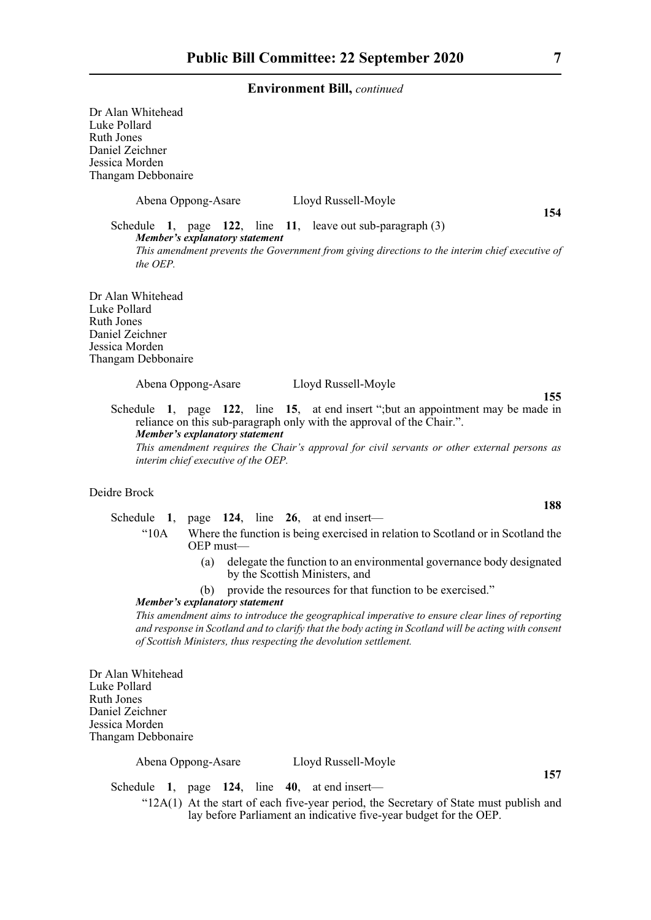Dr Alan Whitehead Luke Pollard Ruth Jones Daniel Zeichner Jessica Morden Thangam Debbonaire

Abena Oppong-Asare Lloyd Russell-Moyle

**154**

Schedule **1**, page **122**, line **11**, leave out sub-paragraph (3) *Member's explanatory statement This amendment prevents the Government from giving directions to the interim chief executive of*

Dr Alan Whitehead Luke Pollard Ruth Jones Daniel Zeichner Jessica Morden Thangam Debbonaire

*the OEP.*

Abena Oppong-Asare Lloyd Russell-Moyle

Schedule **1**, page **122**, line **15**, at end insert ";but an appointment may be made in reliance on this sub-paragraph only with the approval of the Chair.". *Member's explanatory statement This amendment requires the Chair's approval for civil servants or other external persons as interim chief executive of the OEP.*

## Deidre Brock

Schedule **1**, page **124**, line **26**, at end insert—

- "10A Where the function is being exercised in relation to Scotland or in Scotland the OEP must—
	- (a) delegate the function to an environmental governance body designated by the Scottish Ministers, and
	- (b) provide the resources for that function to be exercised."

## *Member's explanatory statement*

*This amendment aims to introduce the geographical imperative to ensure clear lines of reporting and response in Scotland and to clarify that the body acting in Scotland will be acting with consent of Scottish Ministers, thus respecting the devolution settlement.*

Dr Alan Whitehead Luke Pollard Ruth Jones Daniel Zeichner Jessica Morden Thangam Debbonaire

Abena Oppong-Asare Lloyd Russell-Moyle

**157**

Schedule **1**, page **124**, line **40**, at end insert—

"12A(1) At the start of each five-year period, the Secretary of State must publish and lay before Parliament an indicative five-year budget for the OEP.

**188**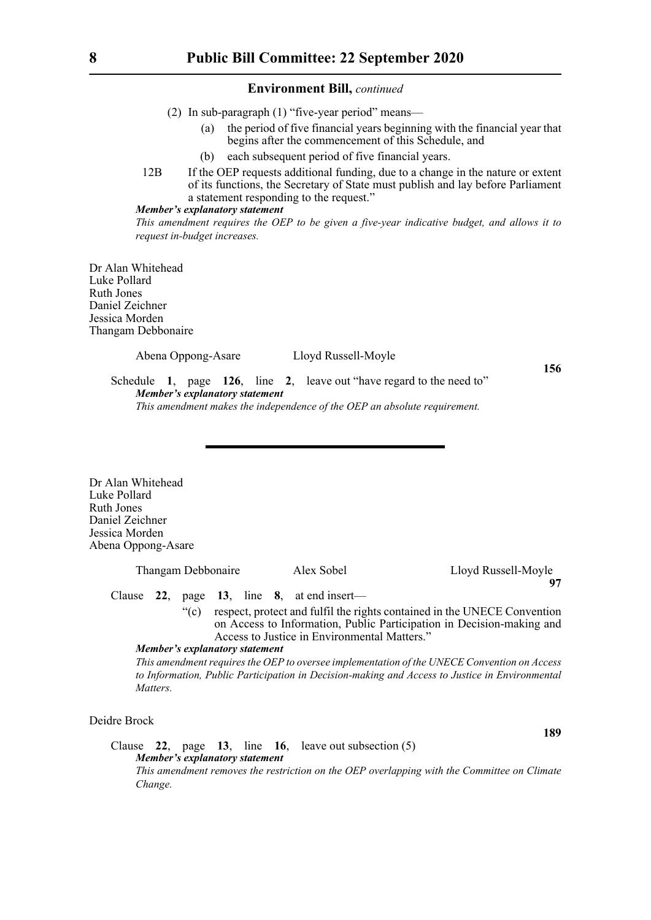- (2) In sub-paragraph (1) "five-year period" means—
	- (a) the period of five financial years beginning with the financial year that begins after the commencement of this Schedule, and
	- (b) each subsequent period of five financial years.
- 12B If the OEP requests additional funding, due to a change in the nature or extent of its functions, the Secretary of State must publish and lay before Parliament a statement responding to the request."

## *Member's explanatory statement*

*This amendment requires the OEP to be given a five-year indicative budget, and allows it to request in-budget increases.* 

Dr Alan Whitehead Luke Pollard Ruth Jones Daniel Zeichner Jessica Morden Thangam Debbonaire

Abena Oppong-Asare Lloyd Russell-Moyle

**156**

**189**

Schedule **1**, page **126**, line **2**, leave out "have regard to the need to" *Member's explanatory statement This amendment makes the independence of the OEP an absolute requirement.*

Dr Alan Whitehead Luke Pollard Ruth Jones Daniel Zeichner Jessica Morden Abena Oppong-Asare

| Thangam Debbonaire |  | Alex Sobel                     |  | Lloyd Russell-Moyle |                                                                                                                                                                                                   |  |
|--------------------|--|--------------------------------|--|---------------------|---------------------------------------------------------------------------------------------------------------------------------------------------------------------------------------------------|--|
|                    |  |                                |  | 97                  |                                                                                                                                                                                                   |  |
|                    |  |                                |  |                     | Clause 22, page 13, line $8$ , at end insert—                                                                                                                                                     |  |
|                    |  | $\degree$ (c)                  |  |                     | respect, protect and fulfil the rights contained in the UNECE Convention<br>on Access to Information, Public Participation in Decision-making and<br>Access to Justice in Environmental Matters." |  |
|                    |  | Member's explanatory statement |  |                     |                                                                                                                                                                                                   |  |
|                    |  |                                |  |                     | This amendment requires the OEP to oversee implementation of the UNECE Convention on Access                                                                                                       |  |
|                    |  |                                |  |                     | to Information, Public Participation in Decision-making and Access to Justice in Environmental                                                                                                    |  |

Deidre Brock

*Matters.*

Clause **22**, page **13**, line **16**, leave out subsection (5) *Member's explanatory statement This amendment removes the restriction on the OEP overlapping with the Committee on Climate Change.*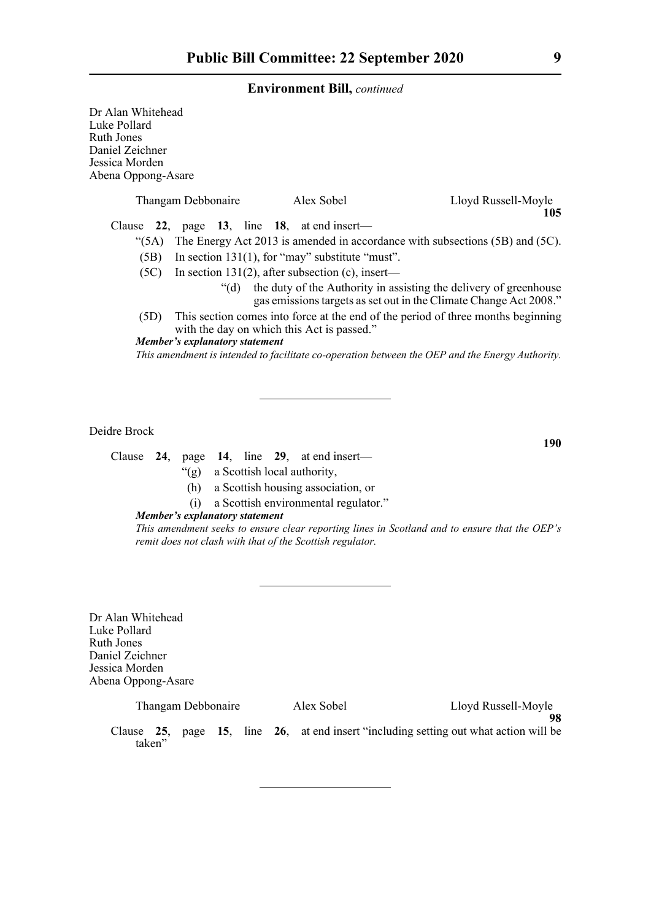| Dr Alan Whitehead<br>Luke Pollard<br>Ruth Jones<br>Daniel Zeichner |      |                                       |                                                         |                                                                                                                                             |
|--------------------------------------------------------------------|------|---------------------------------------|---------------------------------------------------------|---------------------------------------------------------------------------------------------------------------------------------------------|
| Jessica Morden<br>Abena Oppong-Asare                               |      |                                       |                                                         |                                                                                                                                             |
|                                                                    |      | Thangam Debbonaire                    | Alex Sobel                                              | Lloyd Russell-Moyle<br>105                                                                                                                  |
|                                                                    |      |                                       | Clause $22$ , page 13, line 18, at end insert—          |                                                                                                                                             |
|                                                                    |      |                                       |                                                         | "(5A) The Energy Act 2013 is amended in accordance with subsections (5B) and (5C).                                                          |
|                                                                    | (5B) |                                       | In section $131(1)$ , for "may" substitute "must".      |                                                                                                                                             |
|                                                                    |      |                                       | $(5C)$ In section 131(2), after subsection (c), insert— |                                                                                                                                             |
|                                                                    |      |                                       |                                                         | "(d) the duty of the Authority in assisting the delivery of greenhouse<br>gas emissions targets as set out in the Climate Change Act 2008." |
|                                                                    | (5D) |                                       | with the day on which this Act is passed."              | This section comes into force at the end of the period of three months beginning                                                            |
|                                                                    |      | <b>Member's explanatory statement</b> |                                                         |                                                                                                                                             |
|                                                                    |      |                                       |                                                         | This amendment is intended to facilitate co-operation between the OEP and the Energy Authority.                                             |
|                                                                    |      |                                       |                                                         |                                                                                                                                             |

Deidre Brock

Clause **24**, page **14**, line **29**, at end insert—

- "(g) a Scottish local authority,
- (h) a Scottish housing association, or
- (i) a Scottish environmental regulator."

## *Member's explanatory statement*

*This amendment seeks to ensure clear reporting lines in Scotland and to ensure that the OEP's remit does not clash with that of the Scottish regulator.*

Dr Alan Whitehead Luke Pollard Ruth Jones Daniel Zeichner Jessica Morden Abena Oppong-Asare

| Thangam Debbonaire |  |  |  | Alex Sobel | Lloyd Russell-Moyle                                                                      |  |
|--------------------|--|--|--|------------|------------------------------------------------------------------------------------------|--|
| taken"             |  |  |  |            | Clause $25$ , page 15, line 26, at end insert "including setting out what action will be |  |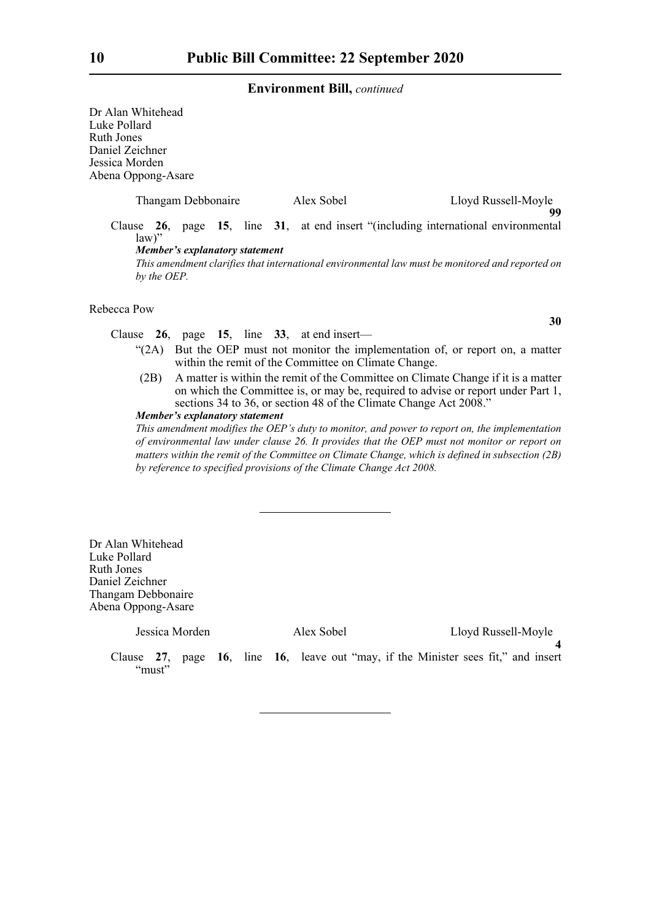Dr Alan Whitehead Luke Pollard Ruth Jones Daniel Zeichner Jessica Morden Abena Oppong-Asare

| Thangam Debbonaire                            | Alex Sobel | Lloyd Russell-Moyle<br>99                                                                       |
|-----------------------------------------------|------------|-------------------------------------------------------------------------------------------------|
| $law$ "                                       |            | Clause 26, page 15, line 31, at end insert "(including international environmental              |
| Member's explanatory statement<br>by the OEP. |            | This amendment clarifies that international environmental law must be monitored and reported on |

Rebecca Pow

Clause **26**, page **15**, line **33**, at end insert—

- "(2A) But the OEP must not monitor the implementation of, or report on, a matter within the remit of the Committee on Climate Change.
- (2B) A matter is within the remit of the Committee on Climate Change if it is a matter on which the Committee is, or may be, required to advise or report under Part 1, sections 34 to 36, or section 48 of the Climate Change Act 2008."

*Member's explanatory statement* 

*This amendment modifies the OEP's duty to monitor, and power to report on, the implementation of environmental law under clause 26. It provides that the OEP must not monitor or report on matters within the remit of the Committee on Climate Change, which is defined in subsection (2B) by reference to specified provisions of the Climate Change Act 2008.*

Dr Alan Whitehead Luke Pollard Ruth Jones Daniel Zeichner Thangam Debbonaire Abena Oppong-Asare

| Jessica Morden | Alex Sobel                                                                         | Lloyd Russell-Moyle |  |
|----------------|------------------------------------------------------------------------------------|---------------------|--|
| "must"         | Clause 27, page 16, line 16, leave out "may, if the Minister sees fit," and insert |                     |  |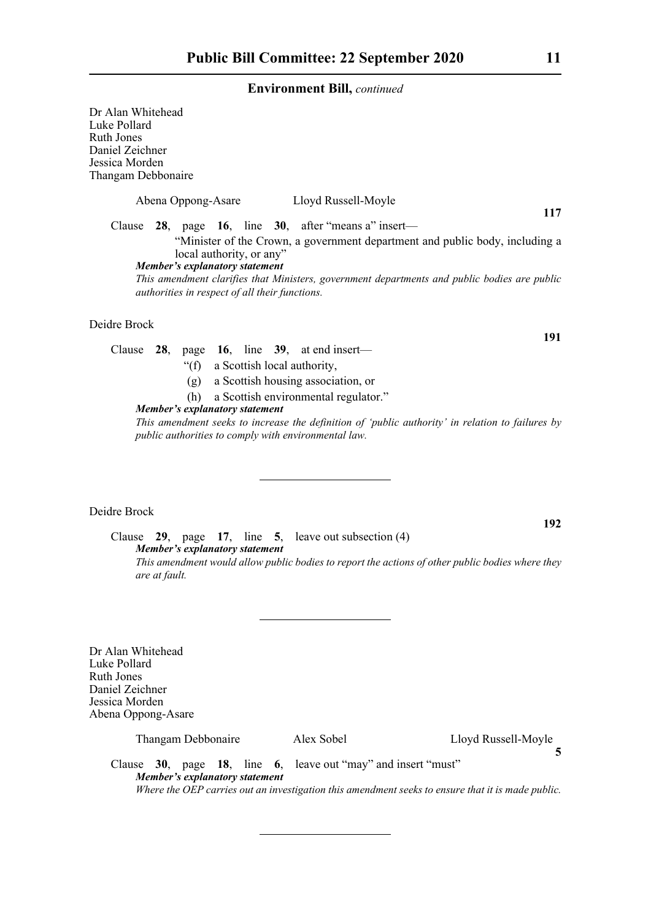Dr Alan Whitehead Luke Pollard Ruth Jones Daniel Zeichner Jessica Morden Thangam Debbonaire Abena Oppong-Asare Lloyd Russell-Moyle **117** Clause **28**, page **16**, line **30**, after "means a" insert— "Minister of the Crown, a government department and public body, including a local authority, or any" *Member's explanatory statement This amendment clarifies that Ministers, government departments and public bodies are public authorities in respect of all their functions.*

Deidre Brock

Clause **28**, page **16**, line **39**, at end insert—

- "(f) a Scottish local authority,
- (g) a Scottish housing association, or
- (h) a Scottish environmental regulator."

## *Member's explanatory statement*

*This amendment seeks to increase the definition of 'public authority' in relation to failures by public authorities to comply with environmental law.*

## Deidre Brock

Clause **29**, page **17**, line **5**, leave out subsection (4) *Member's explanatory statement This amendment would allow public bodies to report the actions of other public bodies where they are at fault.*

Dr Alan Whitehead Luke Pollard Ruth Jones Daniel Zeichner Jessica Morden Abena Oppong-Asare

| Thangam Debbonaire |  |
|--------------------|--|
|                    |  |

 $\text{Ilex}$  Sobel Lloyd Russell-Moyle

Clause **30**, page **18**, line **6**, leave out "may" and insert "must" *Member's explanatory statement Where the OEP carries out an investigation this amendment seeks to ensure that it is made public.*

**191**

**192**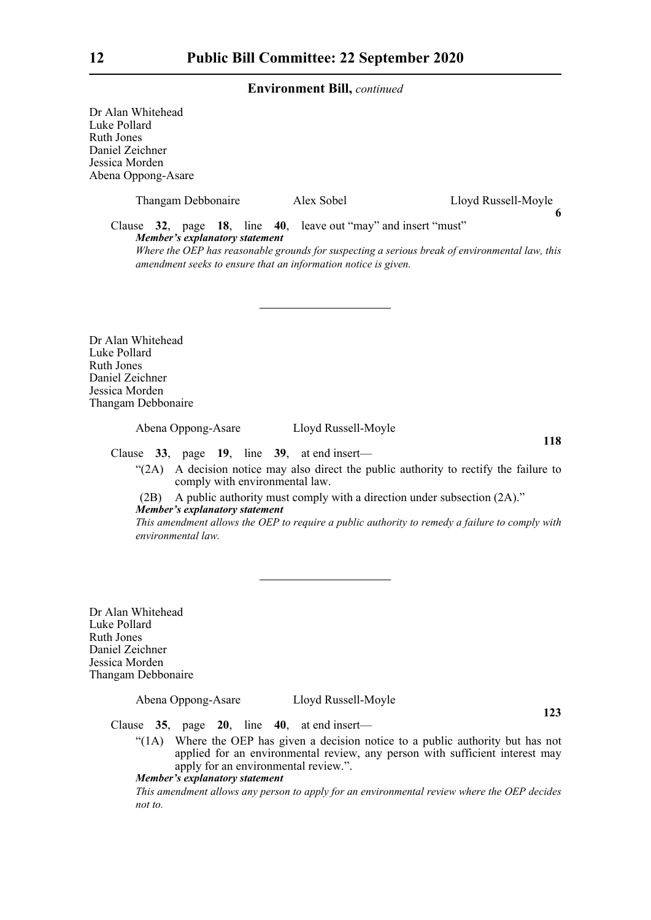Dr Alan Whitehead Luke Pollard Ruth Jones Daniel Zeichner Jessica Morden Abena Oppong-Asare

| Thangam Debbonaire                                                                                                                                               | Alex Sobel | Lloyd Russell-Moyle |  |  |  |
|------------------------------------------------------------------------------------------------------------------------------------------------------------------|------------|---------------------|--|--|--|
| Clause 32, page 18, line 40, leave out "may" and insert "must"<br>Member's explanatory statement                                                                 |            |                     |  |  |  |
| Where the OEP has reasonable grounds for suspecting a serious break of environmental law, this<br>amendment seeks to ensure that an information notice is given. |            |                     |  |  |  |

Dr Alan Whitehead Luke Pollard Ruth Jones Daniel Zeichner Jessica Morden Thangam Debbonaire

Abena Oppong-Asare Lloyd Russell-Moyle

**118**

Clause **33**, page **19**, line **39**, at end insert—

"(2A) A decision notice may also direct the public authority to rectify the failure to comply with environmental law.

(2B) A public authority must comply with a direction under subsection (2A)." *Member's explanatory statement* 

*This amendment allows the OEP to require a public authority to remedy a failure to comply with environmental law.*

Dr Alan Whitehead Luke Pollard Ruth Jones Daniel Zeichner Jessica Morden Thangam Debbonaire

Abena Oppong-Asare Lloyd Russell-Moyle

**123**

Clause **35**, page **20**, line **40**, at end insert—

"(1A) Where the OEP has given a decision notice to a public authority but has not applied for an environmental review, any person with sufficient interest may apply for an environmental review.".

## *Member's explanatory statement*

*This amendment allows any person to apply for an environmental review where the OEP decides not to.*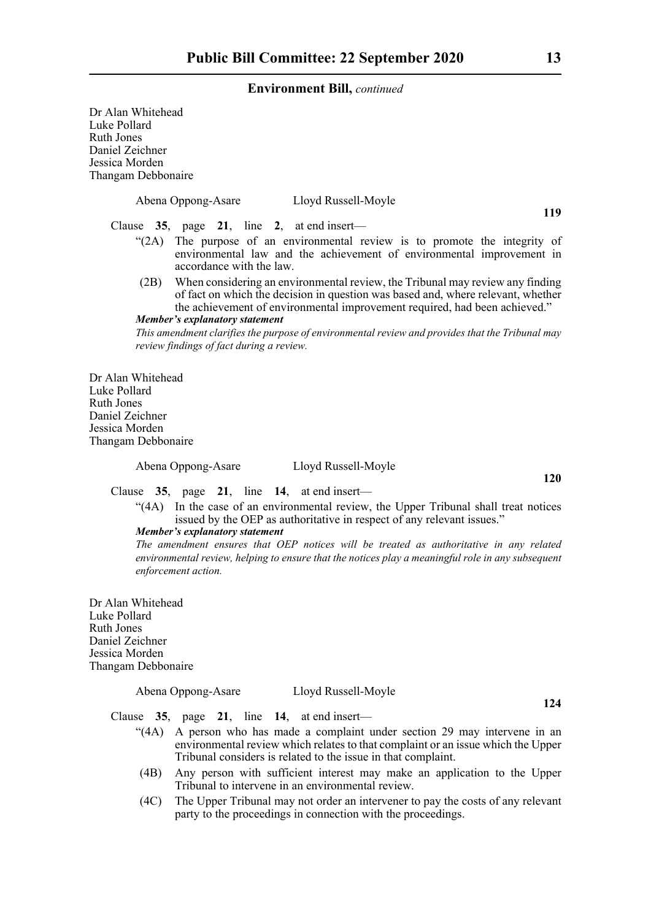Dr Alan Whitehead Luke Pollard Ruth Jones Daniel Zeichner Jessica Morden Thangam Debbonaire Abena Oppong-Asare Lloyd Russell-Moyle **119** Clause **35**, page **21**, line **2**, at end insert— "(2A) The purpose of an environmental review is to promote the integrity of environmental law and the achievement of environmental improvement in accordance with the law. (2B) When considering an environmental review, the Tribunal may review any finding of fact on which the decision in question was based and, where relevant, whether the achievement of environmental improvement required, had been achieved." *Member's explanatory statement This amendment clarifies the purpose of environmental review and provides that the Tribunal may review findings of fact during a review.*  Dr Alan Whitehead Luke Pollard Ruth Jones Daniel Zeichner Jessica Morden Thangam Debbonaire Abena Oppong-Asare Lloyd Russell-Moyle Clause **35**, page **21**, line **14**, at end insert— "(4A) In the case of an environmental review, the Upper Tribunal shall treat notices issued by the OEP as authoritative in respect of any relevant issues." *Member's explanatory statement The amendment ensures that OEP notices will be treated as authoritative in any related environmental review, helping to ensure that the notices play a meaningful role in any subsequent*

Dr Alan Whitehead Luke Pollard Ruth Jones Daniel Zeichner Jessica Morden Thangam Debbonaire

## Abena Oppong-Asare Lloyd Russell-Moyle

*enforcement action.*

Clause **35**, page **21**, line **14**, at end insert—

- "(4A) A person who has made a complaint under section 29 may intervene in an environmental review which relates to that complaint or an issue which the Upper Tribunal considers is related to the issue in that complaint.
- (4B) Any person with sufficient interest may make an application to the Upper Tribunal to intervene in an environmental review.
- (4C) The Upper Tribunal may not order an intervener to pay the costs of any relevant party to the proceedings in connection with the proceedings.

**120**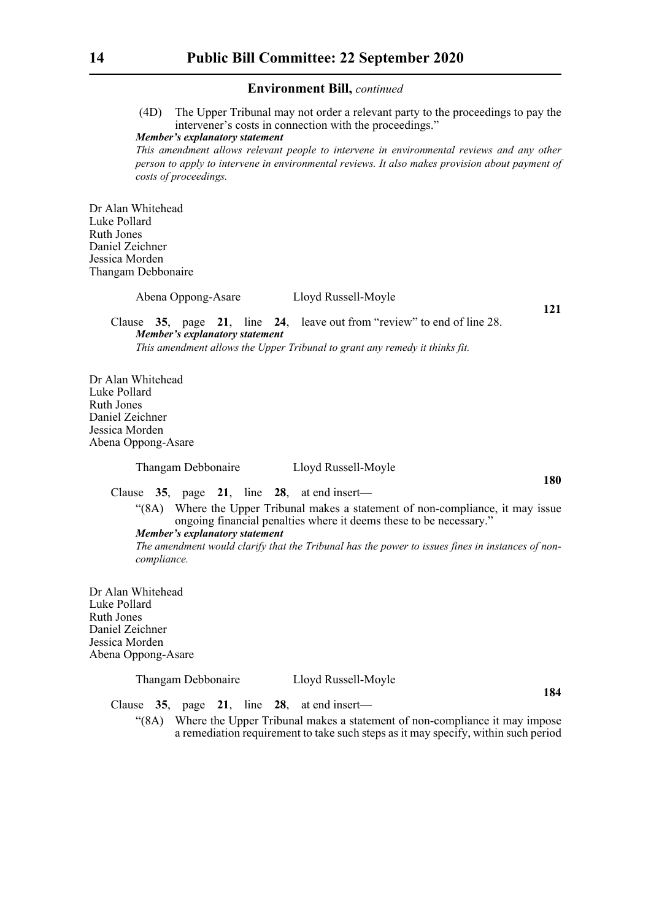(4D) The Upper Tribunal may not order a relevant party to the proceedings to pay the intervener's costs in connection with the proceedings."

#### *Member's explanatory statement*

*This amendment allows relevant people to intervene in environmental reviews and any other person to apply to intervene in environmental reviews. It also makes provision about payment of costs of proceedings.*

Dr Alan Whitehead Luke Pollard Ruth Jones Daniel Zeichner Jessica Morden Thangam Debbonaire

Abena Oppong-Asare Lloyd Russell-Moyle

**121**

**180**

Clause **35**, page **21**, line **24**, leave out from "review" to end of line 28. *Member's explanatory statement This amendment allows the Upper Tribunal to grant any remedy it thinks fit.*

Dr Alan Whitehead Luke Pollard Ruth Jones Daniel Zeichner Jessica Morden Abena Oppong-Asare

Thangam Debbonaire Lloyd Russell-Moyle

Clause **35**, page **21**, line **28**, at end insert—

"(8A) Where the Upper Tribunal makes a statement of non-compliance, it may issue ongoing financial penalties where it deems these to be necessary."

*Member's explanatory statement* 

*The amendment would clarify that the Tribunal has the power to issues fines in instances of noncompliance.*

Dr Alan Whitehead Luke Pollard Ruth Jones Daniel Zeichner Jessica Morden Abena Oppong-Asare

Thangam Debbonaire Lloyd Russell-Moyle

**184**

Clause **35**, page **21**, line **28**, at end insert—

"(8A) Where the Upper Tribunal makes a statement of non-compliance it may impose a remediation requirement to take such steps as it may specify, within such period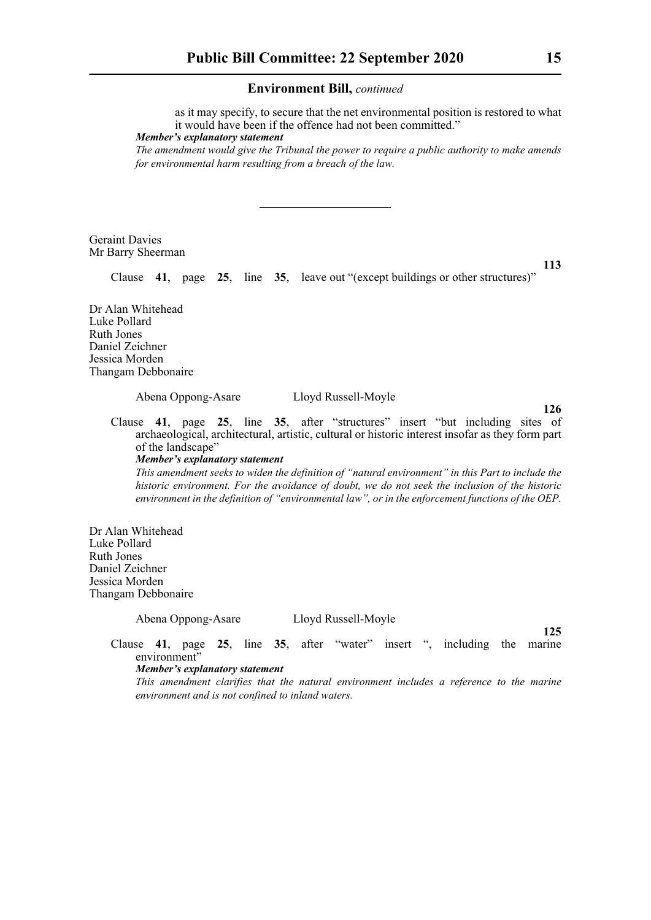as it may specify, to secure that the net environmental position is restored to what it would have been if the offence had not been committed."

*Member's explanatory statement* 

*The amendment would give the Tribunal the power to require a public authority to make amends for environmental harm resulting from a breach of the law.*

Geraint Davies Mr Barry Sheerman

**113**

Clause **41**, page **25**, line **35**, leave out "(except buildings or other structures)"

Dr Alan Whitehead Luke Pollard Ruth Jones Daniel Zeichner Jessica Morden Thangam Debbonaire

Abena Oppong-Asare Lloyd Russell-Moyle

**126**

Clause **41**, page **25**, line **35**, after "structures" insert "but including sites of archaeological, architectural, artistic, cultural or historic interest insofar as they form part of the landscape"

*Member's explanatory statement* 

*This amendment seeks to widen the definition of "natural environment" in this Part to include the historic environment. For the avoidance of doubt, we do not seek the inclusion of the historic environment in the definition of "environmental law", or in the enforcement functions of the OEP.*

Dr Alan Whitehead Luke Pollard Ruth Jones Daniel Zeichner Jessica Morden Thangam Debbonaire

Abena Oppong-Asare Lloyd Russell-Moyle

**125**

Clause **41**, page **25**, line **35**, after "water" insert ", including the marine environment"

## *Member's explanatory statement*

*This amendment clarifies that the natural environment includes a reference to the marine environment and is not confined to inland waters.*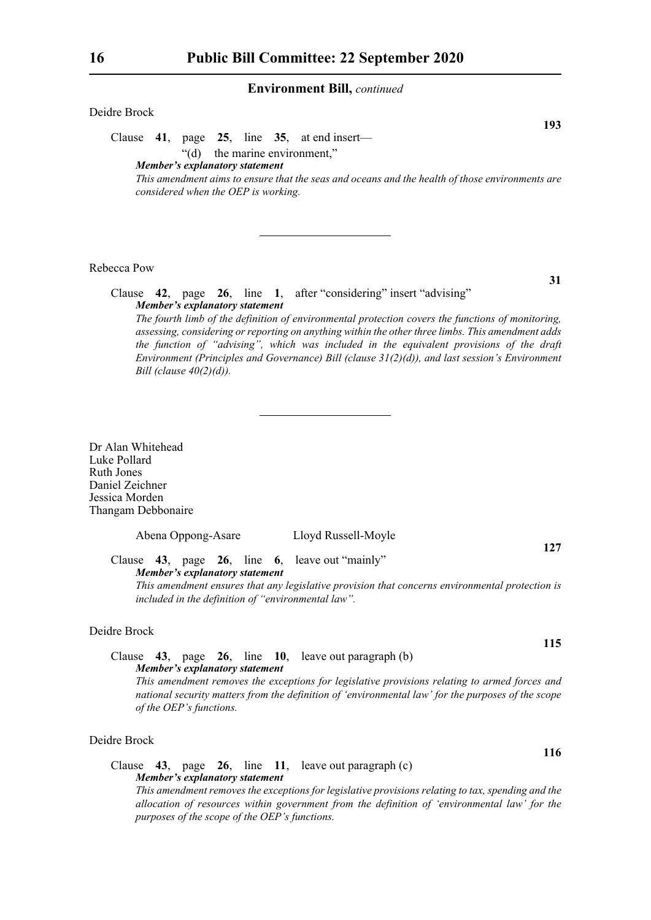## Deidre Brock

Clause **41**, page **25**, line **35**, at end insert—

"(d) the marine environment,"

*Member's explanatory statement* 

*This amendment aims to ensure that the seas and oceans and the health of those environments are considered when the OEP is working.*

## Rebecca Pow

Clause **42**, page **26**, line **1**, after "considering" insert "advising" *Member's explanatory statement* 

*The fourth limb of the definition of environmental protection covers the functions of monitoring, assessing, considering or reporting on anything within the other three limbs. This amendment adds the function of "advising", which was included in the equivalent provisions of the draft Environment (Principles and Governance) Bill (clause 31(2)(d)), and last session's Environment Bill (clause 40(2)(d)).*

Dr Alan Whitehead Luke Pollard Ruth Jones Daniel Zeichner Jessica Morden Thangam Debbonaire

Abena Oppong-Asare Lloyd Russell-Moyle

**127**

**115**

**116**

Clause **43**, page **26**, line **6**, leave out "mainly" *Member's explanatory statement* 

*This amendment ensures that any legislative provision that concerns environmental protection is included in the definition of "environmental law".*

## Deidre Brock

## Clause **43**, page **26**, line **10**, leave out paragraph (b) *Member's explanatory statement*

*This amendment removes the exceptions for legislative provisions relating to armed forces and national security matters from the definition of 'environmental law' for the purposes of the scope of the OEP's functions.*

## Deidre Brock

## Clause **43**, page **26**, line **11**, leave out paragraph (c) *Member's explanatory statement*

*This amendment removes the exceptions for legislative provisions relating to tax, spending and the allocation of resources within government from the definition of 'environmental law' for the purposes of the scope of the OEP's functions.*

**31**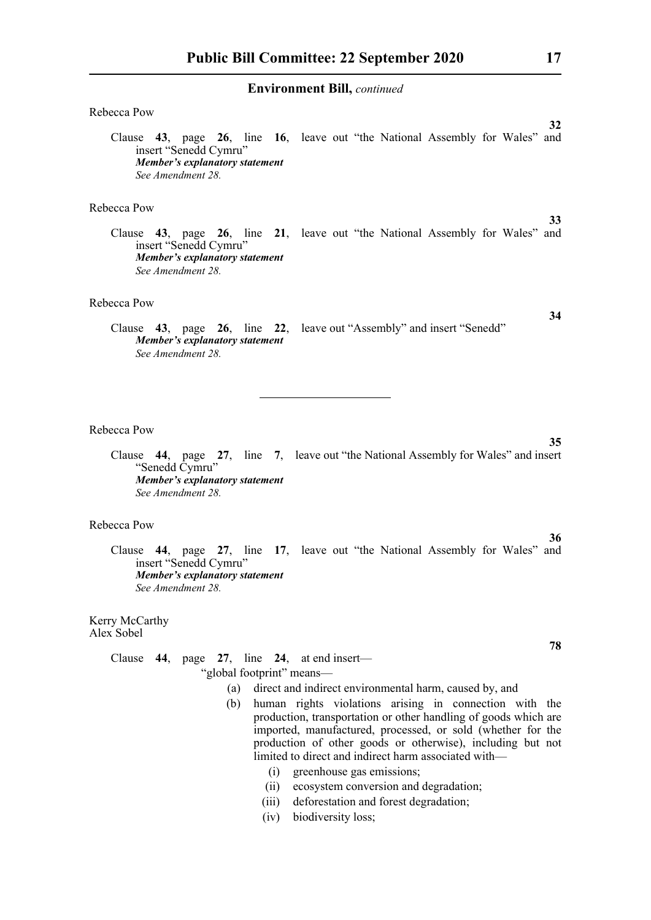| Rebecca Pow                                                                                                                                                                                                                                                                                                                                                                            |
|----------------------------------------------------------------------------------------------------------------------------------------------------------------------------------------------------------------------------------------------------------------------------------------------------------------------------------------------------------------------------------------|
| 32<br>Clause 43, page 26, line 16, leave out "the National Assembly for Wales" and<br>insert "Senedd Cymru"<br>Member's explanatory statement<br>See Amendment 28.                                                                                                                                                                                                                     |
| Rebecca Pow                                                                                                                                                                                                                                                                                                                                                                            |
| 33<br>Clause 43, page 26, line 21, leave out "the National Assembly for Wales" and<br>insert "Senedd Cymru"<br><b>Member's explanatory statement</b><br>See Amendment 28.                                                                                                                                                                                                              |
| Rebecca Pow                                                                                                                                                                                                                                                                                                                                                                            |
| 34<br>Clause 43, page 26, line 22, leave out "Assembly" and insert "Senedd"<br>Member's explanatory statement<br>See Amendment 28.                                                                                                                                                                                                                                                     |
| Rebecca Pow<br>35<br>Clause 44, page 27, line 7, leave out "the National Assembly for Wales" and insert<br>"Senedd Cymru"<br>Member's explanatory statement<br>See Amendment 28.                                                                                                                                                                                                       |
| Rebecca Pow<br>36<br>Clause 44, page 27, line 17, leave out "the National Assembly for Wales" and<br>insert "Senedd Cymru"<br>Member's explanatory statement<br>See Amendment 28.                                                                                                                                                                                                      |
| Kerry McCarthy<br>Alex Sobel                                                                                                                                                                                                                                                                                                                                                           |
| 78<br>Clause $44$ , page $27$ , line $24$ , at end insert—                                                                                                                                                                                                                                                                                                                             |
| "global footprint" means-                                                                                                                                                                                                                                                                                                                                                              |
| direct and indirect environmental harm, caused by, and<br>(a)<br>human rights violations arising in connection with the<br>(b)<br>production, transportation or other handling of goods which are<br>imported, manufactured, processed, or sold (whether for the<br>production of other goods or otherwise), including but not<br>limited to direct and indirect harm associated with- |

- (i) greenhouse gas emissions;
- (ii) ecosystem conversion and degradation;
- (iii) deforestation and forest degradation;
- (iv) biodiversity loss;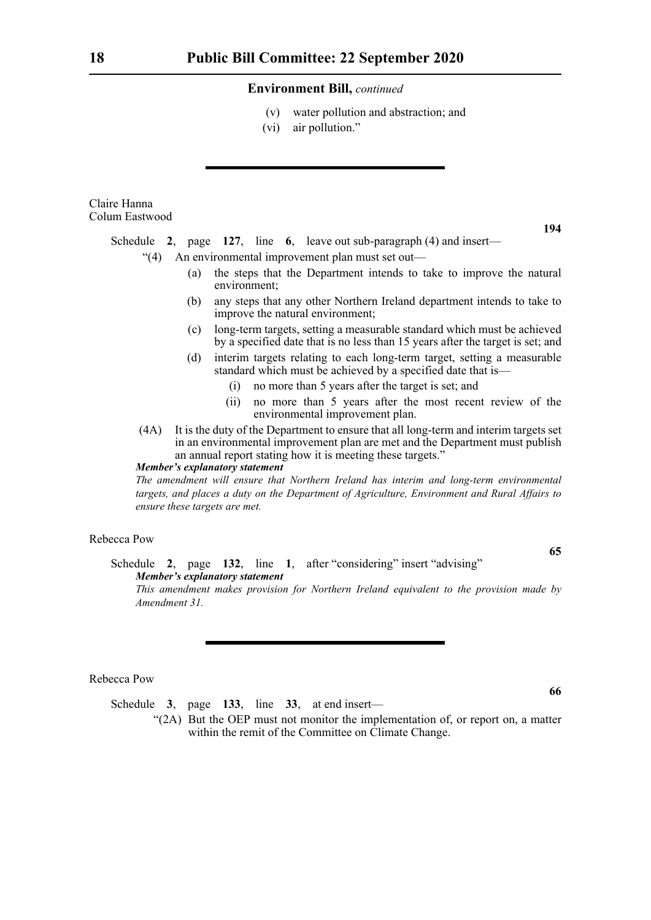- (v) water pollution and abstraction; and
- (vi) air pollution."

Claire Hanna Colum Eastwood

**194**

Schedule **2**, page **127**, line **6**, leave out sub-paragraph (4) and insert—

- "(4) An environmental improvement plan must set out—
	- (a) the steps that the Department intends to take to improve the natural environment;
	- (b) any steps that any other Northern Ireland department intends to take to improve the natural environment;
	- (c) long-term targets, setting a measurable standard which must be achieved by a specified date that is no less than 15 years after the target is set; and
	- (d) interim targets relating to each long-term target, setting a measurable standard which must be achieved by a specified date that is—
		- (i) no more than 5 years after the target is set; and
		- (ii) no more than 5 years after the most recent review of the environmental improvement plan.
- (4A) It is the duty of the Department to ensure that all long-term and interim targets set in an environmental improvement plan are met and the Department must publish an annual report stating how it is meeting these targets."

## *Member's explanatory statement*

*The amendment will ensure that Northern Ireland has interim and long-term environmental targets, and places a duty on the Department of Agriculture, Environment and Rural Affairs to ensure these targets are met.*

### Rebecca Pow

**65**

**66**

Schedule **2**, page **132**, line **1**, after "considering" insert "advising" *Member's explanatory statement* 

*This amendment makes provision for Northern Ireland equivalent to the provision made by Amendment 31.*

## Rebecca Pow

Schedule **3**, page **133**, line **33**, at end insert—

"(2A) But the OEP must not monitor the implementation of, or report on, a matter within the remit of the Committee on Climate Change.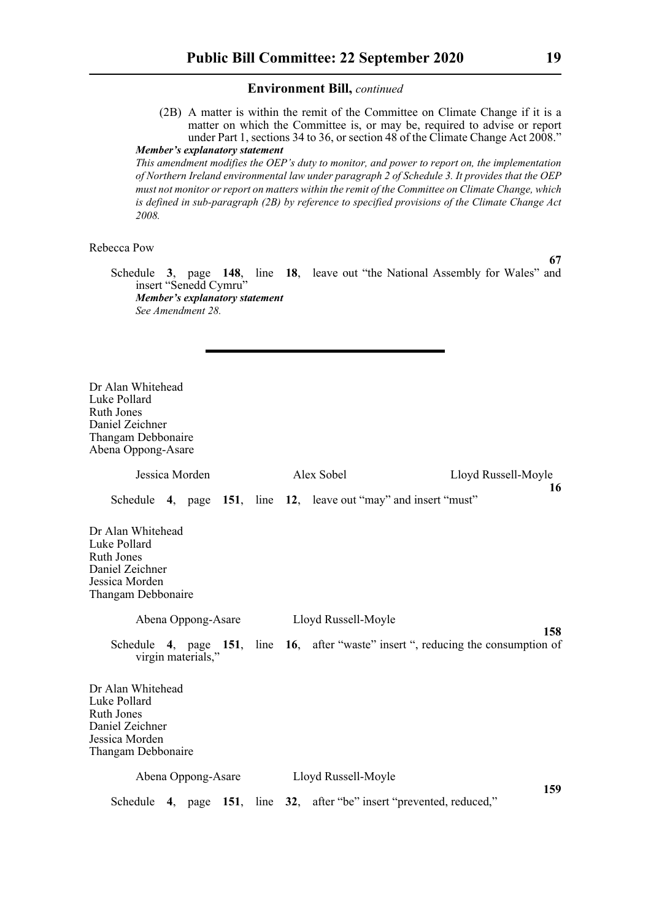(2B) A matter is within the remit of the Committee on Climate Change if it is a matter on which the Committee is, or may be, required to advise or report under Part 1, sections 34 to 36, or section 48 of the Climate Change Act 2008." *Member's explanatory statement* 

*This amendment modifies the OEP's duty to monitor, and power to report on, the implementation of Northern Ireland environmental law under paragraph 2 of Schedule 3. It provides that the OEP must not monitor or report on matters within the remit of the Committee on Climate Change, which is defined in sub-paragraph (2B) by reference to specified provisions of the Climate Change Act 2008.*

## Rebecca Pow

**67**

Schedule **3**, page **148**, line **18**, leave out "the National Assembly for Wales" and insert "Senedd Cymru" *Member's explanatory statement See Amendment 28.*

Dr Alan Whitehead Luke Pollard Ruth Jones Daniel Zeichner Thangam Debbonaire Abena Oppong-Asare

| Jessica Morden                                                                                                    | Alex Sobel | Lloyd Russell-Moyle                                                                       |  |
|-------------------------------------------------------------------------------------------------------------------|------------|-------------------------------------------------------------------------------------------|--|
|                                                                                                                   |            | 16<br>Schedule 4, page 151, line 12, leave out "may" and insert "must"                    |  |
| Dr Alan Whitehead<br>Luke Pollard<br><b>Ruth Jones</b><br>Daniel Zeichner<br>Jessica Morden<br>Thangam Debbonaire |            |                                                                                           |  |
| Abena Oppong-Asare                                                                                                |            | Lloyd Russell-Moyle                                                                       |  |
| virgin materials,"                                                                                                |            | 158<br>Schedule 4, page 151, line 16, after "waste" insert ", reducing the consumption of |  |
| Dr Alan Whitehead<br>Luke Pollard<br><b>Ruth Jones</b><br>Daniel Zeichner<br>Jessica Morden<br>Thangam Debbonaire |            |                                                                                           |  |
| Abena Oppong-Asare                                                                                                |            | Lloyd Russell-Moyle                                                                       |  |
|                                                                                                                   |            | 159<br>Schedule 4, page 151, line 32, after "be" insert "prevented, reduced,"             |  |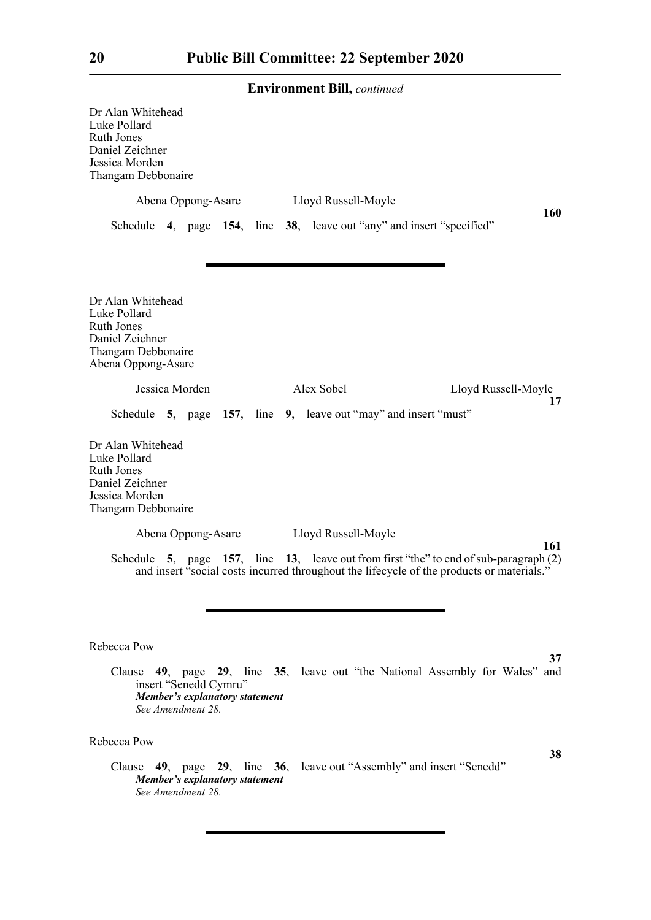| Dr Alan Whitehead<br>Luke Pollard<br><b>Ruth Jones</b><br>Daniel Zeichner<br>Jessica Morden<br>Thangam Debbonaire                                                                           |
|---------------------------------------------------------------------------------------------------------------------------------------------------------------------------------------------|
| Abena Oppong-Asare Lloyd Russell-Moyle                                                                                                                                                      |
| <b>160</b><br>Schedule 4, page 154, line 38, leave out "any" and insert "specified"                                                                                                         |
| Dr Alan Whitehead<br>Luke Pollard<br><b>Ruth Jones</b><br>Daniel Zeichner<br>Thangam Debbonaire<br>Abena Oppong-Asare                                                                       |
| Jessica Morden<br>Alex Sobel<br>Lloyd Russell-Moyle<br>17                                                                                                                                   |
| Schedule 5, page 157, line 9, leave out "may" and insert "must"                                                                                                                             |
| Dr Alan Whitehead<br>Luke Pollard<br><b>Ruth Jones</b><br>Daniel Zeichner<br>Jessica Morden<br>Thangam Debbonaire                                                                           |
| Abena Oppong-Asare Lloyd Russell-Moyle                                                                                                                                                      |
| 161<br>Schedule 5, page 157, line 13, leave out from first "the" to end of sub-paragraph $(2)$<br>and insert "social costs incurred throughout the lifecycle of the products or materials." |
|                                                                                                                                                                                             |
| Rebecca Pow                                                                                                                                                                                 |
| 37<br>Clause 49, page 29, line 35, leave out "the National Assembly for Wales"<br>and<br>insert "Senedd Cymru"<br>Member's explanatory statement<br>See Amendment 28.                       |
| Rebecca Pow                                                                                                                                                                                 |
| 38<br>Clause 49, page 29, line 36, leave out "Assembly" and insert "Senedd"<br><b>Member's explanatory statement</b>                                                                        |

*See Amendment 28.*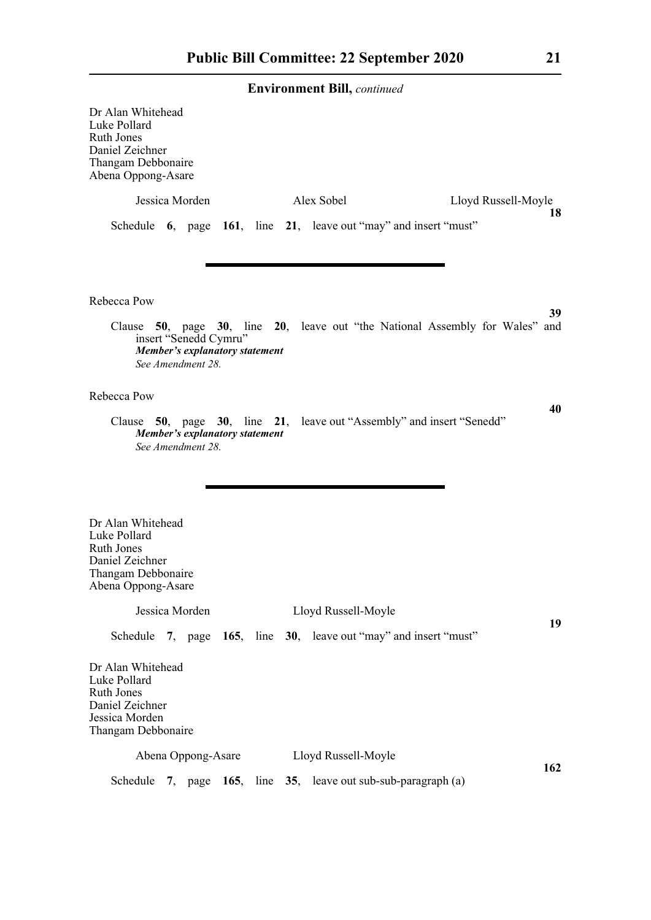| Dr Alan Whitehead<br>Luke Pollard<br>Ruth Jones<br>Daniel Zeichner<br>Thangam Debbonaire<br>Abena Oppong-Asare        |                                                                                     |  |                                                                   |                                                                                    |
|-----------------------------------------------------------------------------------------------------------------------|-------------------------------------------------------------------------------------|--|-------------------------------------------------------------------|------------------------------------------------------------------------------------|
|                                                                                                                       | Jessica Morden                                                                      |  | Alex Sobel                                                        | Lloyd Russell-Moyle                                                                |
|                                                                                                                       |                                                                                     |  | Schedule 6, page 161, line 21, leave out "may" and insert "must"  | 18                                                                                 |
| Rebecca Pow                                                                                                           |                                                                                     |  |                                                                   |                                                                                    |
|                                                                                                                       | insert "Senedd Cymru"<br><b>Member's explanatory statement</b><br>See Amendment 28. |  |                                                                   | 39<br>Clause 50, page 30, line 20, leave out "the National Assembly for Wales" and |
| Rebecca Pow                                                                                                           |                                                                                     |  |                                                                   |                                                                                    |
|                                                                                                                       | Member's explanatory statement<br>See Amendment 28.                                 |  |                                                                   | 40<br>Clause 50, page 30, line 21, leave out "Assembly" and insert "Senedd"        |
| Dr Alan Whitehead<br>Luke Pollard<br><b>Ruth Jones</b><br>Daniel Zeichner<br>Thangam Debbonaire<br>Abena Oppong-Asare |                                                                                     |  |                                                                   |                                                                                    |
|                                                                                                                       | Jessica Morden                                                                      |  | Lloyd Russell-Moyle                                               |                                                                                    |
|                                                                                                                       |                                                                                     |  | Schedule 7, page 165, line 30, leave out "may" and insert "must"  | 19                                                                                 |
| Dr Alan Whitehead<br>Luke Pollard<br>Ruth Jones<br>Daniel Zeichner<br>Jessica Morden<br>Thangam Debbonaire            |                                                                                     |  |                                                                   |                                                                                    |
|                                                                                                                       |                                                                                     |  | Abena Oppong-Asare Lloyd Russell-Moyle                            |                                                                                    |
|                                                                                                                       |                                                                                     |  | Schedule 7, page $165$ , line 35, leave out sub-sub-paragraph (a) | 162                                                                                |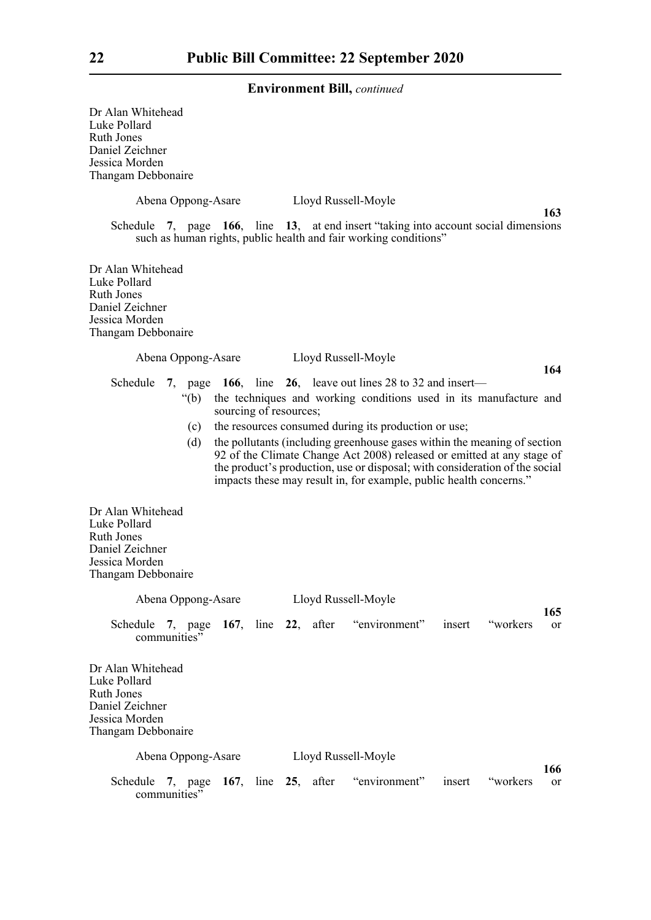| Dr Alan Whitehead<br>Luke Pollard<br><b>Ruth Jones</b><br>Daniel Zeichner<br>Jessica Morden<br>Thangam Debbonaire<br>Abena Oppong-Asare<br>Lloyd Russell-Moyle<br>163<br>Schedule 7, page 166, line 13, at end insert "taking into account social dimensions"                                                  |
|----------------------------------------------------------------------------------------------------------------------------------------------------------------------------------------------------------------------------------------------------------------------------------------------------------------|
| such as human rights, public health and fair working conditions"<br>Dr Alan Whitehead<br>Luke Pollard<br><b>Ruth Jones</b><br>Daniel Zeichner<br>Jessica Morden<br>Thangam Debbonaire                                                                                                                          |
| Abena Oppong-Asare<br>Lloyd Russell-Moyle<br>164                                                                                                                                                                                                                                                               |
| 7, page 166, line 26, leave out lines 28 to 32 and insert—<br>Schedule                                                                                                                                                                                                                                         |
| the techniques and working conditions used in its manufacture and<br>" $(b)$<br>sourcing of resources;                                                                                                                                                                                                         |
| the resources consumed during its production or use;<br>(c)                                                                                                                                                                                                                                                    |
| the pollutants (including greenhouse gases within the meaning of section<br>(d)<br>92 of the Climate Change Act 2008) released or emitted at any stage of<br>the product's production, use or disposal; with consideration of the social<br>impacts these may result in, for example, public health concerns." |
| Dr Alan Whitehead<br>Luke Pollard<br>Ruth Jones<br>Daniel Zeichner<br>Jessica Morden<br>Thangam Debbonaire                                                                                                                                                                                                     |
| Lloyd Russell-Moyle<br>Abena Oppong-Asare                                                                                                                                                                                                                                                                      |
| 165<br>Schedule 7, page 167, line 22, after "environment"<br>insert "workers"<br><b>or</b><br>communities"                                                                                                                                                                                                     |
| Dr Alan Whitehead<br>Luke Pollard<br><b>Ruth Jones</b><br>Daniel Zeichner<br>Jessica Morden<br>Thangam Debbonaire                                                                                                                                                                                              |
| Lloyd Russell-Moyle<br>Abena Oppong-Asare                                                                                                                                                                                                                                                                      |
| 166<br>"environment"<br>Schedule 7, page 167, line 25, after<br>insert<br>"workers"<br>or<br>communities"                                                                                                                                                                                                      |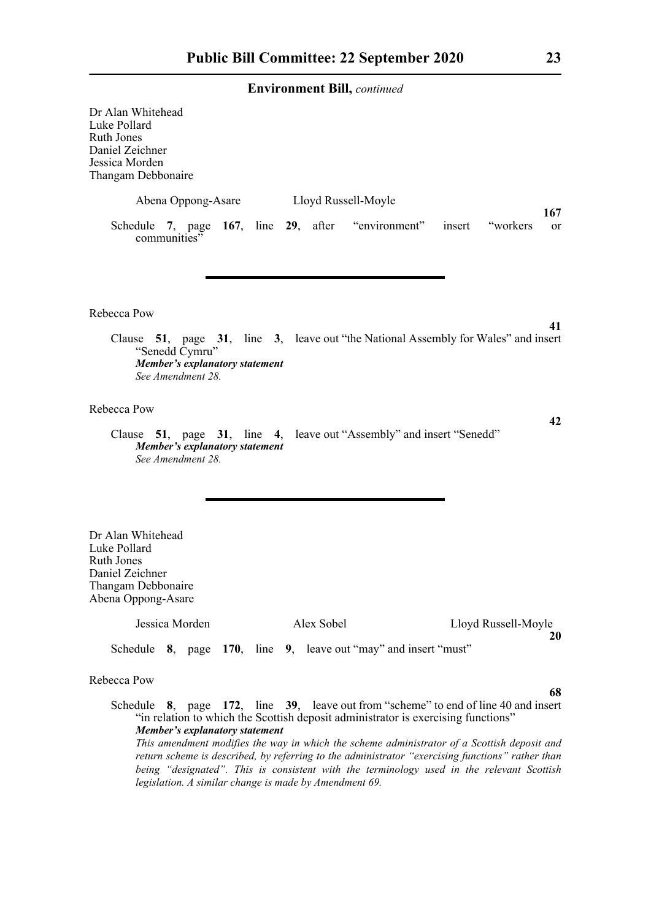| Dr Alan Whitehead<br>Luke Pollard<br>Ruth Jones<br>Daniel Zeichner<br>Jessica Morden<br>Thangam Debbonaire     |                                                                              |  |                     |  |  |          |                     |  |
|----------------------------------------------------------------------------------------------------------------|------------------------------------------------------------------------------|--|---------------------|--|--|----------|---------------------|--|
|                                                                                                                | Abena Oppong-Asare                                                           |  | Lloyd Russell-Moyle |  |  |          |                     |  |
| Schedule 7, page 167, line 29, after "environment" insert<br>communities"                                      |                                                                              |  |                     |  |  | "workers | 167<br><b>or</b>    |  |
|                                                                                                                |                                                                              |  |                     |  |  |          |                     |  |
| Rebecca Pow                                                                                                    |                                                                              |  |                     |  |  |          |                     |  |
| Clause 51, page 31, line 3, leave out "the National Assembly for Wales" and insert                             | "Senedd Cymru"<br><b>Member's explanatory statement</b><br>See Amendment 28. |  |                     |  |  |          | 41                  |  |
| Rebecca Pow                                                                                                    |                                                                              |  |                     |  |  |          |                     |  |
| Clause 51, page 31, line 4, leave out "Assembly" and insert "Senedd"                                           | Member's explanatory statement<br>See Amendment 28.                          |  |                     |  |  |          | 42                  |  |
| Dr Alan Whitehead<br>Luke Pollard<br>Ruth Jones<br>Daniel Zeichner<br>Thangam Debbonaire<br>Abena Oppong-Asare |                                                                              |  |                     |  |  |          |                     |  |
|                                                                                                                | Jessica Morden                                                               |  | Alex Sobel          |  |  |          | Lloyd Russell-Moyle |  |
| Schedule 8, page 170, line 9, leave out "may" and insert "must"                                                |                                                                              |  |                     |  |  |          | 20                  |  |
| Rebecca Pow                                                                                                    |                                                                              |  |                     |  |  |          |                     |  |
| Schedule 8, page 172, line 39, leave out from "scheme" to end of line 40 and insert                            |                                                                              |  |                     |  |  |          | 68                  |  |

"in relation to which the Scottish deposit administrator is exercising functions" *Member's explanatory statement This amendment modifies the way in which the scheme administrator of a Scottish deposit and return scheme is described, by referring to the administrator "exercising functions" rather than being "designated". This is consistent with the terminology used in the relevant Scottish legislation. A similar change is made by Amendment 69.*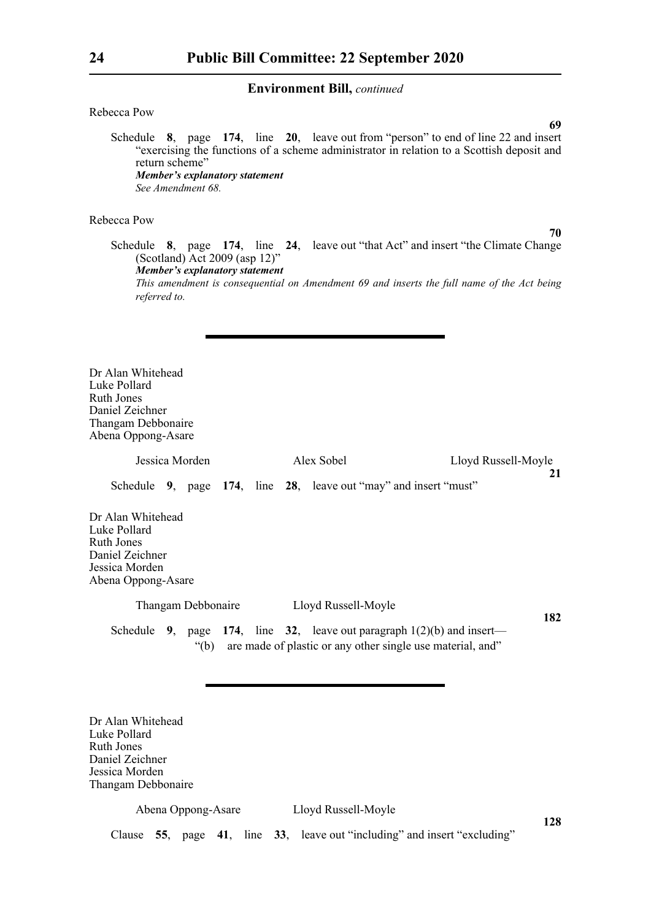## Rebecca Pow

Schedule **8**, page **174**, line **20**, leave out from "person" to end of line 22 and insert "exercising the functions of a scheme administrator in relation to a Scottish deposit and return scheme" *Member's explanatory statement See Amendment 68.*

### Rebecca Pow

**70**

**69**

Schedule **8**, page **174**, line **24**, leave out "that Act" and insert "the Climate Change (Scotland) Act 2009 (asp 12)" *Member's explanatory statement This amendment is consequential on Amendment 69 and inserts the full name of the Act being referred to.*

Dr Alan Whitehead Luke Pollard Ruth Jones Daniel Zeichner Thangam Debbonaire Abena Oppong-Asare

Jessica Morden Alex Sobel Lloyd Russell-Moyle

**21**

Schedule **9**, page **174**, line **28**, leave out "may" and insert "must"

Dr Alan Whitehead Luke Pollard Ruth Jones Daniel Zeichner Jessica Morden Abena Oppong-Asare

Thangam Debbonaire Lloyd Russell-Moyle

**182**

Schedule **9**, page **174**, line **32**, leave out paragraph 1(2)(b) and insert— "(b) are made of plastic or any other single use material, and"

Dr Alan Whitehead Luke Pollard Ruth Jones Daniel Zeichner Jessica Morden Thangam Debbonaire

Abena Oppong-Asare Lloyd Russell-Moyle

**128**

Clause **55**, page **41**, line **33**, leave out "including" and insert "excluding"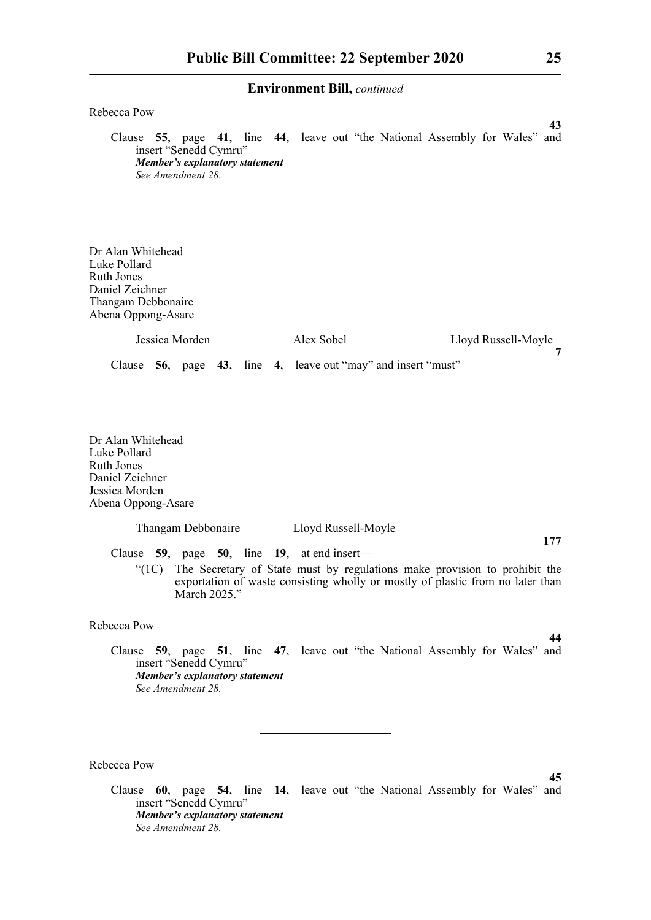| 211 v 11 011111101110 191111, connuncu                                                                                                                                                                                                 |
|----------------------------------------------------------------------------------------------------------------------------------------------------------------------------------------------------------------------------------------|
| Rebecca Pow<br>43                                                                                                                                                                                                                      |
| Clause 55, page 41, line 44, leave out "the National Assembly for Wales" and<br>insert "Senedd Cymru"<br>Member's explanatory statement<br>See Amendment 28.                                                                           |
|                                                                                                                                                                                                                                        |
| Dr Alan Whitehead<br>Luke Pollard<br><b>Ruth Jones</b><br>Daniel Zeichner<br>Thangam Debbonaire<br>Abena Oppong-Asare                                                                                                                  |
| Jessica Morden<br>Alex Sobel<br>Lloyd Russell-Moyle                                                                                                                                                                                    |
| 7<br>Clause 56, page 43, line 4, leave out "may" and insert "must"                                                                                                                                                                     |
| Dr Alan Whitehead<br>Luke Pollard<br><b>Ruth Jones</b><br>Daniel Zeichner<br>Jessica Morden<br>Abena Oppong-Asare                                                                                                                      |
| Lloyd Russell-Moyle<br>Thangam Debbonaire<br>177                                                                                                                                                                                       |
| Clause $59$ , page $50$ , line 19, at end insert—<br>"(1C) The Secretary of State must by regulations make provision to prohibit the<br>exportation of waste consisting wholly or mostly of plastic from no later than<br>March 2025." |
| Rebecca Pow                                                                                                                                                                                                                            |
| 44<br>Clause 59, page 51, line 47, leave out "the National Assembly for Wales" and<br>insert "Senedd Cymru"<br>Member's explanatory statement<br>See Amendment 28.                                                                     |
|                                                                                                                                                                                                                                        |
| Rebecca Pow<br>45<br>Clause 60, page 54, line 14, leave out "the National Assembly for Wales"<br>and<br>insert "Senedd Cymru"<br>Member's explanatory statement<br>See Amendment 28.                                                   |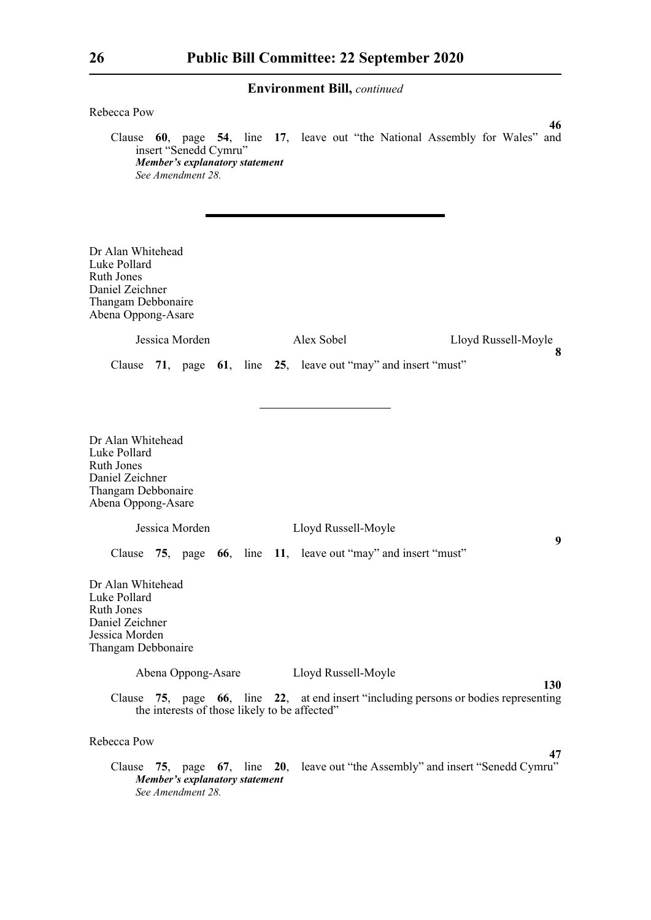| Rebecca Pow                                                                                                           |                                               |                                                                                      | 46                       |
|-----------------------------------------------------------------------------------------------------------------------|-----------------------------------------------|--------------------------------------------------------------------------------------|--------------------------|
| insert "Senedd Cymru"<br>See Amendment 28.                                                                            | Member's explanatory statement                | Clause 60, page 54, line 17, leave out "the National Assembly for Wales" and         |                          |
| Dr Alan Whitehead<br>Luke Pollard<br><b>Ruth Jones</b><br>Daniel Zeichner<br>Thangam Debbonaire<br>Abena Oppong-Asare |                                               |                                                                                      |                          |
| Jessica Morden                                                                                                        |                                               | Alex Sobel                                                                           | Lloyd Russell-Moyle<br>8 |
|                                                                                                                       |                                               | Clause 71, page 61, line 25, leave out "may" and insert "must"                       |                          |
| Dr Alan Whitehead<br>Luke Pollard<br><b>Ruth Jones</b><br>Daniel Zeichner<br>Thangam Debbonaire<br>Abena Oppong-Asare |                                               |                                                                                      |                          |
| Jessica Morden                                                                                                        |                                               | Lloyd Russell-Moyle                                                                  |                          |
|                                                                                                                       |                                               | Clause 75, page 66, line 11, leave out "may" and insert "must"                       | 9                        |
| Dr Alan Whitehead<br>Luke Pollard<br><b>Ruth Jones</b><br>Daniel Zeichner<br>Jessica Morden<br>Thangam Debbonaire     |                                               |                                                                                      |                          |
|                                                                                                                       | Abena Oppong-Asare                            | Lloyd Russell-Moyle                                                                  |                          |
|                                                                                                                       | the interests of those likely to be affected" | Clause 75, page 66, line 22, at end insert "including persons or bodies representing | 130                      |
| Rebecca Pow                                                                                                           |                                               |                                                                                      |                          |
| See Amendment 28.                                                                                                     | <b>Member's explanatory statement</b>         | Clause 75, page 67, line 20, leave out "the Assembly" and insert "Senedd Cymru"      | 47                       |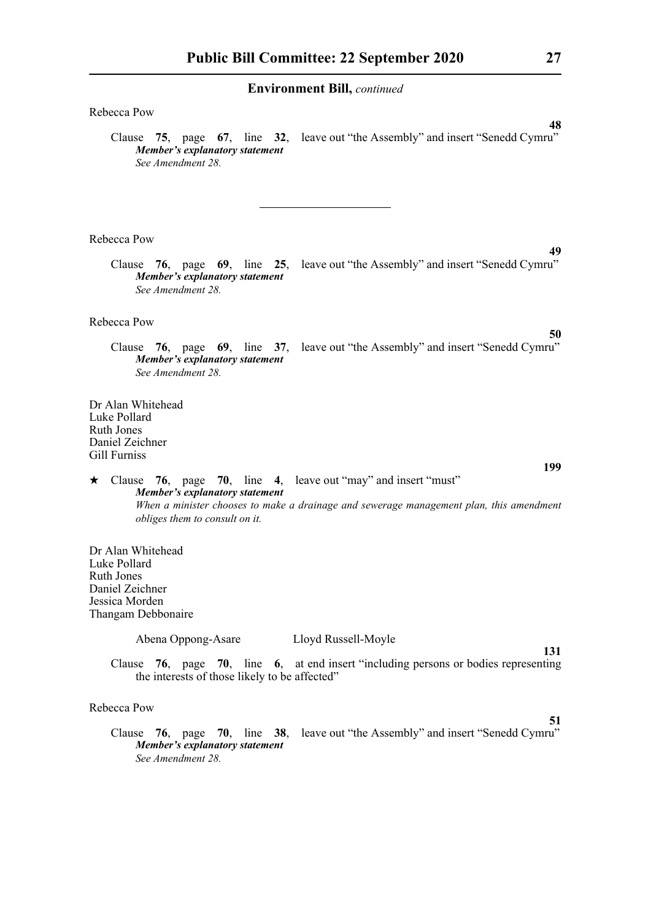| Rebecca Pow                                                                                                                                                        |
|--------------------------------------------------------------------------------------------------------------------------------------------------------------------|
| 48<br>Clause 75, page 67, line 32, leave out "the Assembly" and insert "Senedd Cymru"<br>Member's explanatory statement<br>See Amendment 28.                       |
| Rebecca Pow                                                                                                                                                        |
| 49<br>Clause 76, page 69, line 25, leave out "the Assembly" and insert "Senedd Cymru"<br><b>Member's explanatory statement</b><br>See Amendment 28.                |
| Rebecca Pow<br>50                                                                                                                                                  |
| Clause 76, page 69, line 37, leave out "the Assembly" and insert "Senedd Cymru"<br>Member's explanatory statement<br>See Amendment 28                              |
| Dr Alan Whitehead<br>Luke Pollard<br>Ruth Jones<br>Daniel Zeichner<br>Gill Furniss                                                                                 |
| 199<br>$\star$ Clause 76, page 70, line 4, leave out "may" and insert "must"                                                                                       |
| <b>Member's explanatory statement</b><br>When a minister chooses to make a drainage and sewerage management plan, this amendment<br>obliges them to consult on it. |
| Dr Alan Whitehead<br>Luke Pollard<br><b>Ruth Jones</b><br>Daniel Zeichner<br>Jessica Morden<br>Thangam Debbonaire                                                  |
| Abena Oppong-Asare<br>Lloyd Russell-Moyle<br>131                                                                                                                   |
| Clause 76, page 70, line 6, at end insert "including persons or bodies representing<br>the interests of those likely to be affected"                               |
| Rebecca Pow                                                                                                                                                        |
| 51<br>Clause 76, page 70, line 38, leave out "the Assembly" and insert "Senedd Cymru"<br>Member's explanatory statement<br>See Amendment 28.                       |
|                                                                                                                                                                    |
|                                                                                                                                                                    |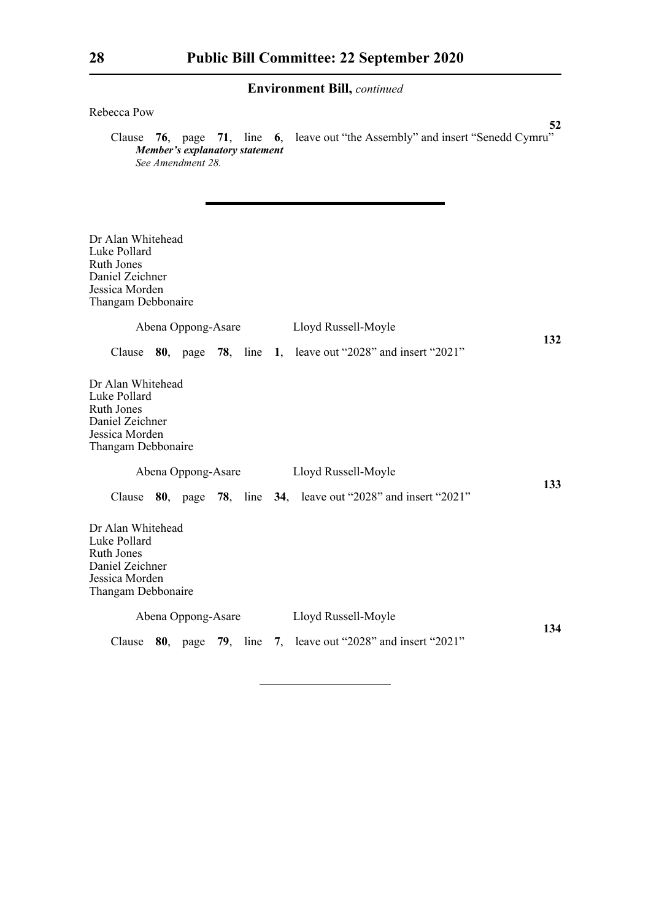## Rebecca Pow

**52** Clause **76**, page **71**, line **6**, leave out "the Assembly" and insert "Senedd Cymru" *Member's explanatory statement See Amendment 28.*

| Dr Alan Whitehead<br>Luke Pollard<br><b>Ruth Jones</b><br>Daniel Zeichner<br>Jessica Morden<br>Thangam Debbonaire<br>Abena Oppong-Asare | Lloyd Russell-Moyle                                                     |     |
|-----------------------------------------------------------------------------------------------------------------------------------------|-------------------------------------------------------------------------|-----|
|                                                                                                                                         |                                                                         | 132 |
|                                                                                                                                         | Clause $80$ , page 78, line 1, leave out "2028" and insert "2021"       |     |
| Dr Alan Whitehead<br>Luke Pollard<br><b>Ruth Jones</b><br>Daniel Zeichner<br>Jessica Morden<br>Thangam Debbonaire                       |                                                                         |     |
| Abena Oppong-Asare                                                                                                                      | Lloyd Russell-Moyle                                                     |     |
|                                                                                                                                         | Clause $80$ , page 78, line 34, leave out "2028" and insert "2021"      | 133 |
| Dr Alan Whitehead<br>Luke Pollard<br><b>Ruth Jones</b><br>Daniel Zeichner<br>Jessica Morden<br>Thangam Debbonaire                       |                                                                         |     |
| Abena Oppong-Asare                                                                                                                      | Lloyd Russell-Moyle                                                     |     |
|                                                                                                                                         | Clause $80$ , page $79$ , line $7$ , leave out "2028" and insert "2021" | 134 |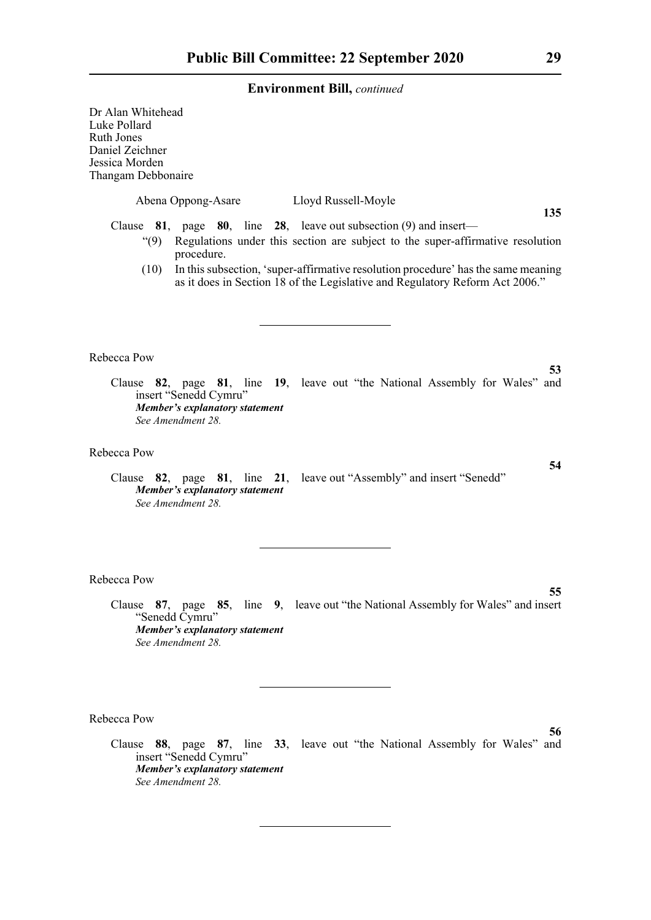Dr Alan Whitehead Luke Pollard Ruth Jones Daniel Zeichner Jessica Morden Thangam Debbonaire Abena Oppong-Asare Lloyd Russell-Moyle **135** Clause **81**, page **80**, line **28**, leave out subsection (9) and insert— "(9) Regulations under this section are subject to the super-affirmative resolution procedure. (10) In this subsection, 'super-affirmative resolution procedure' has the same meaning as it does in Section 18 of the Legislative and Regulatory Reform Act 2006." Rebecca Pow **53** Clause **82**, page **81**, line **19**, leave out "the National Assembly for Wales" and insert "Senedd Cymru" *Member's explanatory statement See Amendment 28.* Rebecca Pow **54** Clause **82**, page **81**, line **21**, leave out "Assembly" and insert "Senedd" *Member's explanatory statement See Amendment 28.* Rebecca Pow **55** Clause **87**, page **85**, line **9**, leave out "the National Assembly for Wales" and insert "Senedd Cymru" *Member's explanatory statement See Amendment 28.*

Rebecca Pow

Clause **88**, page **87**, line **33**, leave out "the National Assembly for Wales" and insert "Senedd Cymru" *Member's explanatory statement See Amendment 28.*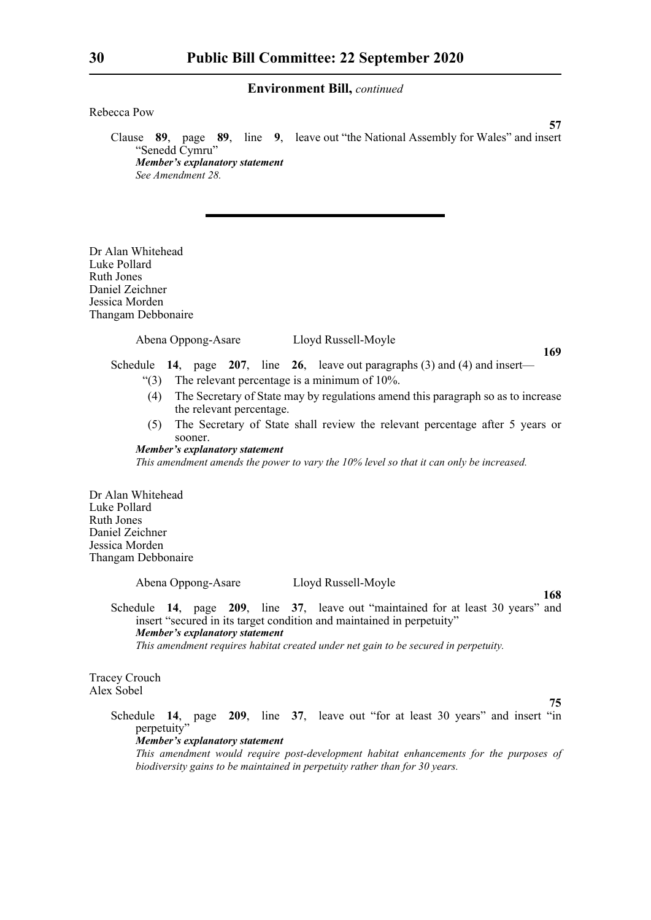Rebecca Pow

Clause **89**, page **89**, line **9**, leave out "the National Assembly for Wales" and insert "Senedd Cymru" *Member's explanatory statement See Amendment 28.*

Dr Alan Whitehead Luke Pollard Ruth Jones Daniel Zeichner Jessica Morden Thangam Debbonaire

Abena Oppong-Asare Lloyd Russell-Moyle

**169**

**57**

Schedule **14**, page **207**, line **26**, leave out paragraphs (3) and (4) and insert—

- "(3) The relevant percentage is a minimum of 10%.
- (4) The Secretary of State may by regulations amend this paragraph so as to increase the relevant percentage.
- (5) The Secretary of State shall review the relevant percentage after 5 years or sooner.

## *Member's explanatory statement*

*This amendment amends the power to vary the 10% level so that it can only be increased.*

Dr Alan Whitehead Luke Pollard Ruth Jones Daniel Zeichner Jessica Morden Thangam Debbonaire

Abena Oppong-Asare Lloyd Russell-Moyle

**168**

Schedule **14**, page **209**, line **37**, leave out "maintained for at least 30 years" and insert "secured in its target condition and maintained in perpetuity" *Member's explanatory statement This amendment requires habitat created under net gain to be secured in perpetuity.*

Tracey Crouch Alex Sobel

**75**

Schedule **14**, page **209**, line **37**, leave out "for at least 30 years" and insert "in perpetuity" *Member's explanatory statement* 

*This amendment would require post-development habitat enhancements for the purposes of biodiversity gains to be maintained in perpetuity rather than for 30 years.*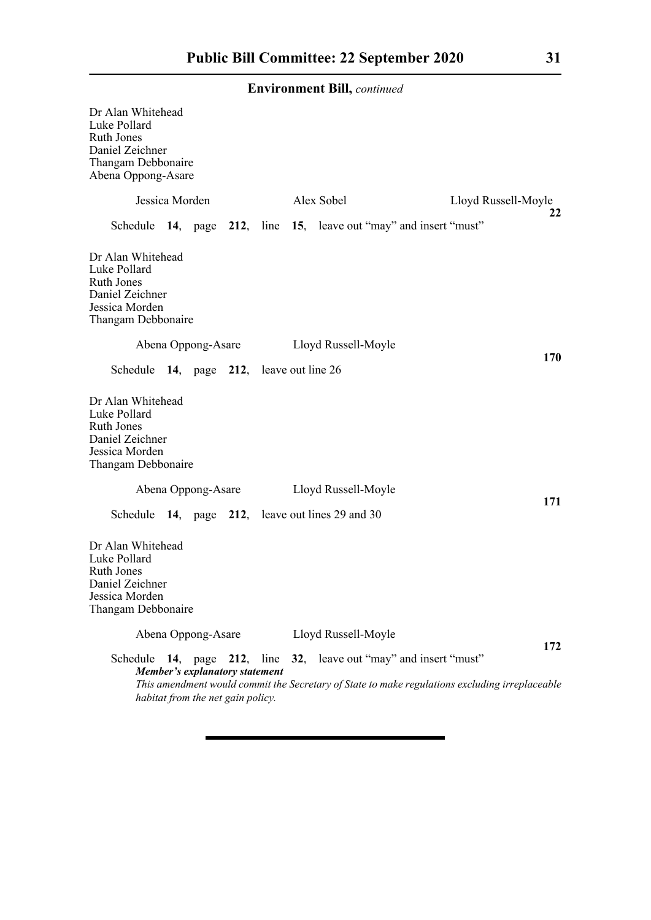| Dr Alan Whitehead<br>Luke Pollard<br><b>Ruth Jones</b><br>Daniel Zeichner<br>Thangam Debbonaire<br>Abena Oppong-Asare |                                                                     |  |                                                                                                                                                                     |                     |
|-----------------------------------------------------------------------------------------------------------------------|---------------------------------------------------------------------|--|---------------------------------------------------------------------------------------------------------------------------------------------------------------------|---------------------|
| Jessica Morden                                                                                                        |                                                                     |  | Alex Sobel                                                                                                                                                          | Lloyd Russell-Moyle |
|                                                                                                                       |                                                                     |  | Schedule 14, page 212, line 15, leave out "may" and insert "must"                                                                                                   | 22                  |
| Dr Alan Whitehead<br>Luke Pollard<br>Ruth Jones<br>Daniel Zeichner<br>Jessica Morden<br>Thangam Debbonaire            |                                                                     |  |                                                                                                                                                                     |                     |
| Abena Oppong-Asare                                                                                                    |                                                                     |  | Lloyd Russell-Moyle                                                                                                                                                 | 170                 |
| Schedule 14, page 212, leave out line 26                                                                              |                                                                     |  |                                                                                                                                                                     |                     |
| Dr Alan Whitehead<br>Luke Pollard<br>Ruth Jones<br>Daniel Zeichner<br>Jessica Morden<br>Thangam Debbonaire            |                                                                     |  |                                                                                                                                                                     |                     |
|                                                                                                                       | Abena Oppong-Asare                                                  |  | Lloyd Russell-Moyle                                                                                                                                                 | 171                 |
|                                                                                                                       |                                                                     |  | Schedule 14, page 212, leave out lines 29 and 30                                                                                                                    |                     |
| Dr Alan Whitehead<br>Luke Pollard<br><b>Ruth Jones</b><br>Daniel Zeichner<br>Jessica Morden<br>Thangam Debbonaire     |                                                                     |  |                                                                                                                                                                     |                     |
|                                                                                                                       | Abena Oppong-Asare                                                  |  | Lloyd Russell-Moyle                                                                                                                                                 |                     |
|                                                                                                                       | Member's explanatory statement<br>habitat from the net gain policy. |  | Schedule 14, page 212, line 32, leave out "may" and insert "must"<br>This amendment would commit the Secretary of State to make regulations excluding irreplaceable | 172                 |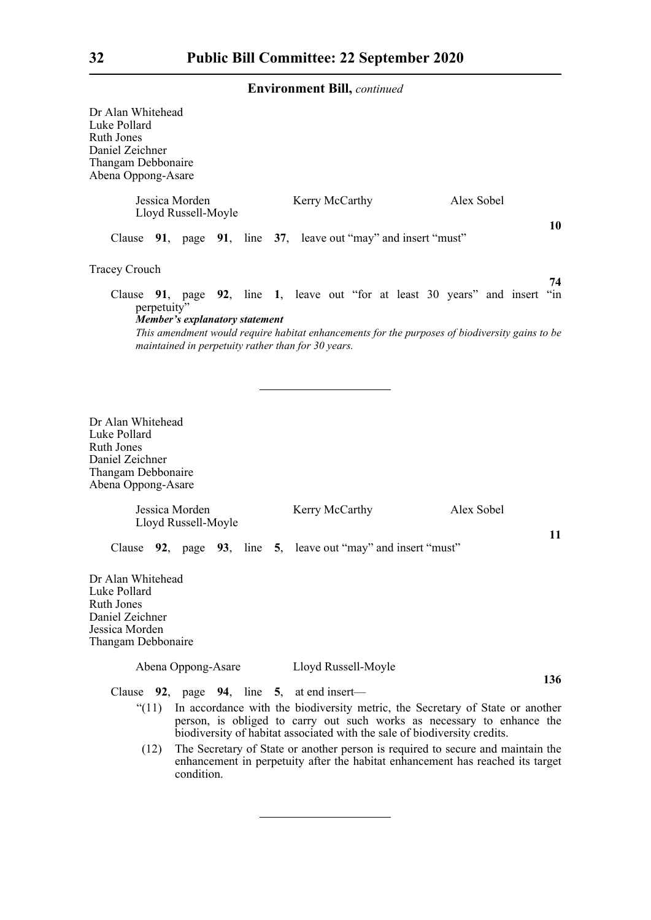| Dr Alan Whitehead<br>Luke Pollard<br><b>Ruth Jones</b><br>Daniel Zeichner<br>Thangam Debbonaire<br>Abena Oppong-Asare                                                           |                                       |  |                                                    |  |                                                                                                                                                                                                                                                                                                                                                                                                           |     |
|---------------------------------------------------------------------------------------------------------------------------------------------------------------------------------|---------------------------------------|--|----------------------------------------------------|--|-----------------------------------------------------------------------------------------------------------------------------------------------------------------------------------------------------------------------------------------------------------------------------------------------------------------------------------------------------------------------------------------------------------|-----|
|                                                                                                                                                                                 | Jessica Morden<br>Lloyd Russell-Moyle |  | Kerry McCarthy                                     |  | Alex Sobel                                                                                                                                                                                                                                                                                                                                                                                                | 10  |
| Clause 91, page 91, line 37, leave out "may" and insert "must"                                                                                                                  |                                       |  |                                                    |  |                                                                                                                                                                                                                                                                                                                                                                                                           |     |
| <b>Tracey Crouch</b>                                                                                                                                                            |                                       |  |                                                    |  |                                                                                                                                                                                                                                                                                                                                                                                                           | 74  |
| Clause 91, page 92, line 1, leave out "for at least 30 years" and insert "in<br>perpetuity"                                                                                     | <b>Member's explanatory statement</b> |  | maintained in perpetuity rather than for 30 years. |  | This amendment would require habitat enhancements for the purposes of biodiversity gains to be                                                                                                                                                                                                                                                                                                            |     |
| Dr Alan Whitehead<br>Luke Pollard<br>Ruth Jones<br>Daniel Zeichner<br>Thangam Debbonaire<br>Abena Oppong-Asare<br>Clause 92, page 93, line 5, leave out "may" and insert "must" | Jessica Morden<br>Lloyd Russell-Moyle |  | Kerry McCarthy                                     |  | Alex Sobel                                                                                                                                                                                                                                                                                                                                                                                                | 11  |
| Dr Alan Whitehead<br>Luke Pollard<br><b>Ruth Jones</b><br>Daniel Zeichner<br>Jessica Morden<br>Thangam Debbonaire                                                               |                                       |  |                                                    |  |                                                                                                                                                                                                                                                                                                                                                                                                           |     |
|                                                                                                                                                                                 | Abena Oppong-Asare                    |  | Lloyd Russell-Moyle                                |  |                                                                                                                                                                                                                                                                                                                                                                                                           | 136 |
| Clause 92, page 94, line 5, at end insert—<br>" $(11)$<br>(12)                                                                                                                  |                                       |  |                                                    |  | In accordance with the biodiversity metric, the Secretary of State or another<br>person, is obliged to carry out such works as necessary to enhance the<br>biodiversity of habitat associated with the sale of biodiversity credits.<br>The Secretary of State or another person is required to secure and maintain the<br>enhancement in perpetuity after the habitat enhancement has reached its target |     |

enhancement in perpetuity after the habitat enhancement has reached its target condition.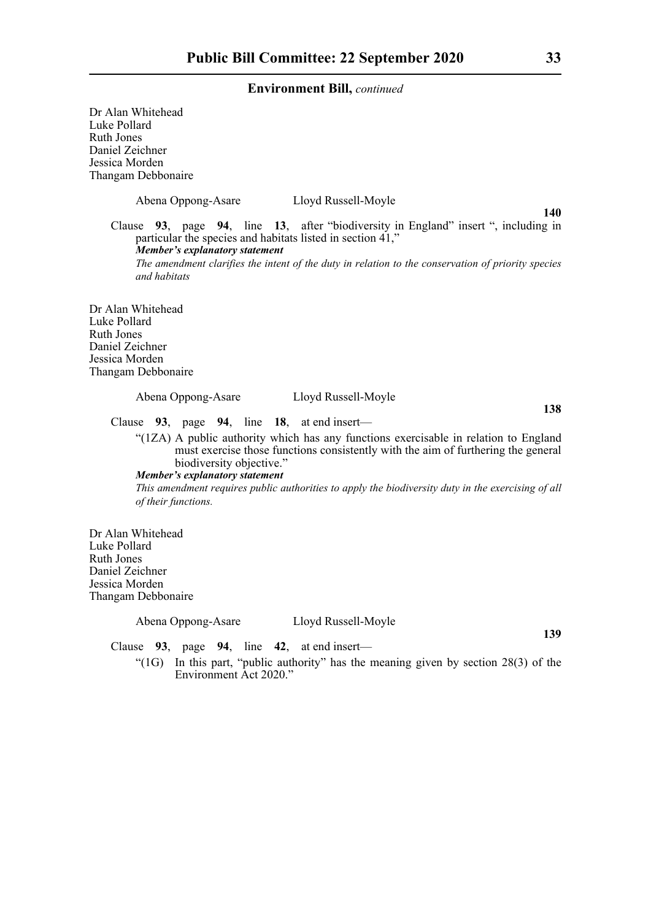Dr Alan Whitehead Luke Pollard Ruth Jones Daniel Zeichner Jessica Morden Thangam Debbonaire Abena Oppong-Asare Lloyd Russell-Moyle **140** Clause **93**, page **94**, line **13**, after "biodiversity in England" insert ", including in particular the species and habitats listed in section 41," *Member's explanatory statement The amendment clarifies the intent of the duty in relation to the conservation of priority species and habitats* Dr Alan Whitehead Luke Pollard Ruth Jones Daniel Zeichner Jessica Morden Thangam Debbonaire Abena Oppong-Asare Lloyd Russell-Moyle **138** Clause **93**, page **94**, line **18**, at end insert— "(1ZA) A public authority which has any functions exercisable in relation to England must exercise those functions consistently with the aim of furthering the general biodiversity objective." *Member's explanatory statement This amendment requires public authorities to apply the biodiversity duty in the exercising of all of their functions.* Dr Alan Whitehead Luke Pollard Ruth Jones

"(1G) In this part, "public authority" has the meaning given by section 28(3) of the

Abena Oppong-Asare Lloyd Russell-Moyle

Clause **93**, page **94**, line **42**, at end insert—

Environment Act 2020."

Daniel Zeichner Jessica Morden Thangam Debbonaire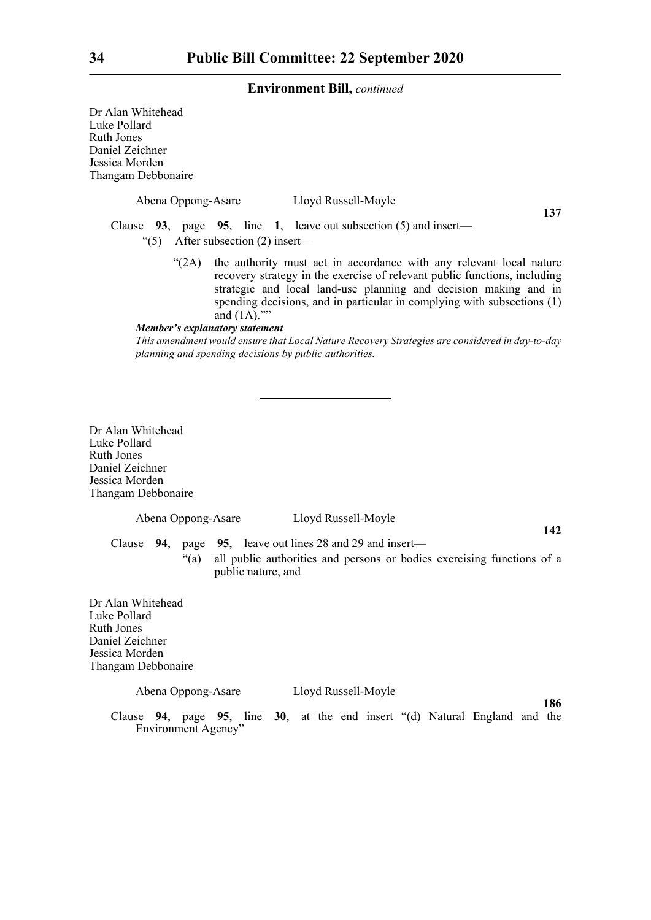Dr Alan Whitehead Luke Pollard Ruth Jones Daniel Zeichner Jessica Morden Thangam Debbonaire Abena Oppong-Asare Lloyd Russell-Moyle **137** Clause **93**, page **95**, line **1**, leave out subsection (5) and insert— "(5) After subsection (2) insert— "(2A) the authority must act in accordance with any relevant local nature recovery strategy in the exercise of relevant public functions, including strategic and local land-use planning and decision making and in spending decisions, and in particular in complying with subsections (1) and (1A)."" *Member's explanatory statement This amendment would ensure that Local Nature Recovery Strategies are considered in day-to-day planning and spending decisions by public authorities.* Dr Alan Whitehead Luke Pollard Ruth Jones Daniel Zeichner Jessica Morden Thangam Debbonaire Abena Oppong-Asare Lloyd Russell-Moyle **142** Clause **94**, page **95**, leave out lines 28 and 29 and insert—

"(a) all public authorities and persons or bodies exercising functions of a public nature, and

Dr Alan Whitehead Luke Pollard Ruth Jones Daniel Zeichner Jessica Morden Thangam Debbonaire

#### Abena Oppong-Asare Lloyd Russell-Moyle

**186** Clause **94**, page **95**, line **30**, at the end insert "(d) Natural England and the Environment Agency"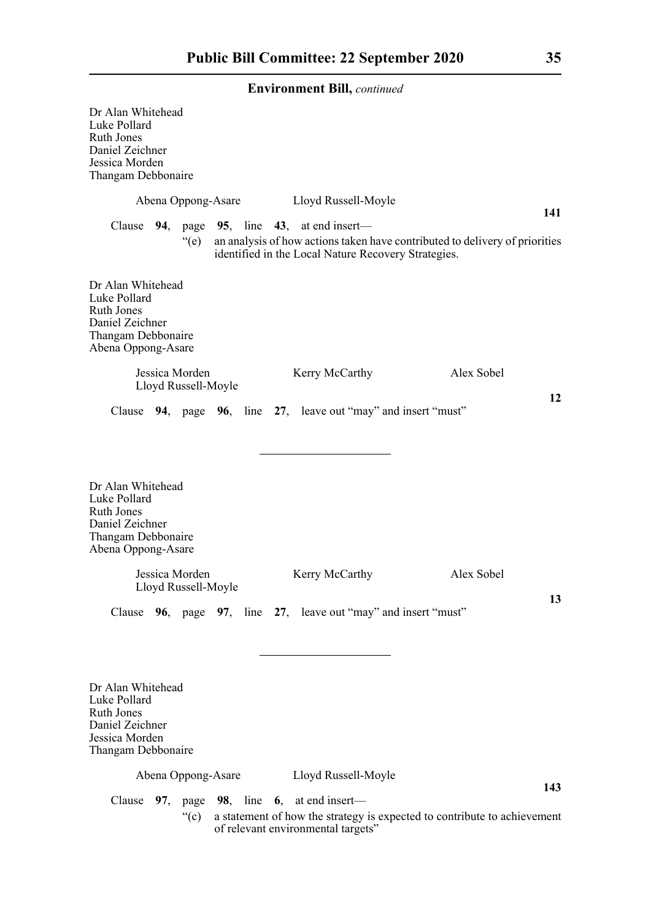| Dr Alan Whitehead<br>Luke Pollard<br><b>Ruth Jones</b><br>Daniel Zeichner<br>Jessica Morden<br>Thangam Debbonaire     |                                       |  |                                                                                                             |                                                                             |     |
|-----------------------------------------------------------------------------------------------------------------------|---------------------------------------|--|-------------------------------------------------------------------------------------------------------------|-----------------------------------------------------------------------------|-----|
|                                                                                                                       | Abena Oppong-Asare                    |  | Lloyd Russell-Moyle                                                                                         |                                                                             | 141 |
|                                                                                                                       | $\degree$ (e)                         |  | Clause $94$ , page $95$ , line $43$ , at end insert—<br>identified in the Local Nature Recovery Strategies. | an analysis of how actions taken have contributed to delivery of priorities |     |
| Dr Alan Whitehead<br>Luke Pollard<br><b>Ruth Jones</b><br>Daniel Zeichner<br>Thangam Debbonaire<br>Abena Oppong-Asare |                                       |  |                                                                                                             |                                                                             |     |
|                                                                                                                       | Jessica Morden<br>Lloyd Russell-Moyle |  | Kerry McCarthy                                                                                              | Alex Sobel                                                                  |     |
|                                                                                                                       |                                       |  | Clause 94, page 96, line 27, leave out "may" and insert "must"                                              |                                                                             | 12  |
| Dr Alan Whitehead<br>Luke Pollard<br><b>Ruth Jones</b><br>Daniel Zeichner<br>Thangam Debbonaire<br>Abena Oppong-Asare |                                       |  |                                                                                                             |                                                                             |     |
|                                                                                                                       | Jessica Morden<br>Lloyd Russell-Moyle |  | Kerry McCarthy                                                                                              | Alex Sobel                                                                  |     |
|                                                                                                                       |                                       |  | Clause 96, page 97, line 27, leave out "may" and insert "must"                                              |                                                                             | 13  |
| Dr Alan Whitehead<br>Luke Pollard<br><b>Ruth Jones</b><br>Daniel Zeichner<br>Jessica Morden<br>Thangam Debbonaire     |                                       |  |                                                                                                             |                                                                             |     |
|                                                                                                                       | Abena Oppong-Asare                    |  | Lloyd Russell-Moyle                                                                                         |                                                                             |     |
| Clause                                                                                                                |                                       |  | 97, page 98, line 6, at end insert—                                                                         |                                                                             | 143 |

"(c) a statement of how the strategy is expected to contribute to achievement of relevant environmental targets"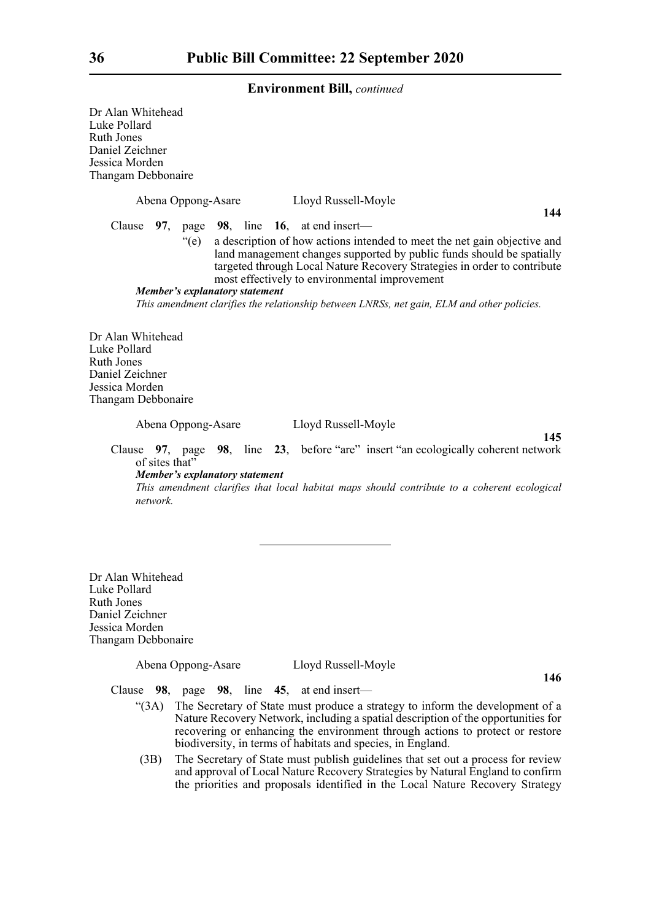Dr Alan Whitehead Luke Pollard Ruth Jones Daniel Zeichner Jessica Morden Thangam Debbonaire Abena Oppong-Asare Lloyd Russell-Moyle Clause **97**, page **98**, line **16**, at end insert— "(e) a description of how actions intended to meet the net gain objective and land management changes supported by public funds should be spatially targeted through Local Nature Recovery Strategies in order to contribute most effectively to environmental improvement *Member's explanatory statement This amendment clarifies the relationship between LNRSs, net gain, ELM and other policies.* Dr Alan Whitehead Luke Pollard Ruth Jones Daniel Zeichner Jessica Morden Thangam Debbonaire

Abena Oppong-Asare Lloyd Russell-Moyle

**145**

Clause **97**, page **98**, line **23**, before "are" insert "an ecologically coherent network of sites that" *Member's explanatory statement* 

*This amendment clarifies that local habitat maps should contribute to a coherent ecological network.*

Dr Alan Whitehead Luke Pollard Ruth Jones Daniel Zeichner Jessica Morden Thangam Debbonaire

Abena Oppong-Asare Lloyd Russell-Moyle

**146**

Clause **98**, page **98**, line **45**, at end insert—

- "(3A) The Secretary of State must produce a strategy to inform the development of a Nature Recovery Network, including a spatial description of the opportunities for recovering or enhancing the environment through actions to protect or restore biodiversity, in terms of habitats and species, in England.
- (3B) The Secretary of State must publish guidelines that set out a process for review and approval of Local Nature Recovery Strategies by Natural England to confirm the priorities and proposals identified in the Local Nature Recovery Strategy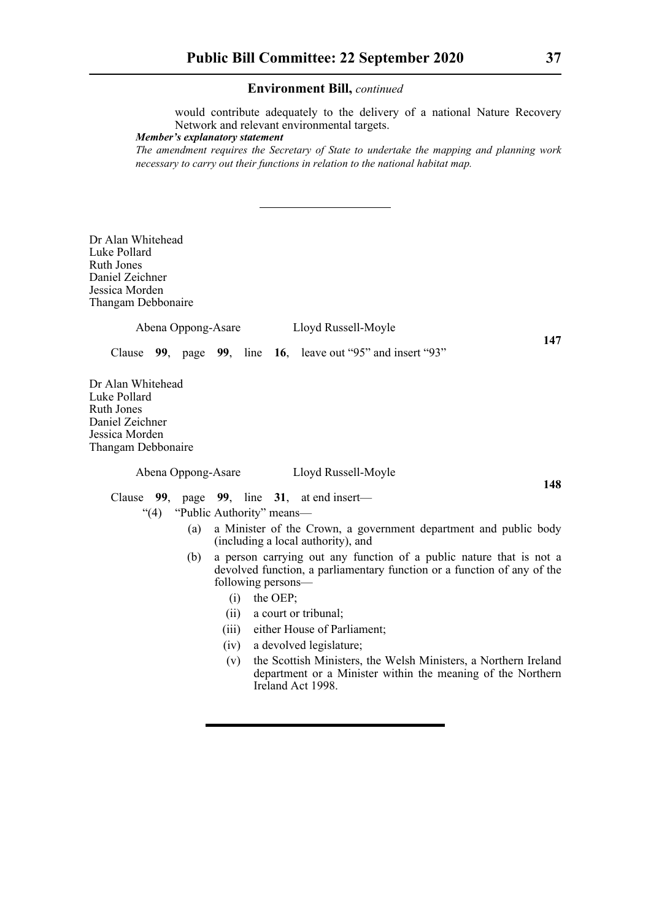would contribute adequately to the delivery of a national Nature Recovery Network and relevant environmental targets.

*Member's explanatory statement* 

*The amendment requires the Secretary of State to undertake the mapping and planning work necessary to carry out their functions in relation to the national habitat map.* 

Dr Alan Whitehead Luke Pollard Ruth Jones Daniel Zeichner Jessica Morden Thangam Debbonaire

Abena Oppong-Asare Lloyd Russell-Moyle

Clause **99**, page **99**, line **16**, leave out "95" and insert "93"

Dr Alan Whitehead Luke Pollard Ruth Jones Daniel Zeichner Jessica Morden Thangam Debbonaire

Abena Oppong-Asare Lloyd Russell-Moyle

**148**

**147**

Clause **99**, page **99**, line **31**, at end insert—

- "(4) "Public Authority" means—
	- (a) a Minister of the Crown, a government department and public body (including a local authority), and
	- (b) a person carrying out any function of a public nature that is not a devolved function, a parliamentary function or a function of any of the following persons—
		- (i) the OEP;
		- (ii) a court or tribunal;
		- (iii) either House of Parliament;
		- (iv) a devolved legislature;
		- (v) the Scottish Ministers, the Welsh Ministers, a Northern Ireland department or a Minister within the meaning of the Northern Ireland Act 1998.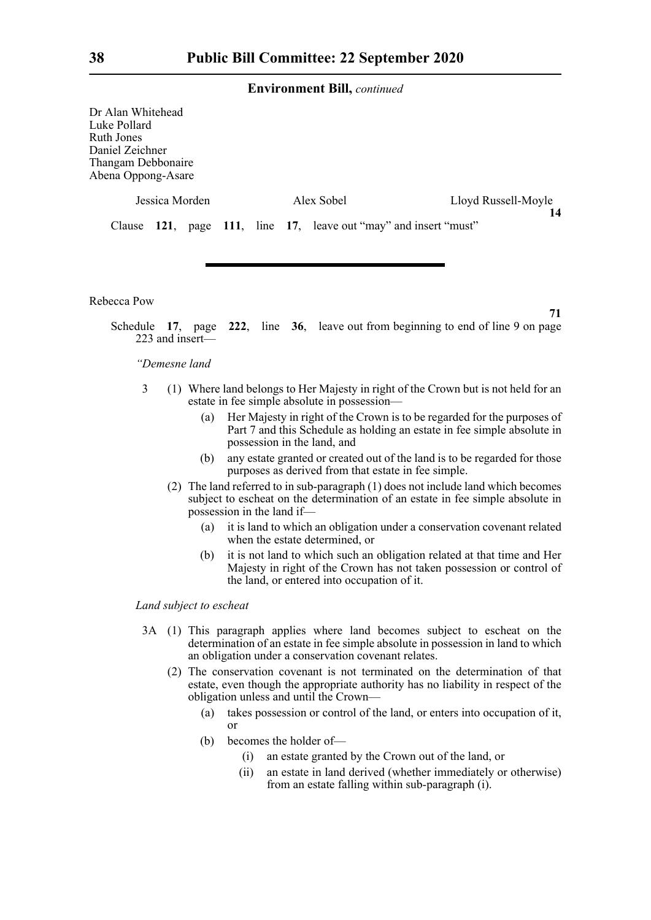Dr Alan Whitehead Luke Pollard Ruth Jones Daniel Zeichner Thangam Debbonaire  $Aben<sub>2</sub>$ 

| na Oppong-Asare |                |  |            |                                                                  |  |  |
|-----------------|----------------|--|------------|------------------------------------------------------------------|--|--|
|                 | Jessica Morden |  | Alex Sobel | Lloyd Russell-Moyle                                              |  |  |
|                 |                |  |            | Clause 121, page 111, line 17, leave out "may" and insert "must" |  |  |

Rebecca Pow

**71**

Schedule **17**, page **222**, line **36**, leave out from beginning to end of line 9 on page 223 and insert—

## *"Demesne land*

- 3 (1) Where land belongs to Her Majesty in right of the Crown but is not held for an estate in fee simple absolute in possession—
	- (a) Her Majesty in right of the Crown is to be regarded for the purposes of Part 7 and this Schedule as holding an estate in fee simple absolute in possession in the land, and
	- (b) any estate granted or created out of the land is to be regarded for those purposes as derived from that estate in fee simple.
	- (2) The land referred to in sub-paragraph (1) does not include land which becomes subject to escheat on the determination of an estate in fee simple absolute in possession in the land if—
		- (a) it is land to which an obligation under a conservation covenant related when the estate determined, or
		- (b) it is not land to which such an obligation related at that time and Her Majesty in right of the Crown has not taken possession or control of the land, or entered into occupation of it.

## *Land subject to escheat*

- 3A (1) This paragraph applies where land becomes subject to escheat on the determination of an estate in fee simple absolute in possession in land to which an obligation under a conservation covenant relates.
	- (2) The conservation covenant is not terminated on the determination of that estate, even though the appropriate authority has no liability in respect of the obligation unless and until the Crown—
		- (a) takes possession or control of the land, or enters into occupation of it, or
		- (b) becomes the holder of—
			- (i) an estate granted by the Crown out of the land, or
			- (ii) an estate in land derived (whether immediately or otherwise) from an estate falling within sub-paragraph (i).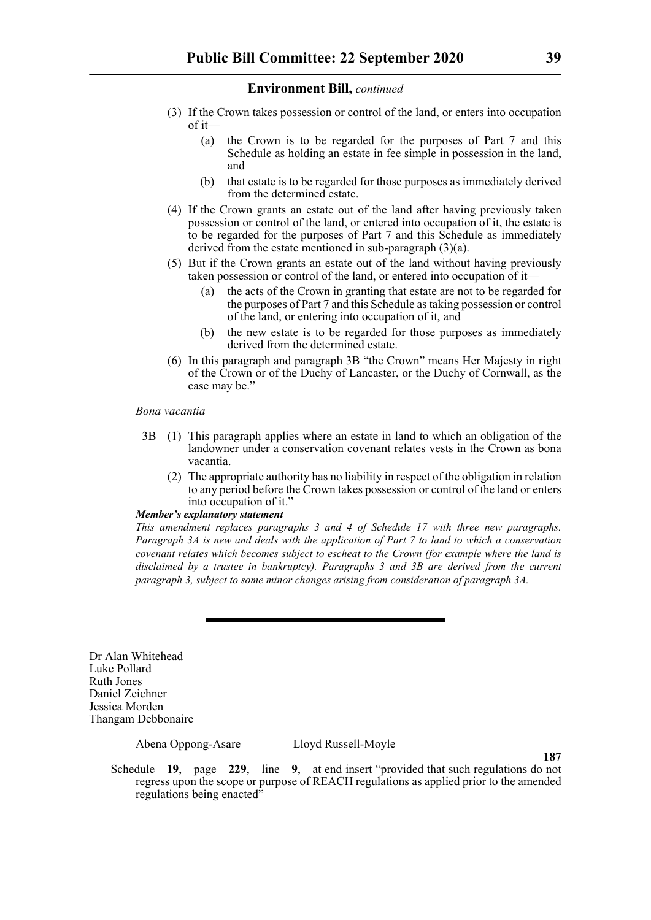- (3) If the Crown takes possession or control of the land, or enters into occupation of it—
	- (a) the Crown is to be regarded for the purposes of Part 7 and this Schedule as holding an estate in fee simple in possession in the land, and
	- (b) that estate is to be regarded for those purposes as immediately derived from the determined estate.
- (4) If the Crown grants an estate out of the land after having previously taken possession or control of the land, or entered into occupation of it, the estate is to be regarded for the purposes of Part 7 and this Schedule as immediately derived from the estate mentioned in sub-paragraph (3)(a).
- (5) But if the Crown grants an estate out of the land without having previously taken possession or control of the land, or entered into occupation of it—
	- (a) the acts of the Crown in granting that estate are not to be regarded for the purposes of Part 7 and this Schedule as taking possession or control of the land, or entering into occupation of it, and
	- (b) the new estate is to be regarded for those purposes as immediately derived from the determined estate.
- (6) In this paragraph and paragraph 3B "the Crown" means Her Majesty in right of the Crown or of the Duchy of Lancaster, or the Duchy of Cornwall, as the case may be."

## *Bona vacantia*

- 3B (1) This paragraph applies where an estate in land to which an obligation of the landowner under a conservation covenant relates vests in the Crown as bona vacantia.
	- (2) The appropriate authority has no liability in respect of the obligation in relation to any period before the Crown takes possession or control of the land or enters into occupation of it."

## *Member's explanatory statement*

*This amendment replaces paragraphs 3 and 4 of Schedule 17 with three new paragraphs. Paragraph 3A is new and deals with the application of Part 7 to land to which a conservation covenant relates which becomes subject to escheat to the Crown (for example where the land is disclaimed by a trustee in bankruptcy). Paragraphs 3 and 3B are derived from the current paragraph 3, subject to some minor changes arising from consideration of paragraph 3A.*

Dr Alan Whitehead Luke Pollard Ruth Jones Daniel Zeichner Jessica Morden Thangam Debbonaire

Abena Oppong-Asare Lloyd Russell-Moyle

**187**

Schedule **19**, page **229**, line **9**, at end insert "provided that such regulations do not regress upon the scope or purpose of REACH regulations as applied prior to the amended regulations being enacted"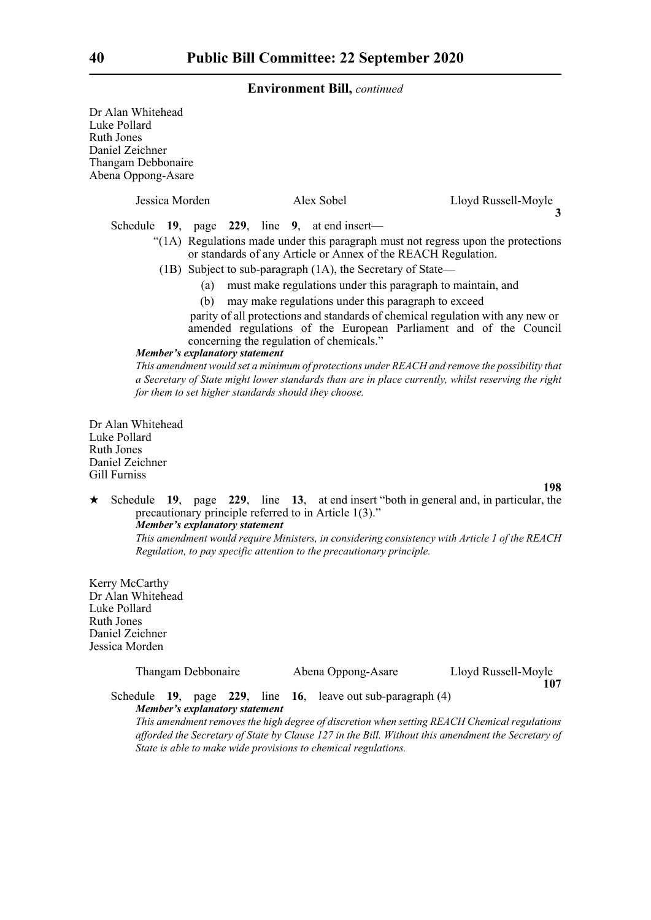Dr Alan Whitehead Luke Pollard Ruth Jones Daniel Zeichner Thangam Debbonaire Abena Oppong-Asare

| Jessica Morden |  |  | Alex Sobel |  |                                               | Lloyd Russell-Moyle                                                               |
|----------------|--|--|------------|--|-----------------------------------------------|-----------------------------------------------------------------------------------|
|                |  |  |            |  | Schedule 19, page 229, line 9, at end insert— |                                                                                   |
|                |  |  |            |  |                                               | "(1A) Regulations made under this paragraph must not regress upon the protections |

- or standards of any Article or Annex of the REACH Regulation.
- (1B) Subject to sub-paragraph (1A), the Secretary of State—
	- (a) must make regulations under this paragraph to maintain, and
	- (b) may make regulations under this paragraph to exceed

parity of all protections and standards of chemical regulation with any new or amended regulations of the European Parliament and of the Council concerning the regulation of chemicals."

## *Member's explanatory statement*

*This amendment would set a minimum of protections under REACH and remove the possibility that a Secretary of State might lower standards than are in place currently, whilst reserving the right for them to set higher standards should they choose.*

Dr Alan Whitehead Luke Pollard Ruth Jones Daniel Zeichner Gill Furniss

**198**

**107**

 Schedule **19**, page **229**, line **13**, at end insert "both in general and, in particular, the precautionary principle referred to in Article 1(3)." *Member's explanatory statement This amendment would require Ministers, in considering consistency with Article 1 of the REACH Regulation, to pay specific attention to the precautionary principle.*

Kerry McCarthy Dr Alan Whitehead Luke Pollard Ruth Jones Daniel Zeichner Jessica Morden

| Thangam Debbonaire | Abena Oppong-Asare | Lloyd Russell-Moyle |
|--------------------|--------------------|---------------------|
|                    |                    |                     |

Schedule **19**, page **229**, line **16**, leave out sub-paragraph (4) *Member's explanatory statement* 

*This amendment removes the high degree of discretion when setting REACH Chemical regulations afforded the Secretary of State by Clause 127 in the Bill. Without this amendment the Secretary of State is able to make wide provisions to chemical regulations.*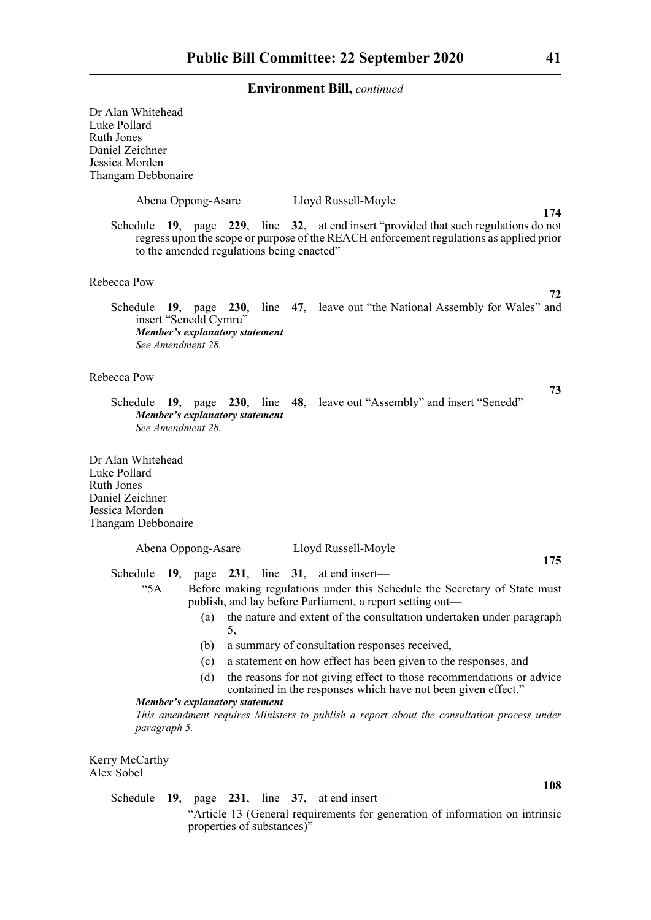| Dr Alan Whitehead<br>Luke Pollard<br><b>Ruth Jones</b><br>Daniel Zeichner<br>Jessica Morden<br>Thangam Debbonaire                                                                                                            |
|------------------------------------------------------------------------------------------------------------------------------------------------------------------------------------------------------------------------------|
| Abena Oppong-Asare<br>Lloyd Russell-Moyle<br>174                                                                                                                                                                             |
| Schedule 19, page 229, line 32, at end insert "provided that such regulations do not<br>regress upon the scope or purpose of the REACH enforcement regulations as applied prior<br>to the amended regulations being enacted" |
| Rebecca Pow                                                                                                                                                                                                                  |
| 72<br>Schedule 19, page 230, line 47, leave out "the National Assembly for Wales" and<br>insert "Senedd Cymru"<br><b>Member's explanatory statement</b><br>See Amendment 28.                                                 |
| Rebecca Pow                                                                                                                                                                                                                  |
| 73<br>Schedule 19, page 230, line 48, leave out "Assembly" and insert "Senedd"<br>Member's explanatory statement<br>See Amendment 28.                                                                                        |
| Dr Alan Whitehead<br>Luke Pollard<br><b>Ruth Jones</b><br>Daniel Zeichner<br>Jessica Morden<br>Thangam Debbonaire                                                                                                            |
| Abena Oppong-Asare<br>Lloyd Russell-Moyle                                                                                                                                                                                    |
| 175<br>Schedule 19, page 231, line 31, at end insert—                                                                                                                                                                        |
| Before making regulations under this Schedule the Secretary of State must<br>"5A<br>publish, and lay before Parliament, a report setting out-                                                                                |
| the nature and extent of the consultation undertaken under paragraph<br>(a)                                                                                                                                                  |
| 5,<br>a summary of consultation responses received,<br>(b)                                                                                                                                                                   |
| a statement on how effect has been given to the responses, and<br>(c)                                                                                                                                                        |
| the reasons for not giving effect to those recommendations or advice<br>(d)<br>contained in the responses which have not been given effect."                                                                                 |
| Member's explanatory statement<br>This amendment requires Ministers to publish a report about the consultation process under<br>paragraph 5.                                                                                 |
| Kerry McCarthy<br>Alex Sobel                                                                                                                                                                                                 |
| 108<br>Schedule $19$ , page $231$ , line $37$ , at end insert—                                                                                                                                                               |

"Article 13 (General requirements for generation of information on intrinsic properties of substances)"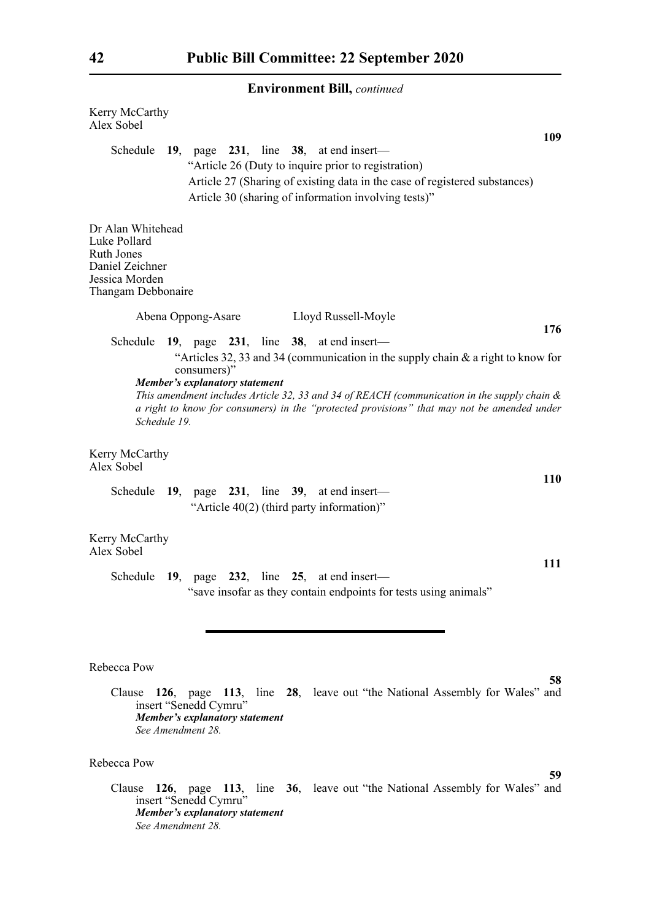| Kerry McCarthy<br>Alex Sobel                                                                                                                                                                                                                                                                                                                      |
|---------------------------------------------------------------------------------------------------------------------------------------------------------------------------------------------------------------------------------------------------------------------------------------------------------------------------------------------------|
| 109<br>Schedule $19$ , page $231$ , line $38$ , at end insert—<br>"Article 26 (Duty to inquire prior to registration)<br>Article 27 (Sharing of existing data in the case of registered substances)<br>Article 30 (sharing of information involving tests)"                                                                                       |
| Dr Alan Whitehead<br>Luke Pollard<br><b>Ruth Jones</b><br>Daniel Zeichner<br>Jessica Morden<br>Thangam Debbonaire                                                                                                                                                                                                                                 |
| Abena Oppong-Asare<br>Lloyd Russell-Moyle                                                                                                                                                                                                                                                                                                         |
| 176<br>Schedule 19, page 231, line 38, at end insert—                                                                                                                                                                                                                                                                                             |
| "Articles 32, 33 and 34 (communication in the supply chain & a right to know for<br>consumers)"<br>Member's explanatory statement<br>This amendment includes Article 32, 33 and 34 of REACH (communication in the supply chain $\&$<br>a right to know for consumers) in the "protected provisions" that may not be amended under<br>Schedule 19. |
| Kerry McCarthy<br>Alex Sobel<br><b>110</b>                                                                                                                                                                                                                                                                                                        |
| Schedule $19$ , page $231$ , line $39$ , at end insert—<br>"Article 40(2) (third party information)"                                                                                                                                                                                                                                              |
| Kerry McCarthy<br>Alex Sobel<br>111                                                                                                                                                                                                                                                                                                               |
| Schedule 19, page 232, line 25, at end insert—<br>'save insofar as they contain endpoints for tests using animals"                                                                                                                                                                                                                                |
| Rebecca Pow                                                                                                                                                                                                                                                                                                                                       |
| 58<br>Clause 126, page 113, line 28, leave out "the National Assembly for Wales" and<br>insert "Senedd Cymru"<br>Member's explanatory statement<br>See Amendment 28.                                                                                                                                                                              |
| Rebecca Pow<br>59                                                                                                                                                                                                                                                                                                                                 |

Clause **126**, page **113**, line **36**, leave out "the National Assembly for Wales" and insert "Senedd Cymru" *Member's explanatory statement See Amendment 28.*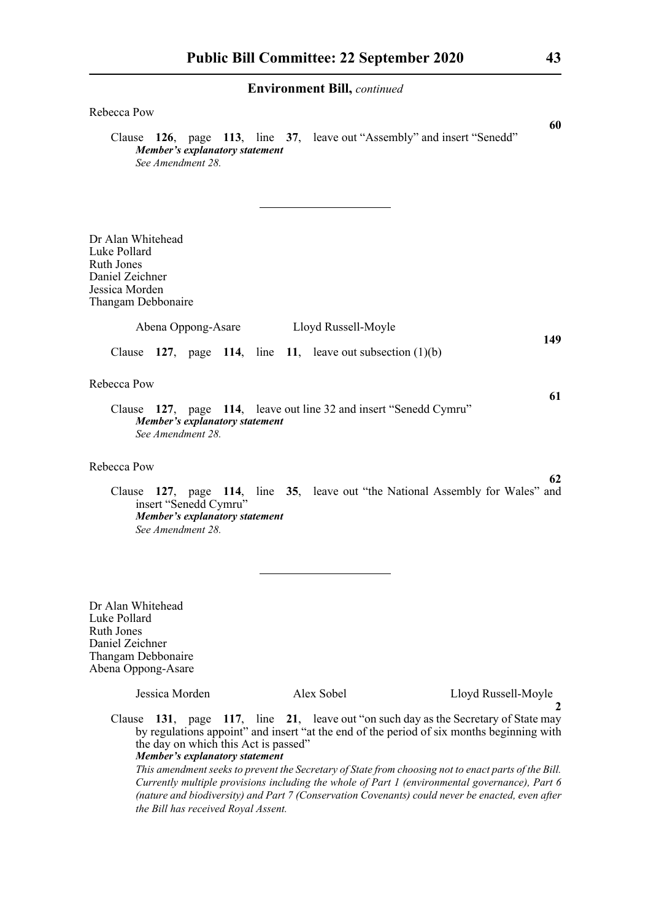| Rebecca Pow<br>60<br>Clause 126, page 113, line 37, leave out "Assembly" and insert "Senedd"<br><b>Member's explanatory statement</b>                                                                                                                                                                                                                                                                                                                                                                                                                                                                                  |
|------------------------------------------------------------------------------------------------------------------------------------------------------------------------------------------------------------------------------------------------------------------------------------------------------------------------------------------------------------------------------------------------------------------------------------------------------------------------------------------------------------------------------------------------------------------------------------------------------------------------|
| See Amendment 28.                                                                                                                                                                                                                                                                                                                                                                                                                                                                                                                                                                                                      |
|                                                                                                                                                                                                                                                                                                                                                                                                                                                                                                                                                                                                                        |
|                                                                                                                                                                                                                                                                                                                                                                                                                                                                                                                                                                                                                        |
| Dr Alan Whitehead<br>Luke Pollard<br><b>Ruth Jones</b><br>Daniel Zeichner<br>Jessica Morden<br>Thangam Debbonaire                                                                                                                                                                                                                                                                                                                                                                                                                                                                                                      |
| Abena Oppong-Asare<br>Lloyd Russell-Moyle                                                                                                                                                                                                                                                                                                                                                                                                                                                                                                                                                                              |
| 149<br>Clause 127, page 114, line 11, leave out subsection $(1)(b)$                                                                                                                                                                                                                                                                                                                                                                                                                                                                                                                                                    |
| Rebecca Pow                                                                                                                                                                                                                                                                                                                                                                                                                                                                                                                                                                                                            |
| 61<br>Clause 127, page 114, leave out line 32 and insert "Senedd Cymru"<br>Member's explanatory statement<br>See Amendment 28.                                                                                                                                                                                                                                                                                                                                                                                                                                                                                         |
| Rebecca Pow                                                                                                                                                                                                                                                                                                                                                                                                                                                                                                                                                                                                            |
| 62<br>Clause 127, page 114, line 35, leave out "the National Assembly for Wales" and<br>insert "Senedd Cymru"<br>Member's explanatory statement<br>See Amendment 28.                                                                                                                                                                                                                                                                                                                                                                                                                                                   |
|                                                                                                                                                                                                                                                                                                                                                                                                                                                                                                                                                                                                                        |
| Dr Alan Whitehead<br>Luke Pollard<br><b>Ruth Jones</b><br>Daniel Zeichner<br>Thangam Debbonaire<br>Abena Oppong-Asare                                                                                                                                                                                                                                                                                                                                                                                                                                                                                                  |
| Jessica Morden<br>Alex Sobel<br>Lloyd Russell-Moyle                                                                                                                                                                                                                                                                                                                                                                                                                                                                                                                                                                    |
| Clause 131, page 117, line 21, leave out "on such day as the Secretary of State may<br>by regulations appoint" and insert "at the end of the period of six months beginning with<br>the day on which this Act is passed"<br><b>Member's explanatory statement</b><br>This amendment seeks to prevent the Secretary of State from choosing not to enact parts of the Bill.<br>Currently multiple provisions including the whole of Part 1 (environmental governance), Part 6<br>(nature and biodiversity) and Part 7 (Conservation Covenants) could never be enacted, even after<br>the Bill has received Royal Assent. |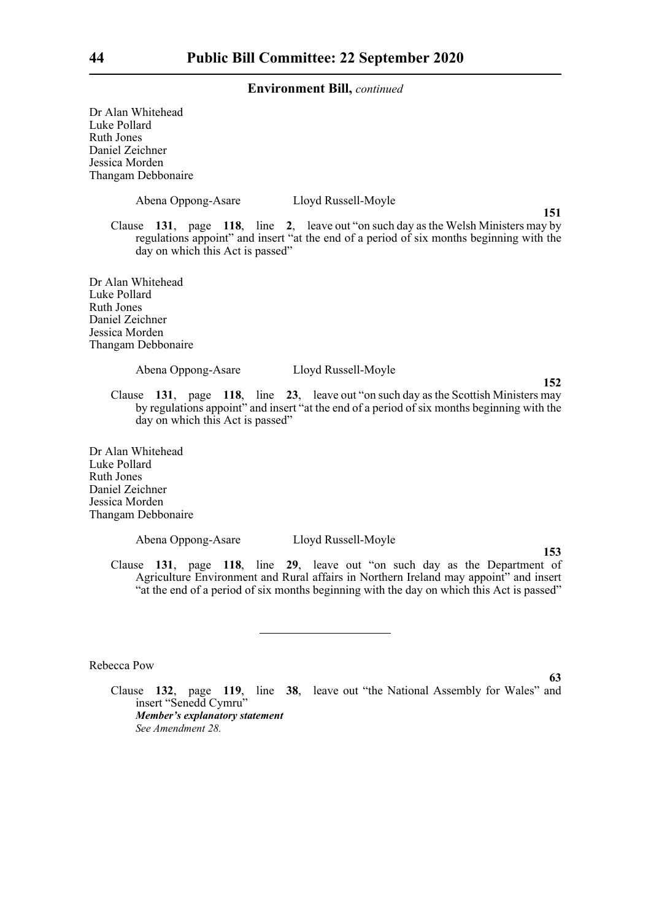Dr Alan Whitehead Luke Pollard Ruth Jones Daniel Zeichner Jessica Morden Thangam Debbonaire Abena Oppong-Asare Lloyd Russell-Moyle **151** Clause **131**, page **118**, line **2**, leave out "on such day as the Welsh Ministers may by regulations appoint" and insert "at the end of a period of six months beginning with the day on which this Act is passed" Dr Alan Whitehead Luke Pollard Ruth Jones Daniel Zeichner Jessica Morden Thangam Debbonaire Abena Oppong-Asare Lloyd Russell-Moyle **152** Clause **131**, page **118**, line **23**, leave out "on such day as the Scottish Ministers may by regulations appoint" and insert "at the end of a period of six months beginning with the day on which this Act is passed" Dr Alan Whitehead Luke Pollard Ruth Jones Daniel Zeichner Jessica Morden Thangam Debbonaire Abena Oppong-Asare Lloyd Russell-Moyle **153** Clause **131**, page **118**, line **29**, leave out "on such day as the Department of Agriculture Environment and Rural affairs in Northern Ireland may appoint" and insert "at the end of a period of six months beginning with the day on which this Act is passed" Rebecca Pow **63**

Clause **132**, page **119**, line **38**, leave out "the National Assembly for Wales" and insert "Senedd Cymru" *Member's explanatory statement See Amendment 28.*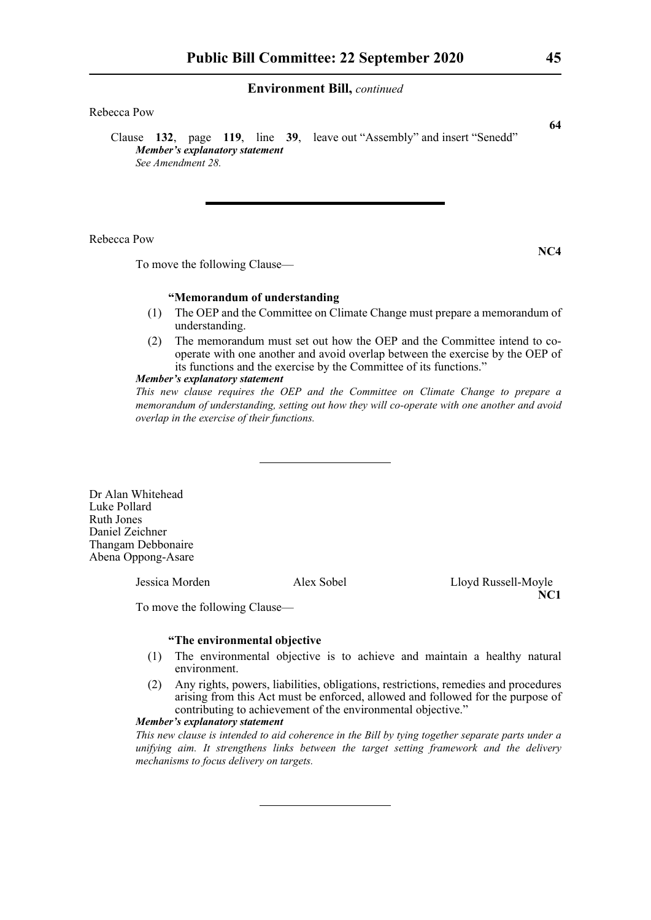## Rebecca Pow

Clause **132**, page **119**, line **39**, leave out "Assembly" and insert "Senedd" *Member's explanatory statement See Amendment 28.*

## Rebecca Pow

To move the following Clause—

## **"Memorandum of understanding**

- (1) The OEP and the Committee on Climate Change must prepare a memorandum of understanding.
- (2) The memorandum must set out how the OEP and the Committee intend to cooperate with one another and avoid overlap between the exercise by the OEP of its functions and the exercise by the Committee of its functions."

## *Member's explanatory statement*

*This new clause requires the OEP and the Committee on Climate Change to prepare a memorandum of understanding, setting out how they will co-operate with one another and avoid overlap in the exercise of their functions.*

Dr Alan Whitehead Luke Pollard Ruth Jones Daniel Zeichner Thangam Debbonaire Abena Oppong-Asare

Jessica Morden Alex Sobel Lloyd Russell-Moyle

**NC1**

To move the following Clause—

## **"The environmental objective**

- (1) The environmental objective is to achieve and maintain a healthy natural environment.
- (2) Any rights, powers, liabilities, obligations, restrictions, remedies and procedures arising from this Act must be enforced, allowed and followed for the purpose of contributing to achievement of the environmental objective."

## *Member's explanatory statement*

*This new clause is intended to aid coherence in the Bill by tying together separate parts under a unifying aim. It strengthens links between the target setting framework and the delivery mechanisms to focus delivery on targets.*

**64**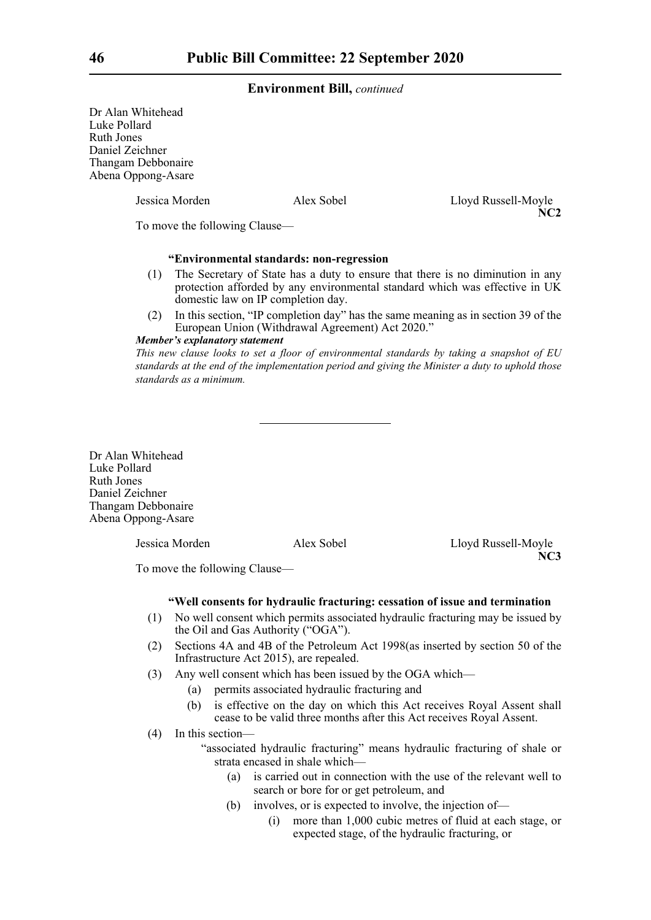Dr Alan Whitehead Luke Pollard Ruth Jones Daniel Zeichner Thangam Debbonaire Abena Oppong-Asare

Jessica Morden Alex Sobel Lloyd Russell-Moyle **NC2**

To move the following Clause—

## **"Environmental standards: non-regression**

- (1) The Secretary of State has a duty to ensure that there is no diminution in any protection afforded by any environmental standard which was effective in UK domestic law on IP completion day.
- (2) In this section, "IP completion day" has the same meaning as in section 39 of the European Union (Withdrawal Agreement) Act 2020."

## *Member's explanatory statement*

*This new clause looks to set a floor of environmental standards by taking a snapshot of EU standards at the end of the implementation period and giving the Minister a duty to uphold those standards as a minimum.*

Dr Alan Whitehead Luke Pollard Ruth Jones Daniel Zeichner Thangam Debbonaire Abena Oppong-Asare

Jessica Morden Alex Sobel Lloyd Russell-Moyle **NC3**

To move the following Clause—

### **"Well consents for hydraulic fracturing: cessation of issue and termination**

- (1) No well consent which permits associated hydraulic fracturing may be issued by the Oil and Gas Authority ("OGA").
- (2) Sections 4A and 4B of the Petroleum Act 1998(as inserted by section 50 of the Infrastructure Act 2015), are repealed.
- (3) Any well consent which has been issued by the OGA which—
	- (a) permits associated hydraulic fracturing and
	- (b) is effective on the day on which this Act receives Royal Assent shall cease to be valid three months after this Act receives Royal Assent.
- (4) In this section—
	- "associated hydraulic fracturing" means hydraulic fracturing of shale or strata encased in shale which—
		- (a) is carried out in connection with the use of the relevant well to search or bore for or get petroleum, and
		- (b) involves, or is expected to involve, the injection of—
			- (i) more than 1,000 cubic metres of fluid at each stage, or expected stage, of the hydraulic fracturing, or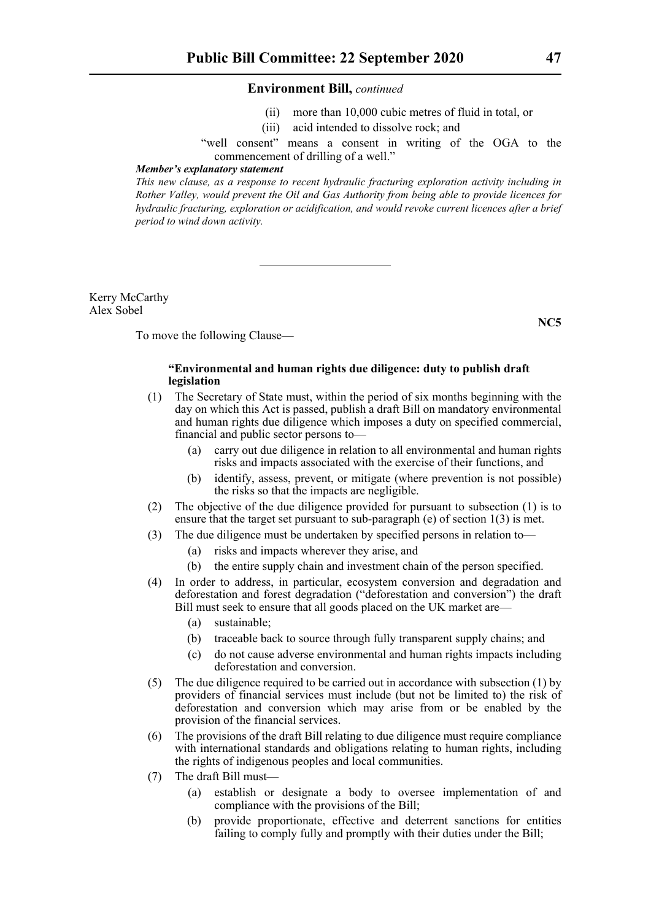- (ii) more than 10,000 cubic metres of fluid in total, or
- (iii) acid intended to dissolve rock; and

"well consent" means a consent in writing of the OGA to the commencement of drilling of a well."

#### *Member's explanatory statement*

*This new clause, as a response to recent hydraulic fracturing exploration activity including in Rother Valley, would prevent the Oil and Gas Authority from being able to provide licences for hydraulic fracturing, exploration or acidification, and would revoke current licences after a brief period to wind down activity.*

Kerry McCarthy Alex Sobel

To move the following Clause—

## **"Environmental and human rights due diligence: duty to publish draft legislation**

- (1) The Secretary of State must, within the period of six months beginning with the day on which this Act is passed, publish a draft Bill on mandatory environmental and human rights due diligence which imposes a duty on specified commercial, financial and public sector persons to—
	- (a) carry out due diligence in relation to all environmental and human rights risks and impacts associated with the exercise of their functions, and
	- (b) identify, assess, prevent, or mitigate (where prevention is not possible) the risks so that the impacts are negligible.
- (2) The objective of the due diligence provided for pursuant to subsection (1) is to ensure that the target set pursuant to sub-paragraph (e) of section 1(3) is met.
- (3) The due diligence must be undertaken by specified persons in relation to—
	- (a) risks and impacts wherever they arise, and
	- (b) the entire supply chain and investment chain of the person specified.
- (4) In order to address, in particular, ecosystem conversion and degradation and deforestation and forest degradation ("deforestation and conversion") the draft Bill must seek to ensure that all goods placed on the UK market are—
	- (a) sustainable;
	- (b) traceable back to source through fully transparent supply chains; and
	- (c) do not cause adverse environmental and human rights impacts including deforestation and conversion.
- (5) The due diligence required to be carried out in accordance with subsection (1) by providers of financial services must include (but not be limited to) the risk of deforestation and conversion which may arise from or be enabled by the provision of the financial services.
- (6) The provisions of the draft Bill relating to due diligence must require compliance with international standards and obligations relating to human rights, including the rights of indigenous peoples and local communities.
- (7) The draft Bill must—
	- (a) establish or designate a body to oversee implementation of and compliance with the provisions of the Bill;
	- (b) provide proportionate, effective and deterrent sanctions for entities failing to comply fully and promptly with their duties under the Bill;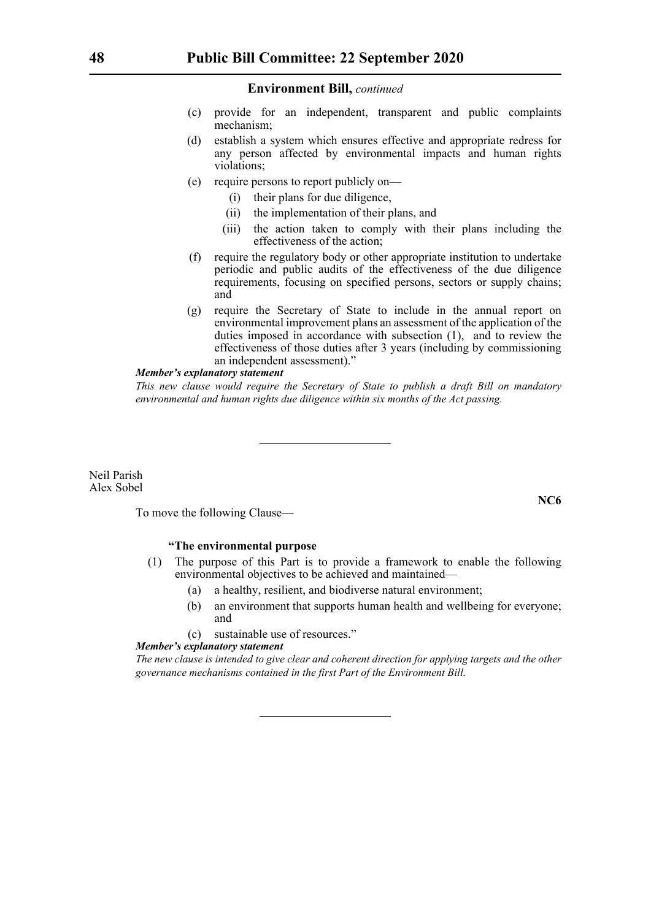- (c) provide for an independent, transparent and public complaints mechanism;
- (d) establish a system which ensures effective and appropriate redress for any person affected by environmental impacts and human rights violations;
- (e) require persons to report publicly on—
	- (i) their plans for due diligence,
	- (ii) the implementation of their plans, and
	- (iii) the action taken to comply with their plans including the effectiveness of the action;
- (f) require the regulatory body or other appropriate institution to undertake periodic and public audits of the effectiveness of the due diligence requirements, focusing on specified persons, sectors or supply chains; and
- (g) require the Secretary of State to include in the annual report on environmental improvement plans an assessment of the application of the duties imposed in accordance with subsection (1), and to review the effectiveness of those duties after 3 years (including by commissioning an independent assessment)."

## *Member's explanatory statement*

*This new clause would require the Secretary of State to publish a draft Bill on mandatory environmental and human rights due diligence within six months of the Act passing.*

Neil Parish Alex Sobel

To move the following Clause—

## **"The environmental purpose**

- (1) The purpose of this Part is to provide a framework to enable the following environmental objectives to be achieved and maintained—
	- (a) a healthy, resilient, and biodiverse natural environment;
	- (b) an environment that supports human health and wellbeing for everyone; and
	- (c) sustainable use of resources."

## *Member's explanatory statement*

*The new clause is intended to give clear and coherent direction for applying targets and the other governance mechanisms contained in the first Part of the Environment Bill.*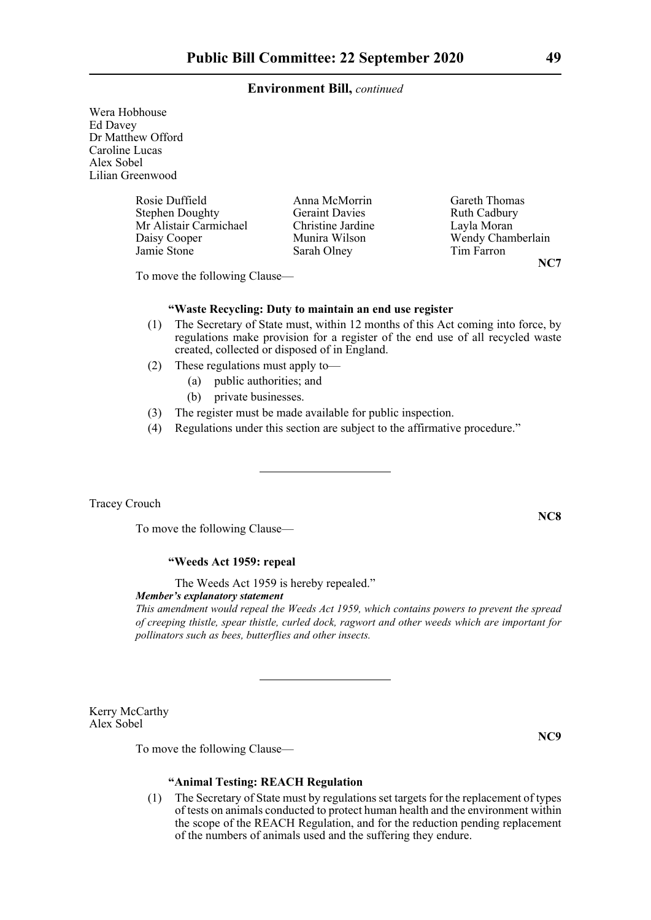Wera Hobhouse Ed Davey Dr Matthew Offord Caroline Lucas Alex Sobel Lilian Greenwood

> Rosie Duffield Anna McMorrin Gareth Thomas<br>
> Stephen Doughty Geraint Davies Ruth Cadbury Stephen Doughty Geraint Davies Ruth Cadbury Mr Alistair Carmichael Christine Jardine Layla Moran<br>
> Daisy Cooper Munira Wilson Wendy Cham Daisy Cooper Munira Wilson Wendy Chamberlain Jamie Stone Sarah Olney Tim Farron

To move the following Clause—

## **"Waste Recycling: Duty to maintain an end use register**

- (1) The Secretary of State must, within 12 months of this Act coming into force, by regulations make provision for a register of the end use of all recycled waste created, collected or disposed of in England.
- (2) These regulations must apply to—
	- (a) public authorities; and
	- (b) private businesses.
- (3) The register must be made available for public inspection.
- (4) Regulations under this section are subject to the affirmative procedure."

## Tracey Crouch

To move the following Clause—

## **"Weeds Act 1959: repeal**

The Weeds Act 1959 is hereby repealed."

*Member's explanatory statement* 

*This amendment would repeal the Weeds Act 1959, which contains powers to prevent the spread of creeping thistle, spear thistle, curled dock, ragwort and other weeds which are important for pollinators such as bees, butterflies and other insects.*

Kerry McCarthy Alex Sobel

To move the following Clause—

## **"Animal Testing: REACH Regulation**

(1) The Secretary of State must by regulations set targets for the replacement of types of tests on animals conducted to protect human health and the environment within the scope of the REACH Regulation, and for the reduction pending replacement of the numbers of animals used and the suffering they endure.

**NC8**

**NC9**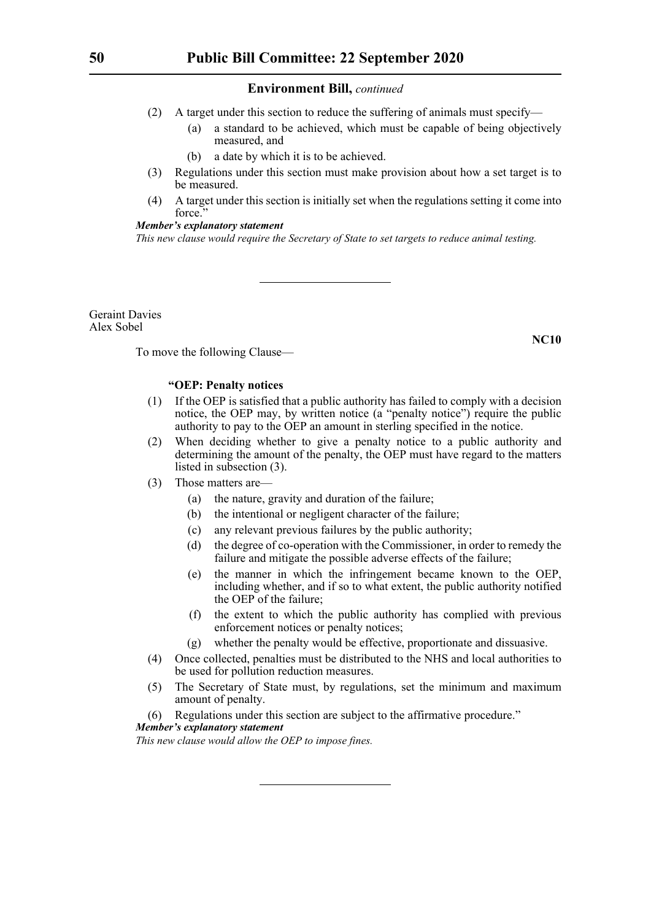- (2) A target under this section to reduce the suffering of animals must specify—
	- (a) a standard to be achieved, which must be capable of being objectively measured, and
	- (b) a date by which it is to be achieved.
- (3) Regulations under this section must make provision about how a set target is to be measured.
- (4) A target under this section is initially set when the regulations setting it come into force."

## *Member's explanatory statement*

*This new clause would require the Secretary of State to set targets to reduce animal testing.*

Geraint Davies Alex Sobel

**NC10**

To move the following Clause—

## **"OEP: Penalty notices**

- (1) If the OEP is satisfied that a public authority has failed to comply with a decision notice, the OEP may, by written notice (a "penalty notice") require the public authority to pay to the OEP an amount in sterling specified in the notice.
- (2) When deciding whether to give a penalty notice to a public authority and determining the amount of the penalty, the OEP must have regard to the matters listed in subsection (3).
- (3) Those matters are—
	- (a) the nature, gravity and duration of the failure;
	- (b) the intentional or negligent character of the failure;
	- (c) any relevant previous failures by the public authority;
	- (d) the degree of co-operation with the Commissioner, in order to remedy the failure and mitigate the possible adverse effects of the failure;
	- (e) the manner in which the infringement became known to the OEP, including whether, and if so to what extent, the public authority notified the OEP of the failure;
	- (f) the extent to which the public authority has complied with previous enforcement notices or penalty notices;
	- (g) whether the penalty would be effective, proportionate and dissuasive.
- (4) Once collected, penalties must be distributed to the NHS and local authorities to be used for pollution reduction measures.
- (5) The Secretary of State must, by regulations, set the minimum and maximum amount of penalty.

(6) Regulations under this section are subject to the affirmative procedure."

## *Member's explanatory statement*

*This new clause would allow the OEP to impose fines.*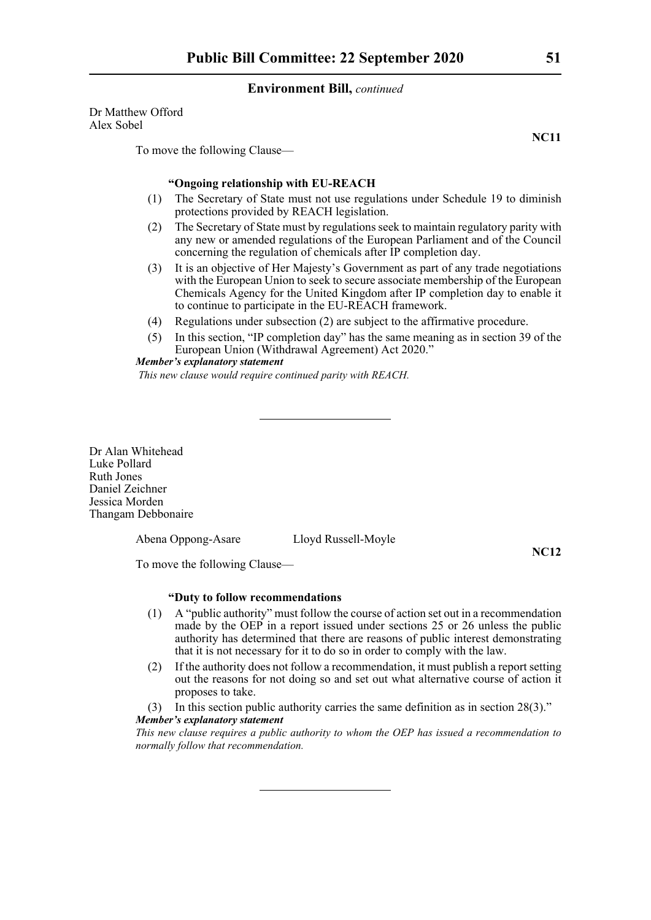Dr Matthew Offord Alex Sobel

To move the following Clause—

## **"Ongoing relationship with EU-REACH**

- (1) The Secretary of State must not use regulations under Schedule 19 to diminish protections provided by REACH legislation.
- (2) The Secretary of State must by regulations seek to maintain regulatory parity with any new or amended regulations of the European Parliament and of the Council concerning the regulation of chemicals after IP completion day.
- (3) It is an objective of Her Majesty's Government as part of any trade negotiations with the European Union to seek to secure associate membership of the European Chemicals Agency for the United Kingdom after IP completion day to enable it to continue to participate in the EU-REACH framework.
- (4) Regulations under subsection (2) are subject to the affirmative procedure.
- (5) In this section, "IP completion day" has the same meaning as in section 39 of the European Union (Withdrawal Agreement) Act 2020."

*Member's explanatory statement This new clause would require continued parity with REACH.*

Dr Alan Whitehead Luke Pollard Ruth Jones Daniel Zeichner Jessica Morden Thangam Debbonaire

Abena Oppong-Asare Lloyd Russell-Moyle

**NC12**

To move the following Clause—

## **"Duty to follow recommendations**

- (1) A "public authority" must follow the course of action set out in a recommendation made by the OEP in a report issued under sections 25 or 26 unless the public authority has determined that there are reasons of public interest demonstrating that it is not necessary for it to do so in order to comply with the law.
- (2) If the authority does not follow a recommendation, it must publish a report setting out the reasons for not doing so and set out what alternative course of action it proposes to take.
- (3) In this section public authority carries the same definition as in section 28(3)."

## *Member's explanatory statement*

*This new clause requires a public authority to whom the OEP has issued a recommendation to normally follow that recommendation.*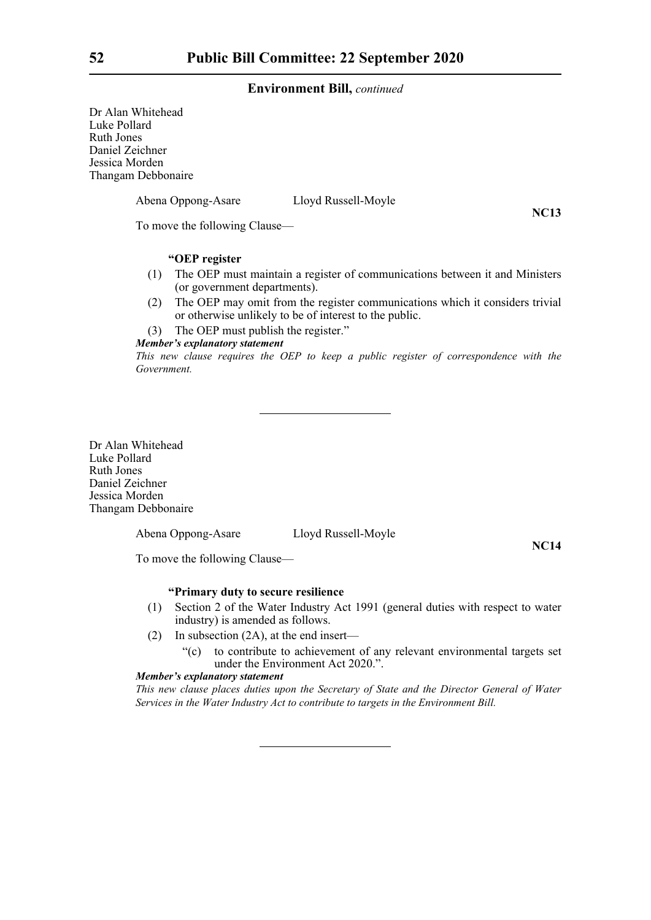Dr Alan Whitehead Luke Pollard Ruth Jones Daniel Zeichner Jessica Morden Thangam Debbonaire

Abena Oppong-Asare Lloyd Russell-Moyle

**NC13**

To move the following Clause—

## **"OEP register**

- (1) The OEP must maintain a register of communications between it and Ministers (or government departments).
- (2) The OEP may omit from the register communications which it considers trivial or otherwise unlikely to be of interest to the public.

(3) The OEP must publish the register."

### *Member's explanatory statement*

*This new clause requires the OEP to keep a public register of correspondence with the Government.*

Dr Alan Whitehead Luke Pollard Ruth Jones Daniel Zeichner Jessica Morden Thangam Debbonaire

Abena Oppong-Asare Lloyd Russell-Moyle

**NC14**

To move the following Clause—

## **"Primary duty to secure resilience**

- (1) Section 2 of the Water Industry Act 1991 (general duties with respect to water industry) is amended as follows.
- (2) In subsection (2A), at the end insert—
	- "(c) to contribute to achievement of any relevant environmental targets set under the Environment Act 2020.".

## *Member's explanatory statement*

*This new clause places duties upon the Secretary of State and the Director General of Water Services in the Water Industry Act to contribute to targets in the Environment Bill.*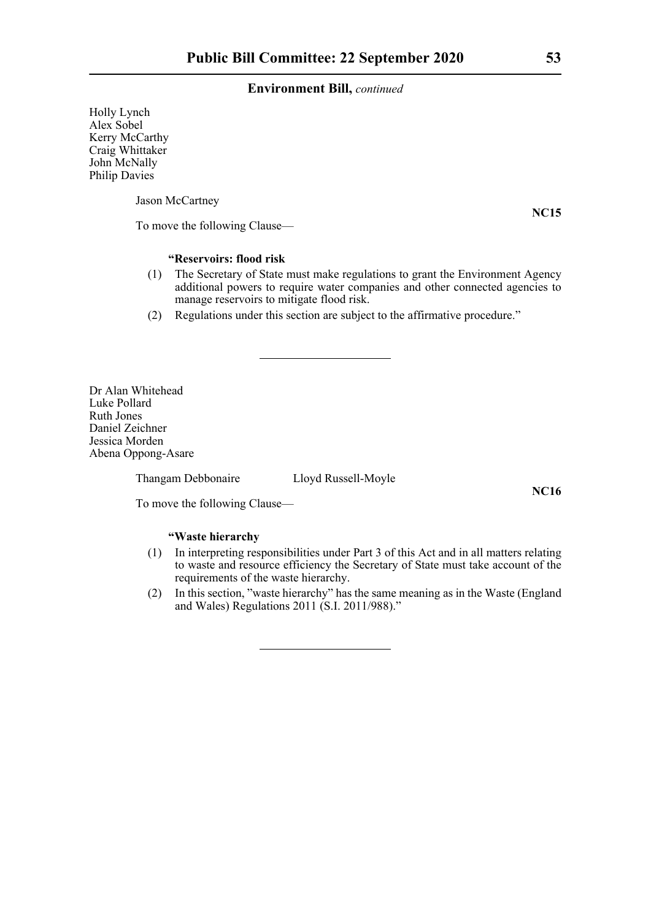Holly Lynch Alex Sobel Kerry McCarthy Craig Whittaker John McNally Philip Davies

Jason McCartney

**NC15**

To move the following Clause—

## **"Reservoirs: flood risk**

- (1) The Secretary of State must make regulations to grant the Environment Agency additional powers to require water companies and other connected agencies to manage reservoirs to mitigate flood risk.
- (2) Regulations under this section are subject to the affirmative procedure."

Dr Alan Whitehead Luke Pollard Ruth Jones Daniel Zeichner Jessica Morden Abena Oppong-Asare

Thangam Debbonaire Lloyd Russell-Moyle

**NC16**

To move the following Clause—

## **"Waste hierarchy**

- (1) In interpreting responsibilities under Part 3 of this Act and in all matters relating to waste and resource efficiency the Secretary of State must take account of the requirements of the waste hierarchy.
- (2) In this section, "waste hierarchy" has the same meaning as in the Waste (England and Wales) Regulations 2011 (S.I. 2011/988)."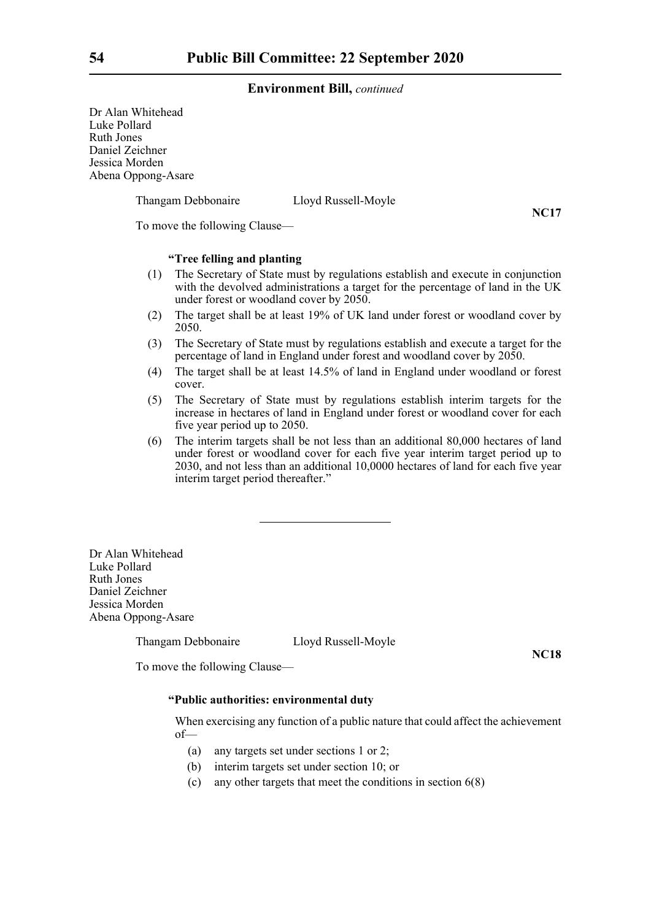Dr Alan Whitehead Luke Pollard Ruth Jones Daniel Zeichner Jessica Morden Abena Oppong-Asare

Thangam Debbonaire Lloyd Russell-Moyle

**NC17**

To move the following Clause—

## **"Tree felling and planting**

- (1) The Secretary of State must by regulations establish and execute in conjunction with the devolved administrations a target for the percentage of land in the UK under forest or woodland cover by 2050.
- (2) The target shall be at least 19% of UK land under forest or woodland cover by 2050.
- (3) The Secretary of State must by regulations establish and execute a target for the percentage of land in England under forest and woodland cover by 2050.
- (4) The target shall be at least 14.5% of land in England under woodland or forest cover.
- (5) The Secretary of State must by regulations establish interim targets for the increase in hectares of land in England under forest or woodland cover for each five year period up to 2050.
- (6) The interim targets shall be not less than an additional 80,000 hectares of land under forest or woodland cover for each five year interim target period up to 2030, and not less than an additional 10,0000 hectares of land for each five year interim target period thereafter."

Dr Alan Whitehead Luke Pollard Ruth Jones Daniel Zeichner Jessica Morden Abena Oppong-Asare

Thangam Debbonaire Lloyd Russell-Moyle

**NC18**

To move the following Clause—

## **"Public authorities: environmental duty**

When exercising any function of a public nature that could affect the achievement of—

- (a) any targets set under sections 1 or 2;
- (b) interim targets set under section 10; or
- (c) any other targets that meet the conditions in section 6(8)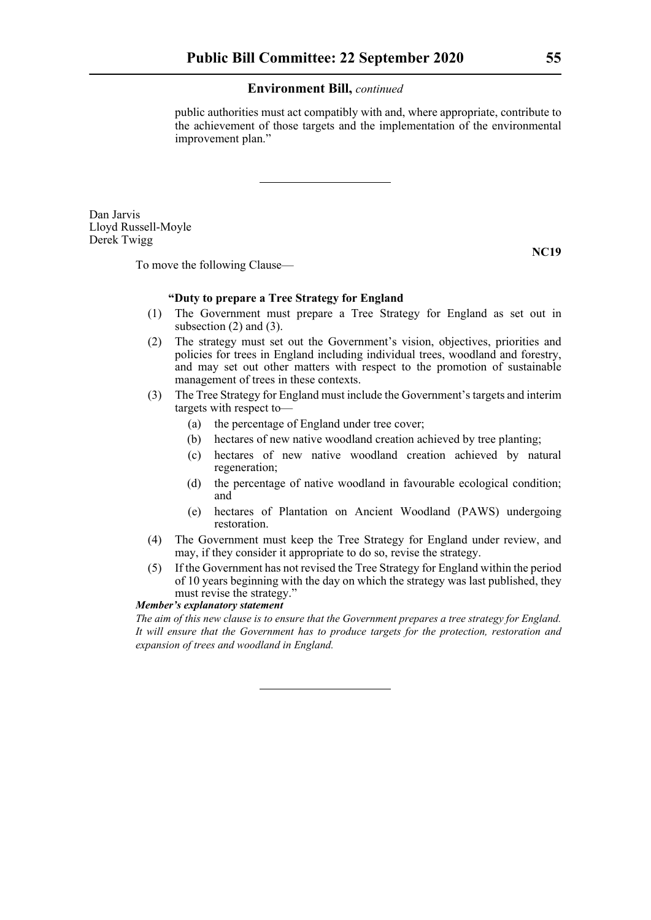public authorities must act compatibly with and, where appropriate, contribute to the achievement of those targets and the implementation of the environmental improvement plan."

Dan Jarvis Lloyd Russell-Moyle Derek Twigg

To move the following Clause—

## **"Duty to prepare a Tree Strategy for England**

- (1) The Government must prepare a Tree Strategy for England as set out in subsection (2) and (3).
- (2) The strategy must set out the Government's vision, objectives, priorities and policies for trees in England including individual trees, woodland and forestry, and may set out other matters with respect to the promotion of sustainable management of trees in these contexts.
- (3) The Tree Strategy for England must include the Government's targets and interim targets with respect to—
	- (a) the percentage of England under tree cover;
	- (b) hectares of new native woodland creation achieved by tree planting;
	- (c) hectares of new native woodland creation achieved by natural regeneration;
	- (d) the percentage of native woodland in favourable ecological condition; and
	- (e) hectares of Plantation on Ancient Woodland (PAWS) undergoing restoration.
- (4) The Government must keep the Tree Strategy for England under review, and may, if they consider it appropriate to do so, revise the strategy.
- (5) If the Government has not revised the Tree Strategy for England within the period of 10 years beginning with the day on which the strategy was last published, they must revise the strategy."

*Member's explanatory statement* 

*The aim of this new clause is to ensure that the Government prepares a tree strategy for England. It will ensure that the Government has to produce targets for the protection, restoration and expansion of trees and woodland in England.*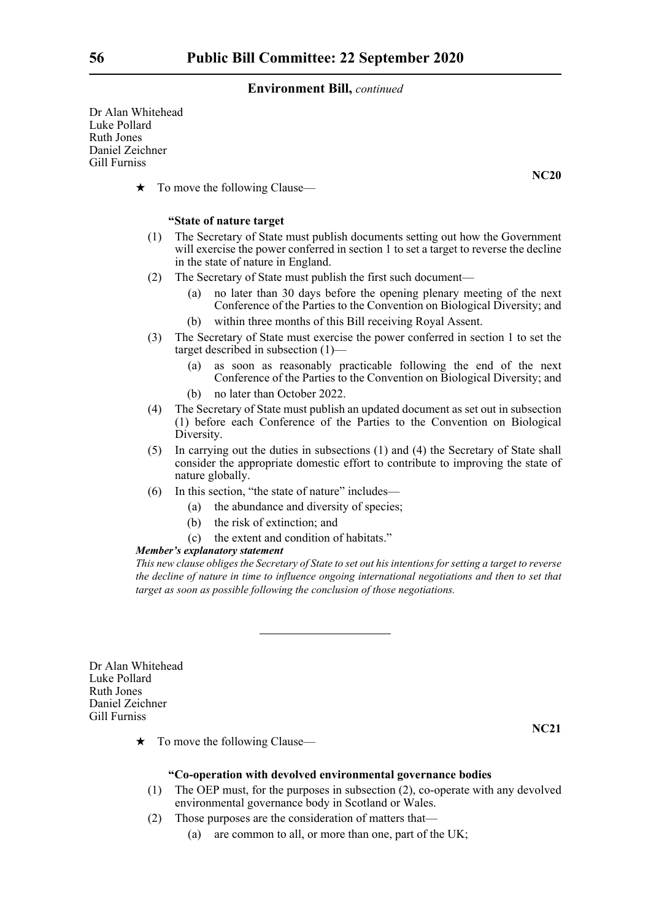Dr Alan Whitehead Luke Pollard Ruth Jones Daniel Zeichner Gill Furniss

 $\star$  To move the following Clause—

#### **"State of nature target**

- (1) The Secretary of State must publish documents setting out how the Government will exercise the power conferred in section 1 to set a target to reverse the decline in the state of nature in England.
- (2) The Secretary of State must publish the first such document—
	- (a) no later than 30 days before the opening plenary meeting of the next Conference of the Parties to the Convention on Biological Diversity; and
	- (b) within three months of this Bill receiving Royal Assent.
- (3) The Secretary of State must exercise the power conferred in section 1 to set the target described in subsection (1)—
	- (a) as soon as reasonably practicable following the end of the next Conference of the Parties to the Convention on Biological Diversity; and
	- (b) no later than October 2022.
- (4) The Secretary of State must publish an updated document as set out in subsection (1) before each Conference of the Parties to the Convention on Biological Diversity.
- (5) In carrying out the duties in subsections (1) and (4) the Secretary of State shall consider the appropriate domestic effort to contribute to improving the state of nature globally.
- (6) In this section, "the state of nature" includes—
	- (a) the abundance and diversity of species;
	- (b) the risk of extinction; and
	- (c) the extent and condition of habitats."

## *Member's explanatory statement*

*This new clause obliges the Secretary of State to set out his intentions for setting a target to reverse the decline of nature in time to influence ongoing international negotiations and then to set that target as soon as possible following the conclusion of those negotiations.*

Dr Alan Whitehead Luke Pollard Ruth Jones Daniel Zeichner Gill Furniss

**NC21**

 $\star$  To move the following Clause—

### **"Co-operation with devolved environmental governance bodies**

- (1) The OEP must, for the purposes in subsection (2), co-operate with any devolved environmental governance body in Scotland or Wales.
- (2) Those purposes are the consideration of matters that—
	- (a) are common to all, or more than one, part of the UK;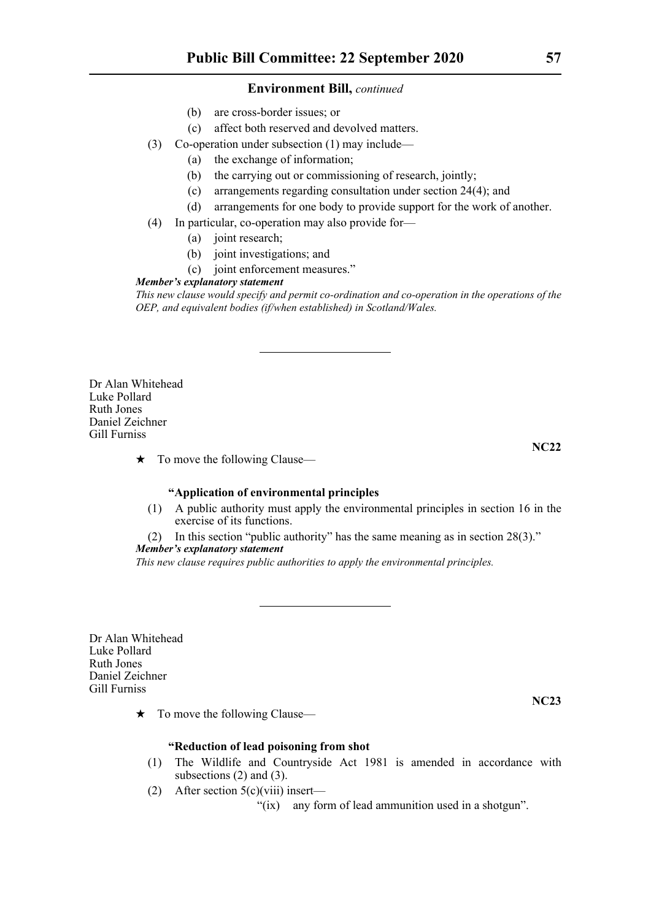- (b) are cross-border issues; or
- (c) affect both reserved and devolved matters.
- (3) Co-operation under subsection (1) may include—
	- (a) the exchange of information;
	- (b) the carrying out or commissioning of research, jointly;
	- (c) arrangements regarding consultation under section 24(4); and
	- (d) arrangements for one body to provide support for the work of another.
- (4) In particular, co-operation may also provide for—
	- (a) joint research;
	- (b) joint investigations; and
	- (c) joint enforcement measures."

## *Member's explanatory statement*

*This new clause would specify and permit co-ordination and co-operation in the operations of the OEP, and equivalent bodies (if/when established) in Scotland/Wales.*

Dr Alan Whitehead Luke Pollard Ruth Jones Daniel Zeichner Gill Furniss

**NC22**

 $\star$  To move the following Clause—

## **"Application of environmental principles**

(1) A public authority must apply the environmental principles in section 16 in the exercise of its functions.

(2) In this section "public authority" has the same meaning as in section 28(3)."

## *Member's explanatory statement*

*This new clause requires public authorities to apply the environmental principles.*

Dr Alan Whitehead Luke Pollard Ruth Jones Daniel Zeichner Gill Furniss

 $\star$  To move the following Clause—

## **"Reduction of lead poisoning from shot**

- (1) The Wildlife and Countryside Act 1981 is amended in accordance with subsections (2) and (3).
- (2) After section  $5(c)(viii)$  insert—

"(ix) any form of lead ammunition used in a shotgun".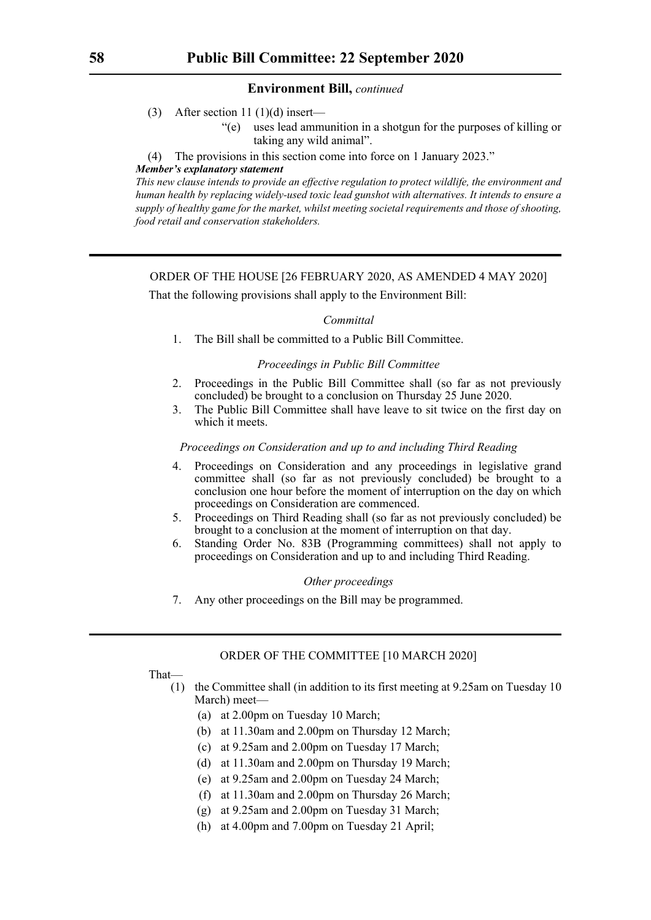- (3) After section 11 (1)(d) insert—
	- "(e) uses lead ammunition in a shotgun for the purposes of killing or taking any wild animal".
- (4) The provisions in this section come into force on 1 January 2023."

## *Member's explanatory statement*

*This new clause intends to provide an effective regulation to protect wildlife, the environment and human health by replacing widely-used toxic lead gunshot with alternatives. It intends to ensure a supply of healthy game for the market, whilst meeting societal requirements and those of shooting, food retail and conservation stakeholders.*

## ORDER OF THE HOUSE [26 FEBRUARY 2020, AS AMENDED 4 MAY 2020]

That the following provisions shall apply to the Environment Bill:

## *Committal*

1. The Bill shall be committed to a Public Bill Committee.

## *Proceedings in Public Bill Committee*

- 2. Proceedings in the Public Bill Committee shall (so far as not previously concluded) be brought to a conclusion on Thursday 25 June 2020.
- 3. The Public Bill Committee shall have leave to sit twice on the first day on which it meets.

## *Proceedings on Consideration and up to and including Third Reading*

- 4. Proceedings on Consideration and any proceedings in legislative grand committee shall (so far as not previously concluded) be brought to a conclusion one hour before the moment of interruption on the day on which proceedings on Consideration are commenced.
- 5. Proceedings on Third Reading shall (so far as not previously concluded) be brought to a conclusion at the moment of interruption on that day.
- 6. Standing Order No. 83B (Programming committees) shall not apply to proceedings on Consideration and up to and including Third Reading.

## *Other proceedings*

7. Any other proceedings on the Bill may be programmed.

## ORDER OF THE COMMITTEE [10 MARCH 2020]

That—

- (1) the Committee shall (in addition to its first meeting at 9.25am on Tuesday 10 March) meet—
	- (a) at 2.00pm on Tuesday 10 March;
	- (b) at 11.30am and 2.00pm on Thursday 12 March;
	- (c) at 9.25am and 2.00pm on Tuesday 17 March;
	- (d) at 11.30am and 2.00pm on Thursday 19 March;
	- (e) at 9.25am and 2.00pm on Tuesday 24 March;
	- (f) at 11.30am and 2.00pm on Thursday 26 March;
	- (g) at 9.25am and 2.00pm on Tuesday 31 March;
	- (h) at 4.00pm and 7.00pm on Tuesday 21 April;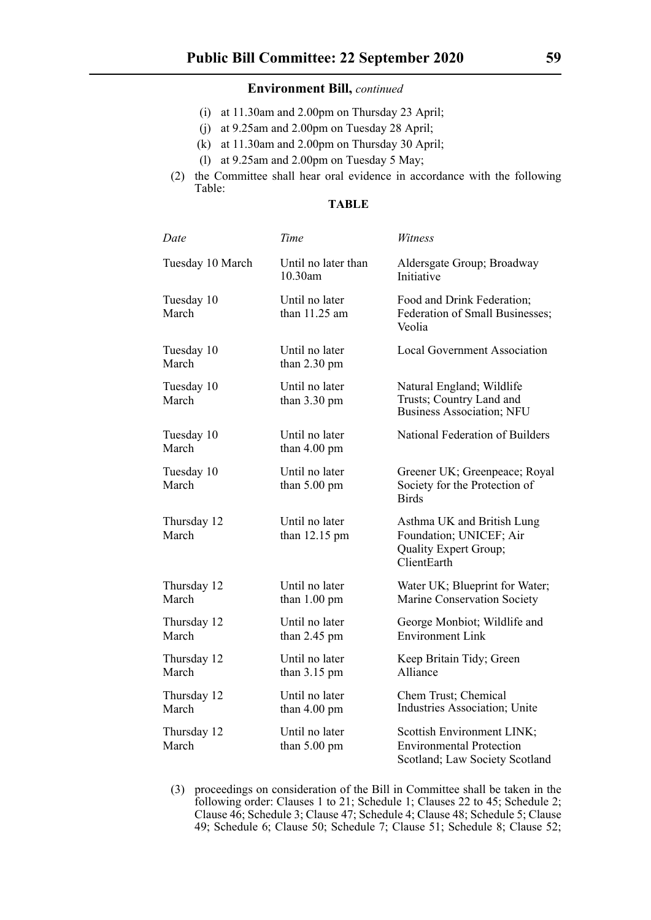- (i) at 11.30am and 2.00pm on Thursday 23 April;
- (j) at 9.25am and 2.00pm on Tuesday 28 April;
- (k) at 11.30am and 2.00pm on Thursday 30 April;
- (l) at 9.25am and 2.00pm on Tuesday 5 May;
- (2) the Committee shall hear oral evidence in accordance with the following Table:

## **TABLE**

| Date                 | Time                                     | Witness                                                                                         |
|----------------------|------------------------------------------|-------------------------------------------------------------------------------------------------|
| Tuesday 10 March     | Until no later than<br>10.30am           | Aldersgate Group; Broadway<br>Initiative                                                        |
| Tuesday 10<br>March  | Until no later<br>than $11.25$ am        | Food and Drink Federation;<br>Federation of Small Businesses;<br>Veolia                         |
| Tuesday 10<br>March  | Until no later<br>than $2.30 \text{ pm}$ | <b>Local Government Association</b>                                                             |
| Tuesday 10<br>March  | Until no later<br>than $3.30 \text{ pm}$ | Natural England; Wildlife<br>Trusts; Country Land and<br><b>Business Association; NFU</b>       |
| Tuesday 10<br>March  | Until no later<br>than $4.00 \text{ pm}$ | National Federation of Builders                                                                 |
| Tuesday 10<br>March  | Until no later<br>than $5.00 \text{ pm}$ | Greener UK; Greenpeace; Royal<br>Society for the Protection of<br><b>Birds</b>                  |
| Thursday 12<br>March | Until no later<br>than $12.15$ pm        | Asthma UK and British Lung<br>Foundation; UNICEF; Air<br>Quality Expert Group;<br>ClientEarth   |
| Thursday 12<br>March | Until no later<br>than $1.00 \text{ pm}$ | Water UK; Blueprint for Water;<br>Marine Conservation Society                                   |
| Thursday 12<br>March | Until no later<br>than $2.45$ pm         | George Monbiot; Wildlife and<br><b>Environment Link</b>                                         |
| Thursday 12<br>March | Until no later<br>than $3.15$ pm         | Keep Britain Tidy; Green<br>Alliance                                                            |
| Thursday 12<br>March | Until no later<br>than $4.00 \text{ pm}$ | Chem Trust; Chemical<br>Industries Association; Unite                                           |
| Thursday 12<br>March | Until no later<br>than 5.00 pm           | Scottish Environment LINK;<br><b>Environmental Protection</b><br>Scotland; Law Society Scotland |

(3) proceedings on consideration of the Bill in Committee shall be taken in the following order: Clauses 1 to 21; Schedule 1; Clauses 22 to 45; Schedule 2; Clause 46; Schedule 3; Clause 47; Schedule 4; Clause 48; Schedule 5; Clause 49; Schedule 6; Clause 50; Schedule 7; Clause 51; Schedule 8; Clause 52;